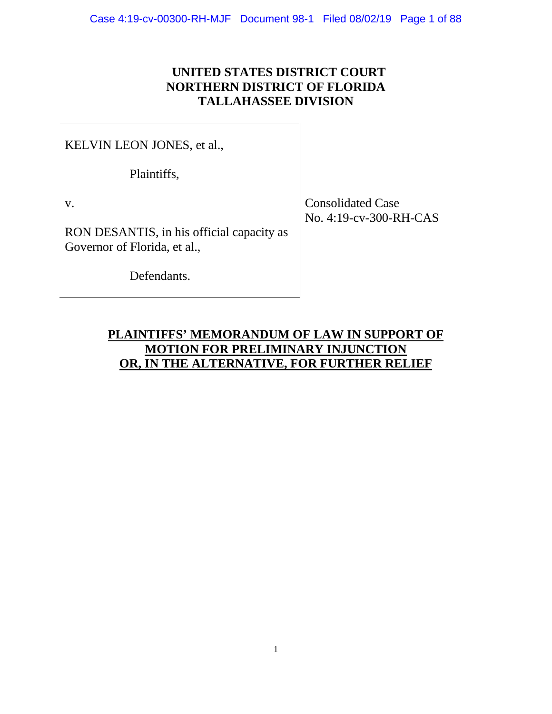## **UNITED STATES DISTRICT COURT NORTHERN DISTRICT OF FLORIDA TALLAHASSEE DIVISION**

KELVIN LEON JONES, et al.,

Plaintiffs,

RON DESANTIS, in his official capacity as Governor of Florida, et al.,

Defendants.

v. Consolidated Case No. 4:19-cv-300-RH-CAS

# **PLAINTIFFS' MEMORANDUM OF LAW IN SUPPORT OF MOTION FOR PRELIMINARY INJUNCTION OR, IN THE ALTERNATIVE, FOR FURTHER RELIEF**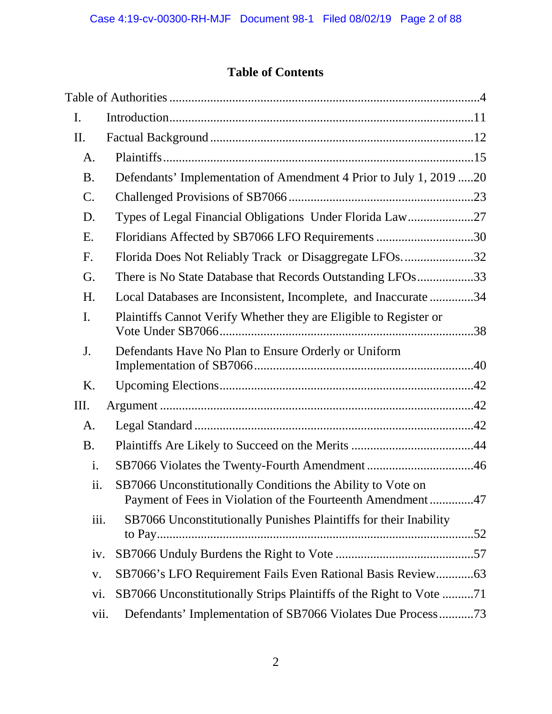# **Table of Contents**

| I.             |                                                                                                                           |  |
|----------------|---------------------------------------------------------------------------------------------------------------------------|--|
| II.            |                                                                                                                           |  |
| A.             |                                                                                                                           |  |
| <b>B.</b>      | Defendants' Implementation of Amendment 4 Prior to July 1, 2019 20                                                        |  |
| $C$ .          |                                                                                                                           |  |
| D.             | Types of Legal Financial Obligations Under Florida Law27                                                                  |  |
| Ε.             | Floridians Affected by SB7066 LFO Requirements 30                                                                         |  |
| F.             | Florida Does Not Reliably Track or Disaggregate LFOs32                                                                    |  |
| G.             | There is No State Database that Records Outstanding LFOs33                                                                |  |
| H.             | Local Databases are Inconsistent, Incomplete, and Inaccurate 34                                                           |  |
| $\mathbf{I}$ . | Plaintiffs Cannot Verify Whether they are Eligible to Register or                                                         |  |
| J.             | Defendants Have No Plan to Ensure Orderly or Uniform                                                                      |  |
| K.             |                                                                                                                           |  |
| Ш.             |                                                                                                                           |  |
| A.             |                                                                                                                           |  |
| <b>B.</b>      |                                                                                                                           |  |
| i.             |                                                                                                                           |  |
| ii.            | SB7066 Unconstitutionally Conditions the Ability to Vote on<br>Payment of Fees in Violation of the Fourteenth Amendment47 |  |
| iii.           | SB7066 Unconstitutionally Punishes Plaintiffs for their Inability                                                         |  |
| iv.            |                                                                                                                           |  |
| $\mathbf{V}$ . | SB7066's LFO Requirement Fails Even Rational Basis Review63                                                               |  |
| vi.            | SB7066 Unconstitutionally Strips Plaintiffs of the Right to Vote 71                                                       |  |
| vii.           | Defendants' Implementation of SB7066 Violates Due Process73                                                               |  |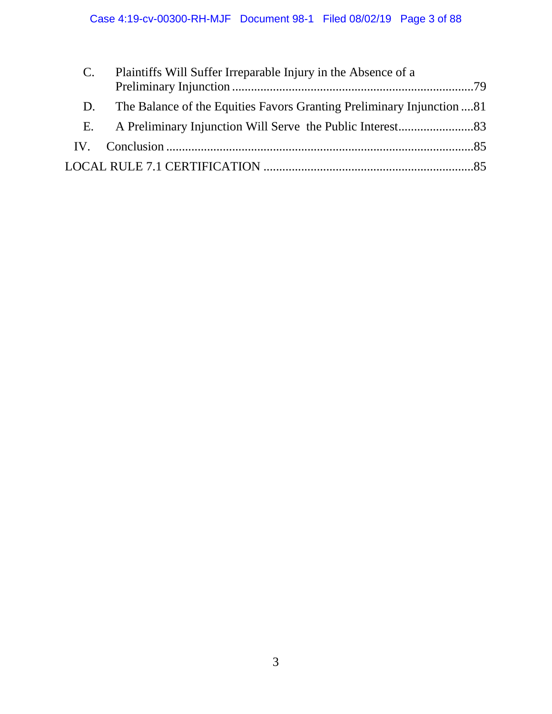|    | Plaintiffs Will Suffer Irreparable Injury in the Absence of a         |  |
|----|-----------------------------------------------------------------------|--|
|    |                                                                       |  |
| D. | The Balance of the Equities Favors Granting Preliminary Injunction 81 |  |
| Е. |                                                                       |  |
|    |                                                                       |  |
|    |                                                                       |  |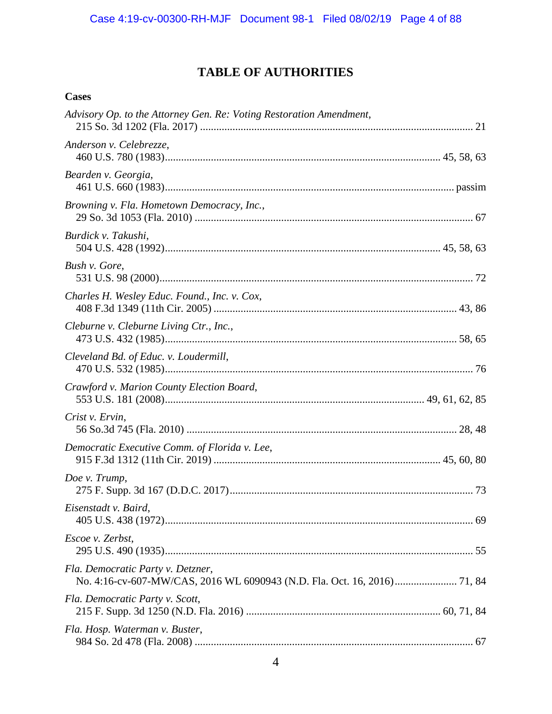# **TABLE OF AUTHORITIES**

### <span id="page-3-0"></span>**Cases**

| Advisory Op. to the Attorney Gen. Re: Voting Restoration Amendment, |  |
|---------------------------------------------------------------------|--|
| Anderson v. Celebrezze,                                             |  |
| Bearden v. Georgia,                                                 |  |
| Browning v. Fla. Hometown Democracy, Inc.,                          |  |
| Burdick v. Takushi,                                                 |  |
| Bush v. Gore,                                                       |  |
| Charles H. Wesley Educ. Found., Inc. v. Cox,                        |  |
| Cleburne v. Cleburne Living Ctr., Inc.,                             |  |
| Cleveland Bd. of Educ. v. Loudermill,                               |  |
| Crawford v. Marion County Election Board,                           |  |
| Crist v. Ervin,                                                     |  |
| Democratic Executive Comm. of Florida v. Lee,                       |  |
| Doe v. Trump,                                                       |  |
| Eisenstadt v. Baird,                                                |  |
| Escoe v. Zerbst,                                                    |  |
| Fla. Democratic Party v. Detzner,                                   |  |
| Fla. Democratic Party v. Scott,                                     |  |
| Fla. Hosp. Waterman v. Buster,                                      |  |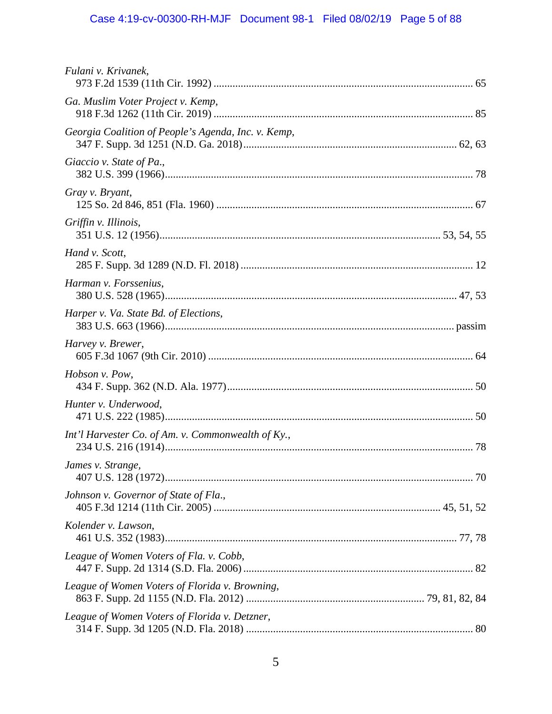# Case 4:19-cv-00300-RH-MJF Document 98-1 Filed 08/02/19 Page 5 of 88

| Fulani v. Krivanek,                                 |  |
|-----------------------------------------------------|--|
| Ga. Muslim Voter Project v. Kemp,                   |  |
| Georgia Coalition of People's Agenda, Inc. v. Kemp, |  |
| Giaccio v. State of Pa.,                            |  |
| Gray v. Bryant,                                     |  |
| Griffin v. Illinois,                                |  |
| Hand v. Scott,                                      |  |
| Harman v. Forssenius,                               |  |
| Harper v. Va. State Bd. of Elections,               |  |
| Harvey v. Brewer,                                   |  |
| Hobson v. Pow,                                      |  |
| Hunter v. Underwood,                                |  |
| Int'l Harvester Co. of Am. v. Commonwealth of Ky.,  |  |
| James v. Strange,                                   |  |
| Johnson v. Governor of State of Fla.,               |  |
| Kolender v. Lawson,                                 |  |
| League of Women Voters of Fla. v. Cobb,             |  |
| League of Women Voters of Florida v. Browning,      |  |
| League of Women Voters of Florida v. Detzner,       |  |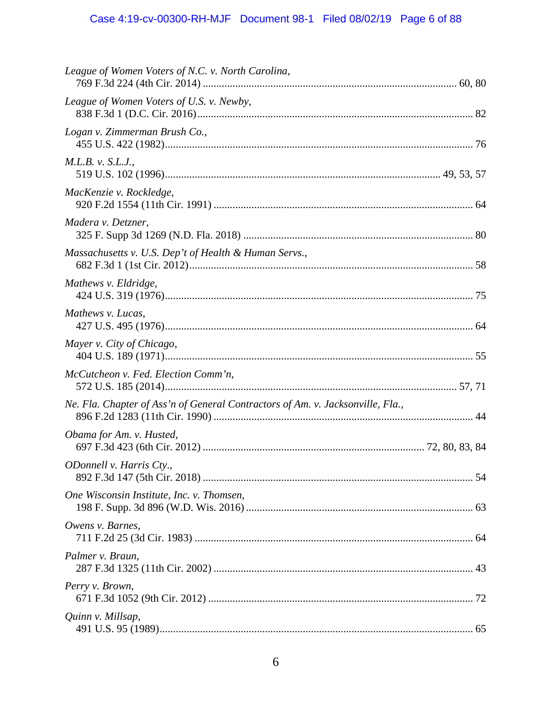| League of Women Voters of N.C. v. North Carolina,                              |  |
|--------------------------------------------------------------------------------|--|
| League of Women Voters of U.S. v. Newby,                                       |  |
| Logan v. Zimmerman Brush Co.,                                                  |  |
| M.L.B. v. S.L.J.,                                                              |  |
| MacKenzie v. Rockledge,                                                        |  |
| Madera v. Detzner,                                                             |  |
| Massachusetts v. U.S. Dep't of Health & Human Servs.,                          |  |
| Mathews v. Eldridge,                                                           |  |
| Mathews v. Lucas,                                                              |  |
| Mayer v. City of Chicago,                                                      |  |
| McCutcheon v. Fed. Election Comm'n,                                            |  |
| Ne. Fla. Chapter of Ass'n of General Contractors of Am. v. Jacksonville, Fla., |  |
| Obama for Am. v. Husted,                                                       |  |
| ODonnell v. Harris Cty.,                                                       |  |
| One Wisconsin Institute, Inc. v. Thomsen,                                      |  |
| Owens v. Barnes,                                                               |  |
| Palmer v. Braun,                                                               |  |
| Perry v. Brown,                                                                |  |
| Quinn v. Millsap,                                                              |  |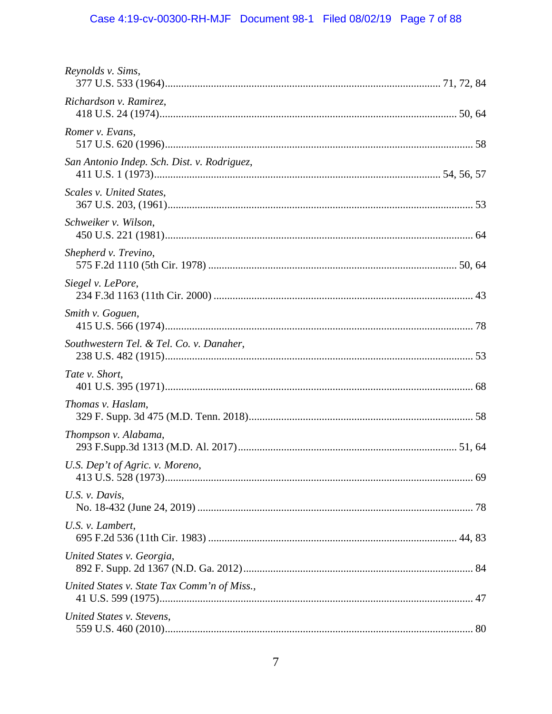# Case 4:19-cv-00300-RH-MJF Document 98-1 Filed 08/02/19 Page 7 of 88

| Reynolds v. Sims,                           |  |
|---------------------------------------------|--|
| Richardson v. Ramirez,                      |  |
| Romer v. Evans,                             |  |
| San Antonio Indep. Sch. Dist. v. Rodriguez, |  |
| Scales v. United States,                    |  |
| Schweiker v. Wilson,                        |  |
| Shepherd v. Trevino,                        |  |
| Siegel v. LePore,                           |  |
| Smith v. Goguen,                            |  |
| Southwestern Tel. & Tel. Co. v. Danaher,    |  |
| Tate v. Short,                              |  |
| Thomas v. Haslam,                           |  |
| Thompson v. Alabama,                        |  |
| U.S. Dep't of Agric. v. Moreno,             |  |
| U.S. v. Davis,                              |  |
| U.S. v. Lambert,                            |  |
| United States v. Georgia,                   |  |
| United States v. State Tax Comm'n of Miss., |  |
| United States v. Stevens,                   |  |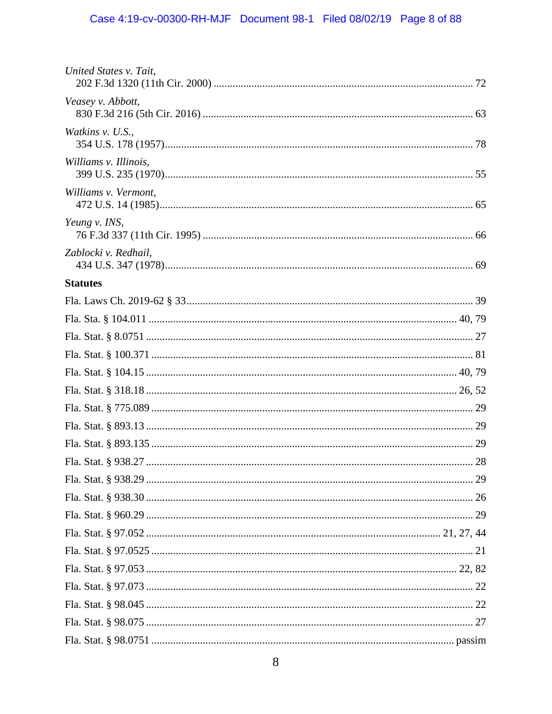| United States v. Tait, |  |
|------------------------|--|
| Veasey v. Abbott,      |  |
| Watkins v. U.S.,       |  |
| Williams v. Illinois,  |  |
| Williams v. Vermont,   |  |
| Yeung v. INS,          |  |
| Zablocki v. Redhail,   |  |
| <b>Statutes</b>        |  |
|                        |  |
|                        |  |
|                        |  |
|                        |  |
|                        |  |
|                        |  |
|                        |  |
|                        |  |
|                        |  |
|                        |  |
|                        |  |
|                        |  |
|                        |  |
|                        |  |
|                        |  |
|                        |  |
|                        |  |
|                        |  |
|                        |  |
|                        |  |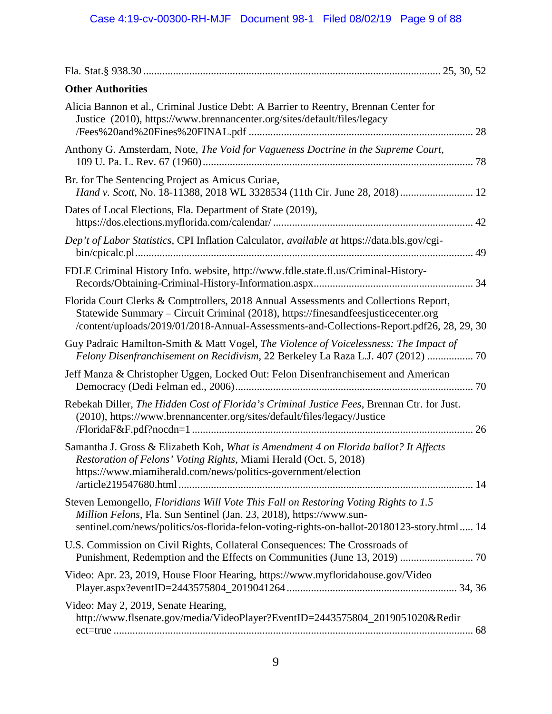| <b>Other Authorities</b>                                                                                                                                                                                                                                                |
|-------------------------------------------------------------------------------------------------------------------------------------------------------------------------------------------------------------------------------------------------------------------------|
| Alicia Bannon et al., Criminal Justice Debt: A Barrier to Reentry, Brennan Center for<br>Justice (2010), https://www.brennancenter.org/sites/default/files/legacy                                                                                                       |
| Anthony G. Amsterdam, Note, The Void for Vagueness Doctrine in the Supreme Court,                                                                                                                                                                                       |
| Br. for The Sentencing Project as Amicus Curiae,<br>Hand v. Scott, No. 18-11388, 2018 WL 3328534 (11th Cir. June 28, 2018)  12                                                                                                                                          |
| Dates of Local Elections, Fla. Department of State (2019),                                                                                                                                                                                                              |
| Dep't of Labor Statistics, CPI Inflation Calculator, available at https://data.bls.gov/cgi-                                                                                                                                                                             |
| FDLE Criminal History Info. website, http://www.fdle.state.fl.us/Criminal-History-                                                                                                                                                                                      |
| Florida Court Clerks & Comptrollers, 2018 Annual Assessments and Collections Report,<br>Statewide Summary - Circuit Criminal (2018), https://finesandfeesjusticecenter.org<br>/content/uploads/2019/01/2018-Annual-Assessments-and-Collections-Report.pdf26, 28, 29, 30 |
| Guy Padraic Hamilton-Smith & Matt Vogel, The Violence of Voicelessness: The Impact of<br>Felony Disenfranchisement on Recidivism, 22 Berkeley La Raza L.J. 407 (2012)  70                                                                                               |
| Jeff Manza & Christopher Uggen, Locked Out: Felon Disenfranchisement and American                                                                                                                                                                                       |
| Rebekah Diller, The Hidden Cost of Florida's Criminal Justice Fees, Brennan Ctr. for Just.<br>(2010), https://www.brennancenter.org/sites/default/files/legacy/Justice                                                                                                  |
| Samantha J. Gross & Elizabeth Koh, What is Amendment 4 on Florida ballot? It Affects<br>Restoration of Felons' Voting Rights, Miami Herald (Oct. 5, 2018)<br>https://www.miamiherald.com/news/politics-government/election<br>/article219547680.html                    |
| Steven Lemongello, Floridians Will Vote This Fall on Restoring Voting Rights to 1.5<br>Million Felons, Fla. Sun Sentinel (Jan. 23, 2018), https://www.sun-<br>sentinel.com/news/politics/os-florida-felon-voting-rights-on-ballot-20180123-story.html 14                |
| U.S. Commission on Civil Rights, Collateral Consequences: The Crossroads of<br>Punishment, Redemption and the Effects on Communities (June 13, 2019)  70                                                                                                                |
| Video: Apr. 23, 2019, House Floor Hearing, https://www.myfloridahouse.gov/Video                                                                                                                                                                                         |
| Video: May 2, 2019, Senate Hearing,<br>http://www.flsenate.gov/media/VideoPlayer?EventID=2443575804_2019051020&Redir                                                                                                                                                    |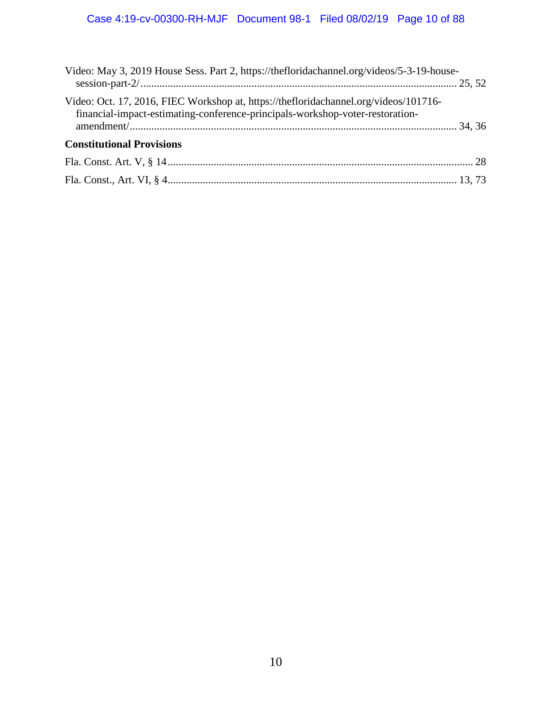| Video: May 3, 2019 House Sess. Part 2, https://thefloridachannel.org/videos/5-3-19-house-                                                                             |  |
|-----------------------------------------------------------------------------------------------------------------------------------------------------------------------|--|
| Video: Oct. 17, 2016, FIEC Workshop at, https://thefloridachannel.org/videos/101716-<br>financial-impact-estimating-conference-principals-workshop-voter-restoration- |  |
|                                                                                                                                                                       |  |
| <b>Constitutional Provisions</b>                                                                                                                                      |  |
|                                                                                                                                                                       |  |
|                                                                                                                                                                       |  |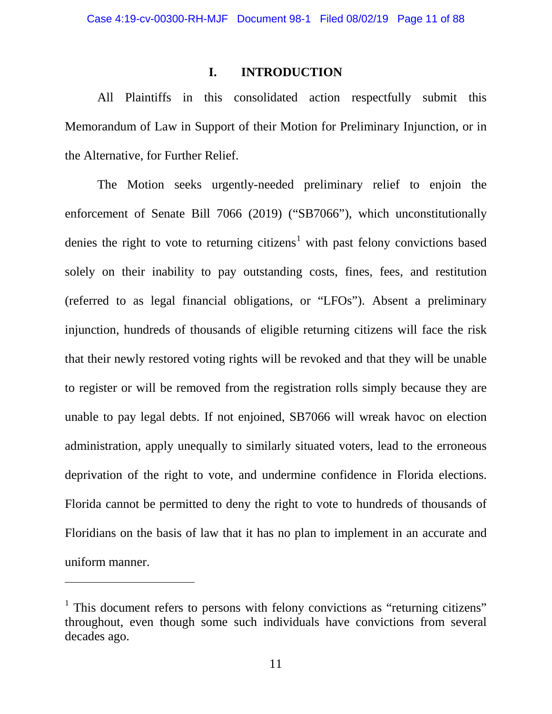#### **I. INTRODUCTION**

<span id="page-10-0"></span>All Plaintiffs in this consolidated action respectfully submit this Memorandum of Law in Support of their Motion for Preliminary Injunction, or in the Alternative, for Further Relief.

The Motion seeks urgently-needed preliminary relief to enjoin the enforcement of Senate Bill 7066 (2019) ("SB7066"), which unconstitutionally denies the right to vote to returning citizens<sup>[1](#page-10-1)</sup> with past felony convictions based solely on their inability to pay outstanding costs, fines, fees, and restitution (referred to as legal financial obligations, or "LFOs"). Absent a preliminary injunction, hundreds of thousands of eligible returning citizens will face the risk that their newly restored voting rights will be revoked and that they will be unable to register or will be removed from the registration rolls simply because they are unable to pay legal debts. If not enjoined, SB7066 will wreak havoc on election administration, apply unequally to similarly situated voters, lead to the erroneous deprivation of the right to vote, and undermine confidence in Florida elections. Florida cannot be permitted to deny the right to vote to hundreds of thousands of Floridians on the basis of law that it has no plan to implement in an accurate and uniform manner.

<span id="page-10-1"></span><sup>&</sup>lt;sup>1</sup> This document refers to persons with felony convictions as "returning citizens" throughout, even though some such individuals have convictions from several decades ago.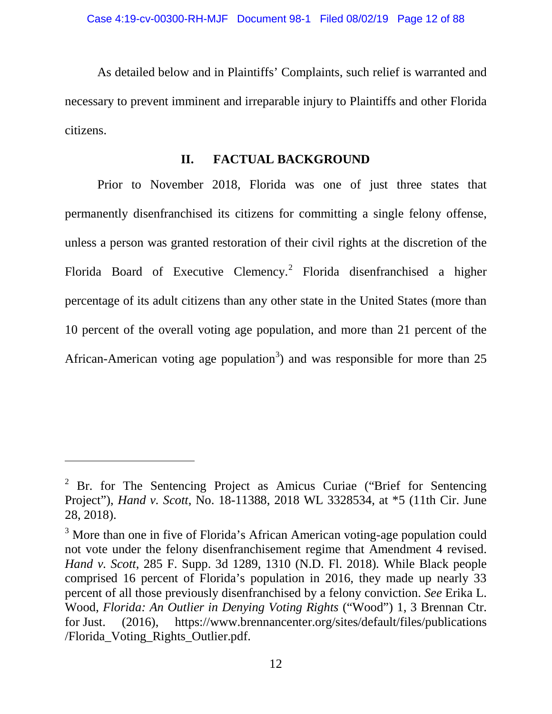As detailed below and in Plaintiffs' Complaints, such relief is warranted and necessary to prevent imminent and irreparable injury to Plaintiffs and other Florida citizens.

### **II. FACTUAL BACKGROUND**

<span id="page-11-0"></span>Prior to November 2018, Florida was one of just three states that permanently disenfranchised its citizens for committing a single felony offense, unless a person was granted restoration of their civil rights at the discretion of the Florida Board of Executive Clemency.[2](#page-11-1) Florida disenfranchised a higher percentage of its adult citizens than any other state in the United States (more than 10 percent of the overall voting age population, and more than 21 percent of the African-American voting age population<sup>[3](#page-11-2)</sup>) and was responsible for more than 25

<span id="page-11-1"></span><sup>&</sup>lt;sup>2</sup> Br. for The Sentencing Project as Amicus Curiae ("Brief for Sentencing") Project"), *Hand v. Scott*, No. 18-11388, 2018 WL 3328534, at \*5 (11th Cir. June 28, 2018).

<span id="page-11-2"></span><sup>&</sup>lt;sup>3</sup> More than one in five of Florida's African American voting-age population could not vote under the felony disenfranchisement regime that Amendment 4 revised. *Hand v. Scott*, 285 F. Supp. 3d 1289, 1310 (N.D. Fl. 2018)*.* While Black people comprised 16 percent of Florida's population in 2016, they made up nearly 33 percent of all those previously disenfranchised by a felony conviction. *See* Erika L. Wood, *Florida: An Outlier in Denying Voting Rights* ("Wood") 1, 3 Brennan Ctr. for Just. (2016), https://www.brennancenter.org/sites/default/files/publications /Florida\_Voting\_Rights\_Outlier.pdf.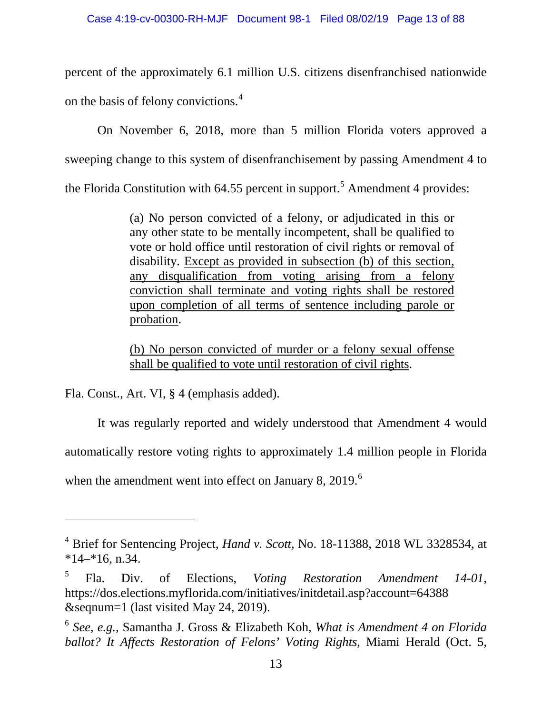percent of the approximately 6.1 million U.S. citizens disenfranchised nationwide on the basis of felony convictions.[4](#page-12-0)

On November 6, 2018, more than 5 million Florida voters approved a sweeping change to this system of disenfranchisement by passing Amendment 4 to the Florida Constitution with  $64.55$  $64.55$  $64.55$  percent in support.<sup>5</sup> Amendment 4 provides:

> (a) No person convicted of a felony, or adjudicated in this or any other state to be mentally incompetent, shall be qualified to vote or hold office until restoration of civil rights or removal of disability. Except as provided in subsection (b) of this section, any disqualification from voting arising from a felony conviction shall terminate and voting rights shall be restored upon completion of all terms of sentence including parole or probation.

> (b) No person convicted of murder or a felony sexual offense shall be qualified to vote until restoration of civil rights.

Fla. Const., Art. VI, § 4 (emphasis added).

 $\overline{a}$ 

It was regularly reported and widely understood that Amendment 4 would automatically restore voting rights to approximately 1.4 million people in Florida when the amendment went into effect on January 8, 2019. $<sup>6</sup>$  $<sup>6</sup>$  $<sup>6</sup>$ </sup>

<span id="page-12-0"></span><sup>4</sup> Brief for Sentencing Project, *Hand v. Scott*, No. 18-11388, 2018 WL 3328534, at  $*14-*16$ , n.34.

<span id="page-12-1"></span><sup>5</sup> Fla. Div. of Elections, *Voting Restoration Amendment 14-01*, https://dos.elections.myflorida.com/initiatives/initdetail.asp?account=64388 &seqnum=1 (last visited May 24, 2019).

<span id="page-12-2"></span><sup>6</sup> *See, e.g.*, Samantha J. Gross & Elizabeth Koh, *What is Amendment 4 on Florida ballot? It Affects Restoration of Felons' Voting Rights*, Miami Herald (Oct. 5,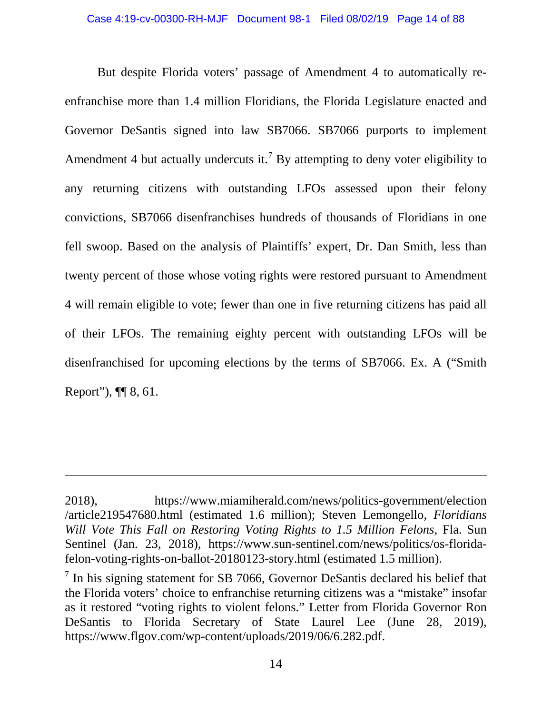But despite Florida voters' passage of Amendment 4 to automatically reenfranchise more than 1.4 million Floridians, the Florida Legislature enacted and Governor DeSantis signed into law SB7066. SB7066 purports to implement Amendment 4 but actually undercuts it.<sup>[7](#page-13-0)</sup> By attempting to deny voter eligibility to any returning citizens with outstanding LFOs assessed upon their felony convictions, SB7066 disenfranchises hundreds of thousands of Floridians in one fell swoop. Based on the analysis of Plaintiffs' expert, Dr. Dan Smith, less than twenty percent of those whose voting rights were restored pursuant to Amendment 4 will remain eligible to vote; fewer than one in five returning citizens has paid all of their LFOs. The remaining eighty percent with outstanding LFOs will be disenfranchised for upcoming elections by the terms of SB7066. Ex. A ("Smith Report"), ¶¶ 8, 61.

<sup>2018),</sup> https://www.miamiherald.com/news/politics-government/election /article219547680.html (estimated 1.6 million); Steven Lemongello, *Floridians Will Vote This Fall on Restoring Voting Rights to 1.5 Million Felons*, Fla. Sun Sentinel (Jan. 23, 2018), https://www.sun-sentinel.com/news/politics/os-floridafelon-voting-rights-on-ballot-20180123-story.html (estimated 1.5 million).

<span id="page-13-0"></span> $7$  In his signing statement for SB 7066, Governor DeSantis declared his belief that the Florida voters' choice to enfranchise returning citizens was a "mistake" insofar as it restored "voting rights to violent felons." Letter from Florida Governor Ron DeSantis to Florida Secretary of State Laurel Lee (June 28, 2019), https://www.flgov.com/wp-content/uploads/2019/06/6.282.pdf.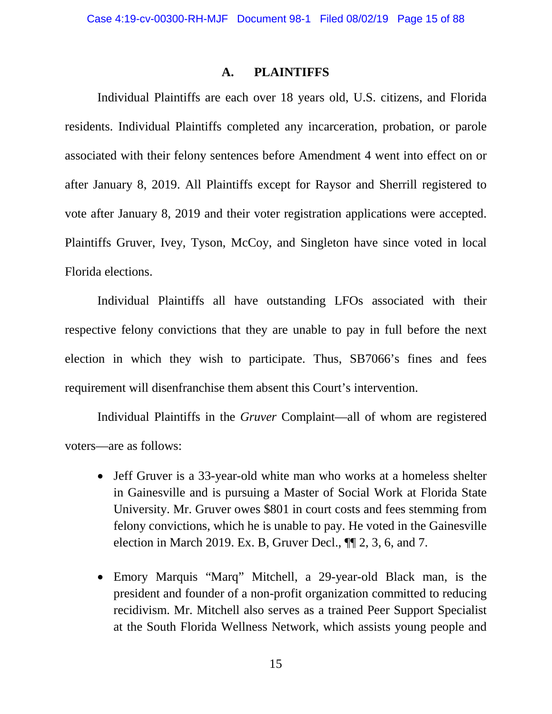#### **A. PLAINTIFFS**

<span id="page-14-0"></span>Individual Plaintiffs are each over 18 years old, U.S. citizens, and Florida residents. Individual Plaintiffs completed any incarceration, probation, or parole associated with their felony sentences before Amendment 4 went into effect on or after January 8, 2019. All Plaintiffs except for Raysor and Sherrill registered to vote after January 8, 2019 and their voter registration applications were accepted. Plaintiffs Gruver, Ivey, Tyson, McCoy, and Singleton have since voted in local Florida elections.

Individual Plaintiffs all have outstanding LFOs associated with their respective felony convictions that they are unable to pay in full before the next election in which they wish to participate. Thus, SB7066's fines and fees requirement will disenfranchise them absent this Court's intervention.

Individual Plaintiffs in the *Gruver* Complaint—all of whom are registered voters—are as follows:

- Jeff Gruver is a 33-year-old white man who works at a homeless shelter in Gainesville and is pursuing a Master of Social Work at Florida State University. Mr. Gruver owes \$801 in court costs and fees stemming from felony convictions, which he is unable to pay. He voted in the Gainesville election in March 2019. Ex. B, Gruver Decl., ¶¶ 2, 3, 6, and 7.
- Emory Marquis "Marq" Mitchell, a 29-year-old Black man, is the president and founder of a non-profit organization committed to reducing recidivism. Mr. Mitchell also serves as a trained Peer Support Specialist at the South Florida Wellness Network, which assists young people and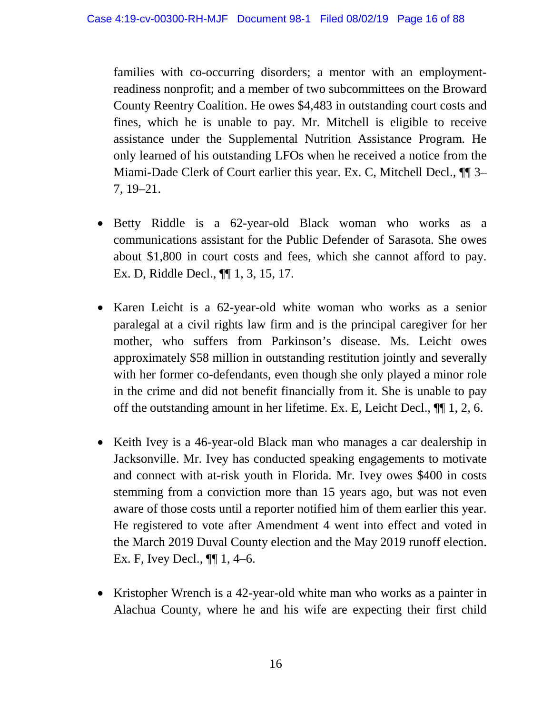families with co-occurring disorders; a mentor with an employmentreadiness nonprofit; and a member of two subcommittees on the Broward County Reentry Coalition. He owes \$4,483 in outstanding court costs and fines, which he is unable to pay. Mr. Mitchell is eligible to receive assistance under the Supplemental Nutrition Assistance Program. He only learned of his outstanding LFOs when he received a notice from the Miami-Dade Clerk of Court earlier this year. Ex. C, Mitchell Decl., ¶¶ 3– 7, 19–21.

- Betty Riddle is a 62-year-old Black woman who works as a communications assistant for the Public Defender of Sarasota. She owes about \$1,800 in court costs and fees, which she cannot afford to pay. Ex. D, Riddle Decl., ¶¶ 1, 3, 15, 17.
- Karen Leicht is a 62-year-old white woman who works as a senior paralegal at a civil rights law firm and is the principal caregiver for her mother, who suffers from Parkinson's disease. Ms. Leicht owes approximately \$58 million in outstanding restitution jointly and severally with her former co-defendants, even though she only played a minor role in the crime and did not benefit financially from it. She is unable to pay off the outstanding amount in her lifetime. Ex. E, Leicht Decl., ¶¶ 1, 2, 6.
- Keith Ivey is a 46-year-old Black man who manages a car dealership in Jacksonville. Mr. Ivey has conducted speaking engagements to motivate and connect with at-risk youth in Florida. Mr. Ivey owes \$400 in costs stemming from a conviction more than 15 years ago, but was not even aware of those costs until a reporter notified him of them earlier this year. He registered to vote after Amendment 4 went into effect and voted in the March 2019 Duval County election and the May 2019 runoff election. Ex. F, Ivey Decl., ¶¶ 1, 4–6.
- Kristopher Wrench is a 42-year-old white man who works as a painter in Alachua County, where he and his wife are expecting their first child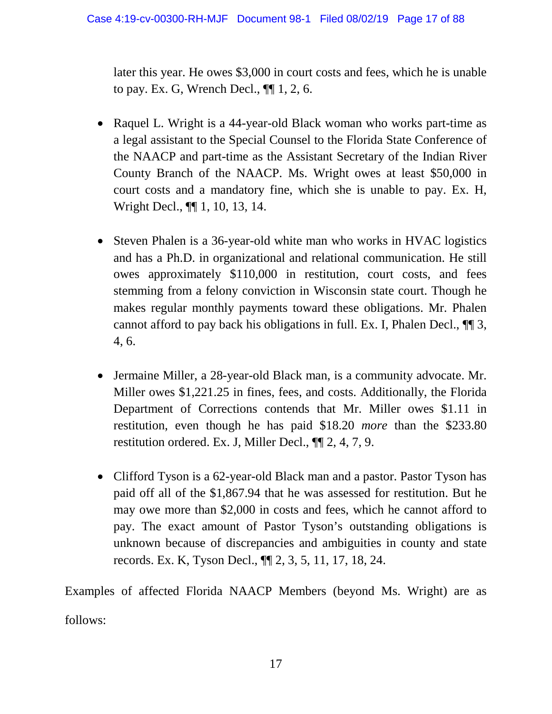later this year. He owes \$3,000 in court costs and fees, which he is unable to pay. Ex. G, Wrench Decl., ¶¶ 1, 2, 6.

- Raquel L. Wright is a 44-year-old Black woman who works part-time as a legal assistant to the Special Counsel to the Florida State Conference of the NAACP and part-time as the Assistant Secretary of the Indian River County Branch of the NAACP. Ms. Wright owes at least \$50,000 in court costs and a mandatory fine, which she is unable to pay. Ex. H, Wright Decl., ¶¶ 1, 10, 13, 14.
- Steven Phalen is a 36-year-old white man who works in HVAC logistics and has a Ph.D. in organizational and relational communication. He still owes approximately \$110,000 in restitution, court costs, and fees stemming from a felony conviction in Wisconsin state court. Though he makes regular monthly payments toward these obligations. Mr. Phalen cannot afford to pay back his obligations in full. Ex. I, Phalen Decl., ¶¶ 3, 4, 6.
- Jermaine Miller, a 28-year-old Black man, is a community advocate. Mr. Miller owes \$1,221.25 in fines, fees, and costs. Additionally, the Florida Department of Corrections contends that Mr. Miller owes \$1.11 in restitution, even though he has paid \$18.20 *more* than the \$233.80 restitution ordered. Ex. J, Miller Decl., ¶¶ 2, 4, 7, 9.
- Clifford Tyson is a 62-year-old Black man and a pastor. Pastor Tyson has paid off all of the \$1,867.94 that he was assessed for restitution. But he may owe more than \$2,000 in costs and fees, which he cannot afford to pay. The exact amount of Pastor Tyson's outstanding obligations is unknown because of discrepancies and ambiguities in county and state records. Ex. K, Tyson Decl., ¶¶ 2, 3, 5, 11, 17, 18, 24.

Examples of affected Florida NAACP Members (beyond Ms. Wright) are as follows: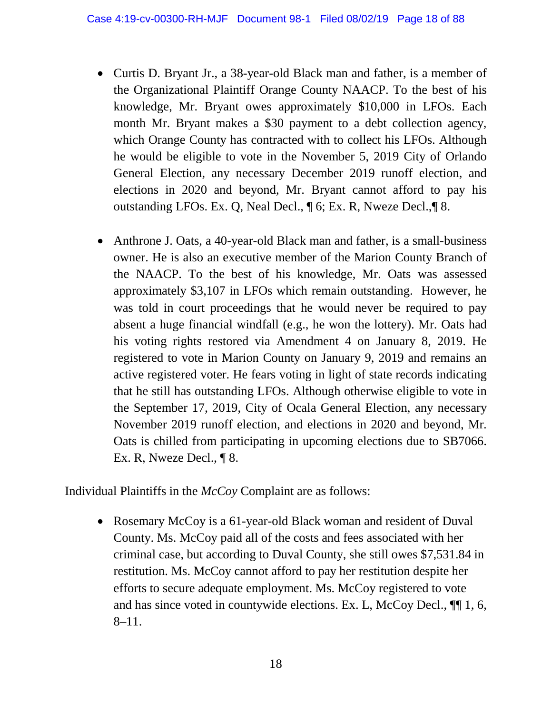- Curtis D. Bryant Jr., a 38-year-old Black man and father, is a member of the Organizational Plaintiff Orange County NAACP. To the best of his knowledge, Mr. Bryant owes approximately \$10,000 in LFOs. Each month Mr. Bryant makes a \$30 payment to a debt collection agency, which Orange County has contracted with to collect his LFOs. Although he would be eligible to vote in the November 5, 2019 City of Orlando General Election, any necessary December 2019 runoff election, and elections in 2020 and beyond, Mr. Bryant cannot afford to pay his outstanding LFOs. Ex. Q, Neal Decl., ¶ 6; Ex. R, Nweze Decl.,¶ 8.
- Anthrone J. Oats, a 40-year-old Black man and father, is a small-business owner. He is also an executive member of the Marion County Branch of the NAACP. To the best of his knowledge, Mr. Oats was assessed approximately \$3,107 in LFOs which remain outstanding. However, he was told in court proceedings that he would never be required to pay absent a huge financial windfall (e.g., he won the lottery). Mr. Oats had his voting rights restored via Amendment 4 on January 8, 2019. He registered to vote in Marion County on January 9, 2019 and remains an active registered voter. He fears voting in light of state records indicating that he still has outstanding LFOs. Although otherwise eligible to vote in the September 17, 2019, City of Ocala General Election, any necessary November 2019 runoff election, and elections in 2020 and beyond, Mr. Oats is chilled from participating in upcoming elections due to SB7066. Ex. R, Nweze Decl., ¶ 8.

Individual Plaintiffs in the *McCoy* Complaint are as follows:

• Rosemary McCoy is a 61-year-old Black woman and resident of Duval County. Ms. McCoy paid all of the costs and fees associated with her criminal case, but according to Duval County, she still owes \$7,531.84 in restitution. Ms. McCoy cannot afford to pay her restitution despite her efforts to secure adequate employment. Ms. McCoy registered to vote and has since voted in countywide elections. Ex. L, McCoy Decl., ¶¶ 1, 6, 8–11.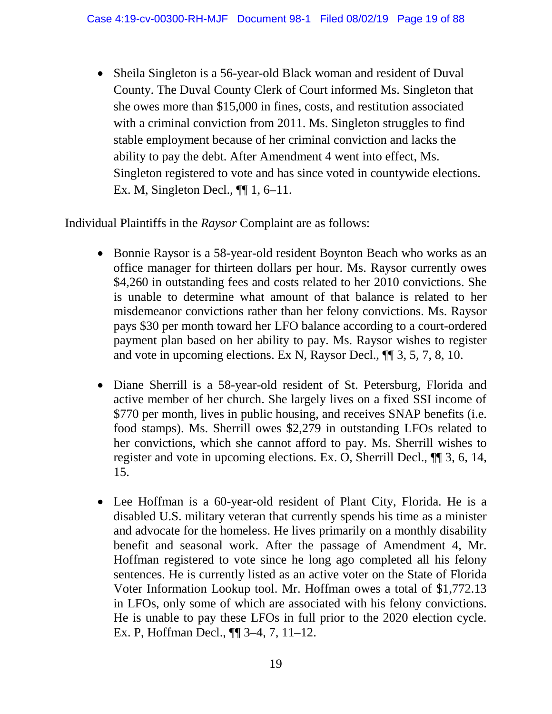• Sheila Singleton is a 56-year-old Black woman and resident of Duval County. The Duval County Clerk of Court informed Ms. Singleton that she owes more than \$15,000 in fines, costs, and restitution associated with a criminal conviction from 2011. Ms. Singleton struggles to find stable employment because of her criminal conviction and lacks the ability to pay the debt. After Amendment 4 went into effect, Ms. Singleton registered to vote and has since voted in countywide elections. Ex. M, Singleton Decl., ¶¶ 1, 6–11.

Individual Plaintiffs in the *Raysor* Complaint are as follows:

- Bonnie Raysor is a 58-year-old resident Boynton Beach who works as an office manager for thirteen dollars per hour. Ms. Raysor currently owes \$4,260 in outstanding fees and costs related to her 2010 convictions. She is unable to determine what amount of that balance is related to her misdemeanor convictions rather than her felony convictions. Ms. Raysor pays \$30 per month toward her LFO balance according to a court-ordered payment plan based on her ability to pay. Ms. Raysor wishes to register and vote in upcoming elections. Ex N, Raysor Decl., ¶¶ 3, 5, 7, 8, 10.
- Diane Sherrill is a 58-year-old resident of St. Petersburg, Florida and active member of her church. She largely lives on a fixed SSI income of \$770 per month, lives in public housing, and receives SNAP benefits (i.e. food stamps). Ms. Sherrill owes \$2,279 in outstanding LFOs related to her convictions, which she cannot afford to pay. Ms. Sherrill wishes to register and vote in upcoming elections. Ex. O, Sherrill Decl., ¶¶ 3, 6, 14, 15.
- Lee Hoffman is a 60-year-old resident of Plant City, Florida. He is a disabled U.S. military veteran that currently spends his time as a minister and advocate for the homeless. He lives primarily on a monthly disability benefit and seasonal work. After the passage of Amendment 4, Mr. Hoffman registered to vote since he long ago completed all his felony sentences. He is currently listed as an active voter on the State of Florida Voter Information Lookup tool. Mr. Hoffman owes a total of \$1,772.13 in LFOs, only some of which are associated with his felony convictions. He is unable to pay these LFOs in full prior to the 2020 election cycle. Ex. P, Hoffman Decl., ¶¶ 3–4, 7, 11–12.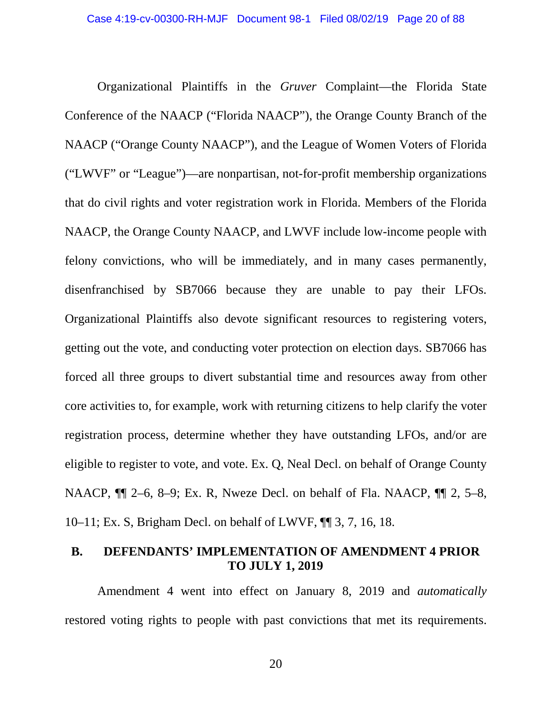Organizational Plaintiffs in the *Gruver* Complaint—the Florida State Conference of the NAACP ("Florida NAACP"), the Orange County Branch of the NAACP ("Orange County NAACP"), and the League of Women Voters of Florida ("LWVF" or "League")—are nonpartisan, not-for-profit membership organizations that do civil rights and voter registration work in Florida. Members of the Florida NAACP, the Orange County NAACP, and LWVF include low-income people with felony convictions, who will be immediately, and in many cases permanently, disenfranchised by SB7066 because they are unable to pay their LFOs. Organizational Plaintiffs also devote significant resources to registering voters, getting out the vote, and conducting voter protection on election days. SB7066 has forced all three groups to divert substantial time and resources away from other core activities to, for example, work with returning citizens to help clarify the voter registration process, determine whether they have outstanding LFOs, and/or are eligible to register to vote, and vote. Ex. Q, Neal Decl. on behalf of Orange County NAACP,  $\P$  2–6, 8–9; Ex. R, Nweze Decl. on behalf of Fla. NAACP,  $\P$  2, 5–8, 10–11; Ex. S, Brigham Decl. on behalf of LWVF, ¶¶ 3, 7, 16, 18.

### <span id="page-19-0"></span>**B. DEFENDANTS' IMPLEMENTATION OF AMENDMENT 4 PRIOR TO JULY 1, 2019**

Amendment 4 went into effect on January 8, 2019 and *automatically*  restored voting rights to people with past convictions that met its requirements.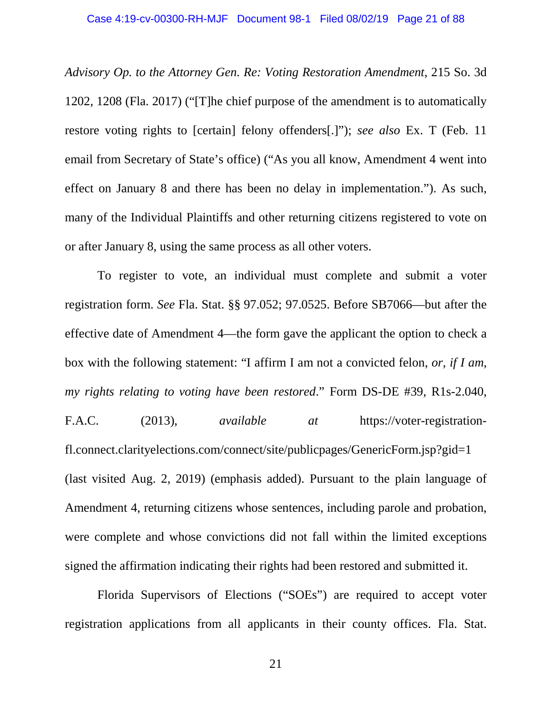*Advisory Op. to the Attorney Gen. Re: Voting Restoration Amendment*, 215 So. 3d 1202, 1208 (Fla. 2017) ("[T]he chief purpose of the amendment is to automatically restore voting rights to [certain] felony offenders[.]"); *see also* Ex. T (Feb. 11 email from Secretary of State's office) ("As you all know, Amendment 4 went into effect on January 8 and there has been no delay in implementation."). As such, many of the Individual Plaintiffs and other returning citizens registered to vote on or after January 8, using the same process as all other voters.

To register to vote, an individual must complete and submit a voter registration form. *See* Fla. Stat. §§ 97.052; 97.0525. Before SB7066—but after the effective date of Amendment 4—the form gave the applicant the option to check a box with the following statement: "I affirm I am not a convicted felon, *or, if I am, my rights relating to voting have been restored*." Form DS-DE #39, R1s-2.040, F.A.C. (2013), *available at* https://voter-registrationfl.connect.clarityelections.com/connect/site/publicpages/GenericForm.jsp?gid=1 (last visited Aug. 2, 2019) (emphasis added). Pursuant to the plain language of Amendment 4, returning citizens whose sentences, including parole and probation, were complete and whose convictions did not fall within the limited exceptions signed the affirmation indicating their rights had been restored and submitted it.

Florida Supervisors of Elections ("SOEs") are required to accept voter registration applications from all applicants in their county offices. Fla. Stat.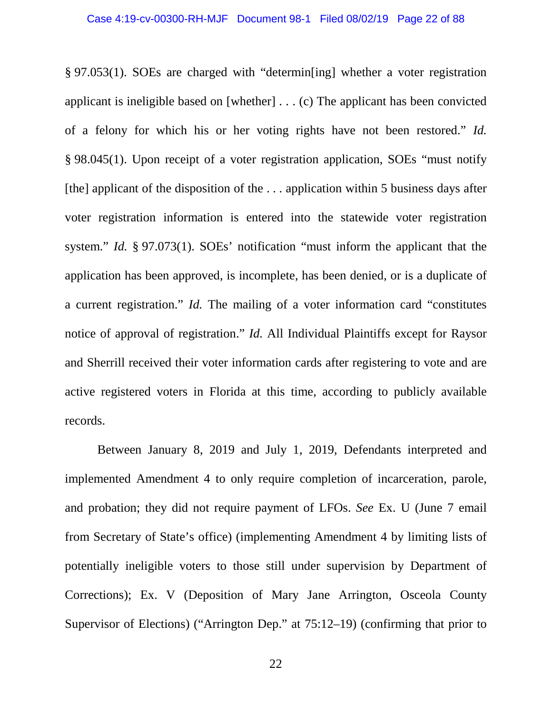§ 97.053(1). SOEs are charged with "determin[ing] whether a voter registration applicant is ineligible based on [whether] . . . (c) The applicant has been convicted of a felony for which his or her voting rights have not been restored." *Id.*  § 98.045(1). Upon receipt of a voter registration application, SOEs "must notify [the] applicant of the disposition of the  $\dots$  application within 5 business days after voter registration information is entered into the statewide voter registration system." *Id.* § 97.073(1). SOEs' notification "must inform the applicant that the application has been approved, is incomplete, has been denied, or is a duplicate of a current registration." *Id.* The mailing of a voter information card "constitutes notice of approval of registration." *Id.* All Individual Plaintiffs except for Raysor and Sherrill received their voter information cards after registering to vote and are active registered voters in Florida at this time, according to publicly available records.

Between January 8, 2019 and July 1, 2019, Defendants interpreted and implemented Amendment 4 to only require completion of incarceration, parole, and probation; they did not require payment of LFOs. *See* Ex. U (June 7 email from Secretary of State's office) (implementing Amendment 4 by limiting lists of potentially ineligible voters to those still under supervision by Department of Corrections); Ex. V (Deposition of Mary Jane Arrington, Osceola County Supervisor of Elections) ("Arrington Dep." at 75:12–19) (confirming that prior to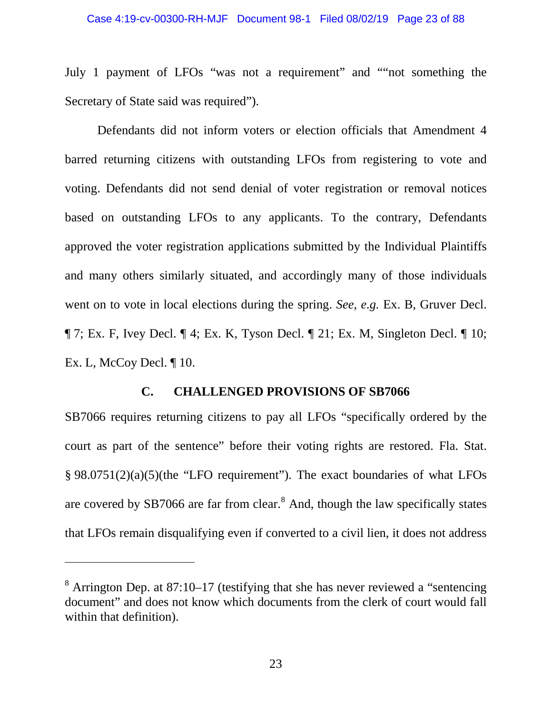July 1 payment of LFOs "was not a requirement" and ""not something the Secretary of State said was required").

Defendants did not inform voters or election officials that Amendment 4 barred returning citizens with outstanding LFOs from registering to vote and voting. Defendants did not send denial of voter registration or removal notices based on outstanding LFOs to any applicants. To the contrary, Defendants approved the voter registration applications submitted by the Individual Plaintiffs and many others similarly situated, and accordingly many of those individuals went on to vote in local elections during the spring. *See, e.g.* Ex. B, Gruver Decl.  $\P$  7; Ex. F, Ivey Decl.  $\P$  4; Ex. K, Tyson Decl.  $\P$  21; Ex. M, Singleton Decl.  $\P$  10; Ex. L, McCoy Decl. ¶ 10.

### **C. CHALLENGED PROVISIONS OF SB7066**

<span id="page-22-0"></span>SB7066 requires returning citizens to pay all LFOs "specifically ordered by the court as part of the sentence" before their voting rights are restored. Fla. Stat. § 98.0751(2)(a)(5)(the "LFO requirement"). The exact boundaries of what LFOs are covered by SB7066 are far from clear.<sup>[8](#page-22-1)</sup> And, though the law specifically states that LFOs remain disqualifying even if converted to a civil lien, it does not address

<span id="page-22-1"></span> $8$  Arrington Dep. at 87:10–17 (testifying that she has never reviewed a "sentencing" document" and does not know which documents from the clerk of court would fall within that definition).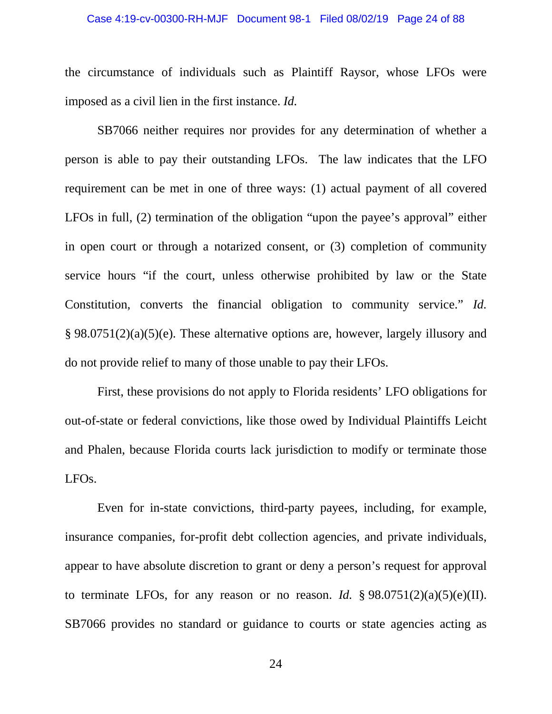#### Case 4:19-cv-00300-RH-MJF Document 98-1 Filed 08/02/19 Page 24 of 88

the circumstance of individuals such as Plaintiff Raysor, whose LFOs were imposed as a civil lien in the first instance. *Id.*

SB7066 neither requires nor provides for any determination of whether a person is able to pay their outstanding LFOs. The law indicates that the LFO requirement can be met in one of three ways: (1) actual payment of all covered LFOs in full, (2) termination of the obligation "upon the payee's approval" either in open court or through a notarized consent, or (3) completion of community service hours "if the court, unless otherwise prohibited by law or the State Constitution, converts the financial obligation to community service." *Id.* § 98.0751(2)(a)(5)(e). These alternative options are, however, largely illusory and do not provide relief to many of those unable to pay their LFOs.

First, these provisions do not apply to Florida residents' LFO obligations for out-of-state or federal convictions, like those owed by Individual Plaintiffs Leicht and Phalen, because Florida courts lack jurisdiction to modify or terminate those LFOs.

Even for in-state convictions, third-party payees, including, for example, insurance companies, for-profit debt collection agencies, and private individuals, appear to have absolute discretion to grant or deny a person's request for approval to terminate LFOs, for any reason or no reason. *Id.*  $\S 98.0751(2)(a)(5)(e)(II)$ . SB7066 provides no standard or guidance to courts or state agencies acting as

24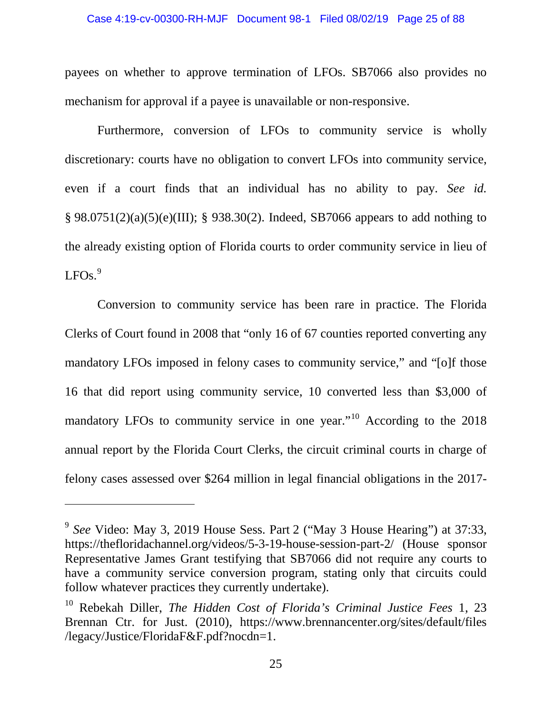#### Case 4:19-cv-00300-RH-MJF Document 98-1 Filed 08/02/19 Page 25 of 88

payees on whether to approve termination of LFOs. SB7066 also provides no mechanism for approval if a payee is unavailable or non-responsive.

Furthermore, conversion of LFOs to community service is wholly discretionary: courts have no obligation to convert LFOs into community service, even if a court finds that an individual has no ability to pay. *See id.* § 98.0751(2)(a)(5)(e)(III); § 938.30(2). Indeed, SB7066 appears to add nothing to the already existing option of Florida courts to order community service in lieu of  $LEOs.<sup>9</sup>$  $LEOs.<sup>9</sup>$  $LEOs.<sup>9</sup>$ 

Conversion to community service has been rare in practice. The Florida Clerks of Court found in 2008 that "only 16 of 67 counties reported converting any mandatory LFOs imposed in felony cases to community service," and "[o]f those 16 that did report using community service, 10 converted less than \$3,000 of mandatory LFOs to community service in one year."<sup>[10](#page-24-1)</sup> According to the 2018 annual report by the Florida Court Clerks, the circuit criminal courts in charge of felony cases assessed over \$264 million in legal financial obligations in the 2017-

<span id="page-24-0"></span><sup>9</sup> *See* Video: May 3, 2019 House Sess. Part 2 ("May 3 House Hearing") at 37:33, https://thefloridachannel.org/videos/5-3-19-house-session-part-2/ (House sponsor Representative James Grant testifying that SB7066 did not require any courts to have a community service conversion program, stating only that circuits could follow whatever practices they currently undertake).

<span id="page-24-1"></span><sup>10</sup> Rebekah Diller, *The Hidden Cost of Florida's Criminal Justice Fees* 1, 23 Brennan Ctr. for Just. (2010), https://www.brennancenter.org/sites/default/files /legacy/Justice/FloridaF&F.pdf?nocdn=1.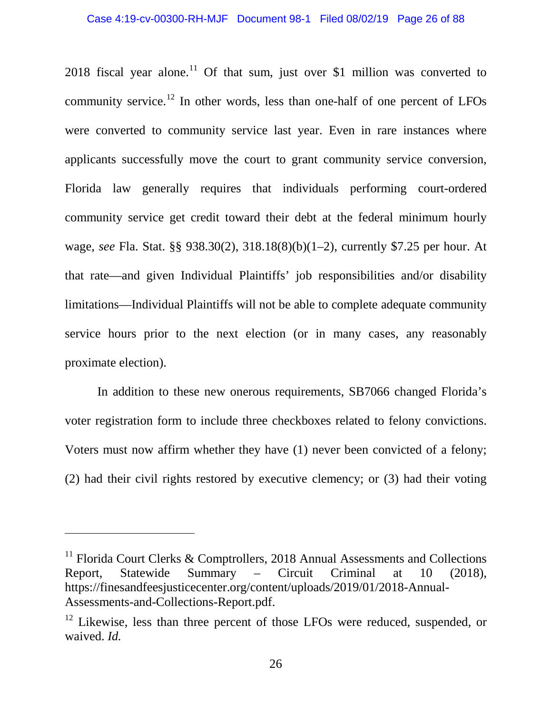2018 fiscal year alone.<sup>[11](#page-25-0)</sup> Of that sum, just over \$1 million was converted to community service.<sup>[12](#page-25-1)</sup> In other words, less than one-half of one percent of LFOs were converted to community service last year. Even in rare instances where applicants successfully move the court to grant community service conversion, Florida law generally requires that individuals performing court-ordered community service get credit toward their debt at the federal minimum hourly wage, *see* Fla. Stat. §§ 938.30(2), 318.18(8)(b)(1–2), currently \$7.25 per hour. At that rate—and given Individual Plaintiffs' job responsibilities and/or disability limitations—Individual Plaintiffs will not be able to complete adequate community service hours prior to the next election (or in many cases, any reasonably proximate election).

In addition to these new onerous requirements, SB7066 changed Florida's voter registration form to include three checkboxes related to felony convictions. Voters must now affirm whether they have (1) never been convicted of a felony; (2) had their civil rights restored by executive clemency; or (3) had their voting

<span id="page-25-0"></span><sup>&</sup>lt;sup>11</sup> Florida Court Clerks & Comptrollers, 2018 Annual Assessments and Collections Report, Statewide Summary – Circuit Criminal at 10 (2018), https://finesandfeesjusticecenter.org/content/uploads/2019/01/2018-Annual-Assessments-and-Collections-Report.pdf.

<span id="page-25-1"></span> $12$  Likewise, less than three percent of those LFOs were reduced, suspended, or waived. *Id.*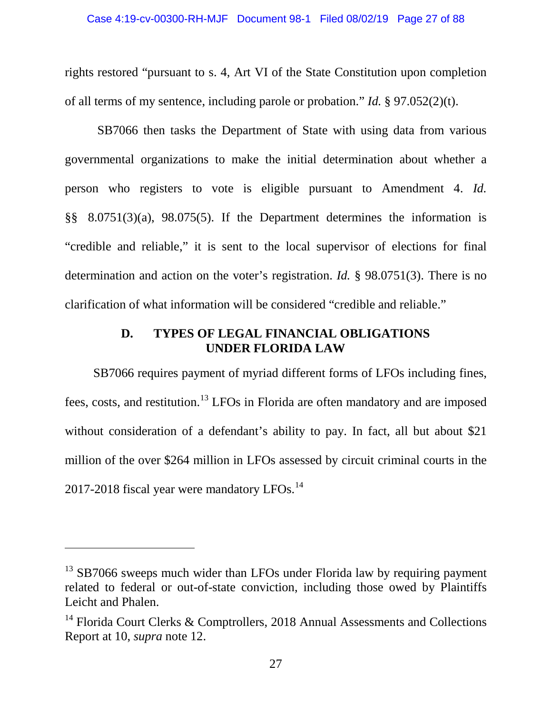rights restored "pursuant to s. 4, Art VI of the State Constitution upon completion of all terms of my sentence, including parole or probation." *Id.* § 97.052(2)(t).

SB7066 then tasks the Department of State with using data from various governmental organizations to make the initial determination about whether a person who registers to vote is eligible pursuant to Amendment 4. *Id.*  §§ 8.0751(3)(a), 98.075(5). If the Department determines the information is "credible and reliable," it is sent to the local supervisor of elections for final determination and action on the voter's registration. *Id.* § 98.0751(3). There is no clarification of what information will be considered "credible and reliable."

## **D. TYPES OF LEGAL FINANCIAL OBLIGATIONS UNDER FLORIDA LAW**

<span id="page-26-0"></span>SB7066 requires payment of myriad different forms of LFOs including fines, fees, costs, and restitution. [13](#page-26-1) LFOs in Florida are often mandatory and are imposed without consideration of a defendant's ability to pay. In fact, all but about \$21 million of the over \$264 million in LFOs assessed by circuit criminal courts in the 2017-2018 fiscal year were mandatory LFOs.<sup>[14](#page-26-2)</sup>

<span id="page-26-1"></span> $13$  SB7066 sweeps much wider than LFOs under Florida law by requiring payment related to federal or out-of-state conviction, including those owed by Plaintiffs Leicht and Phalen.

<span id="page-26-2"></span><sup>&</sup>lt;sup>14</sup> Florida Court Clerks & Comptrollers, 2018 Annual Assessments and Collections Report at 10, *supra* note 12.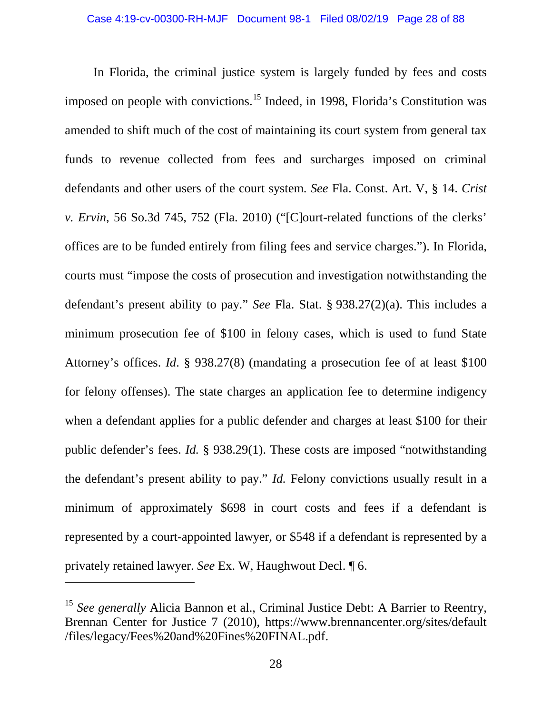In Florida, the criminal justice system is largely funded by fees and costs imposed on people with convictions.<sup>[15](#page-27-0)</sup> Indeed, in 1998, Florida's Constitution was amended to shift much of the cost of maintaining its court system from general tax funds to revenue collected from fees and surcharges imposed on criminal defendants and other users of the court system. *See* Fla. Const. Art. V, § 14. *Crist v. Ervin*, 56 So.3d 745, 752 (Fla. 2010) ("[C]ourt-related functions of the clerks' offices are to be funded entirely from filing fees and service charges."). In Florida, courts must "impose the costs of prosecution and investigation notwithstanding the defendant's present ability to pay." *See* Fla. Stat. § 938.27(2)(a). This includes a minimum prosecution fee of \$100 in felony cases, which is used to fund State Attorney's offices. *Id*. § 938.27(8) (mandating a prosecution fee of at least \$100 for felony offenses). The state charges an application fee to determine indigency when a defendant applies for a public defender and charges at least \$100 for their public defender's fees. *Id.* § 938.29(1). These costs are imposed "notwithstanding the defendant's present ability to pay." *Id.* Felony convictions usually result in a minimum of approximately \$698 in court costs and fees if a defendant is represented by a court-appointed lawyer, or \$548 if a defendant is represented by a privately retained lawyer. *See* Ex. W, Haughwout Decl. ¶ 6.

<span id="page-27-0"></span><sup>&</sup>lt;sup>15</sup> See generally Alicia Bannon et al., Criminal Justice Debt: A Barrier to Reentry, Brennan Center for Justice 7 (2010), https://www.brennancenter.org/sites/default /files/legacy/Fees%20and%20Fines%20FINAL.pdf.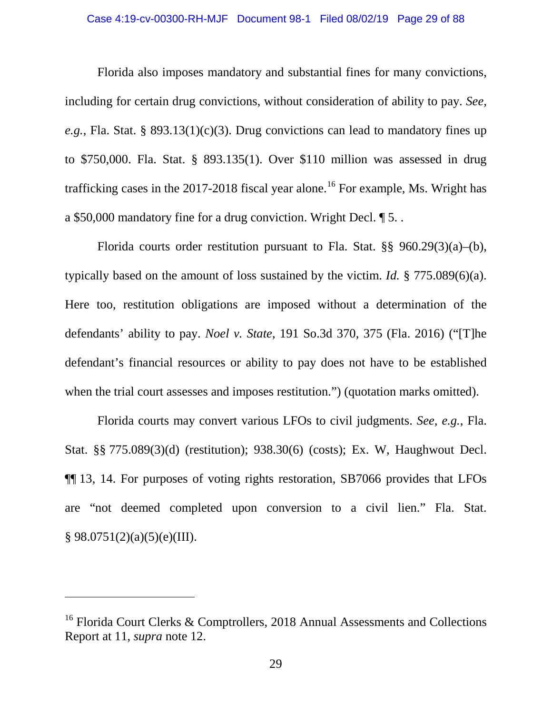#### Case 4:19-cv-00300-RH-MJF Document 98-1 Filed 08/02/19 Page 29 of 88

Florida also imposes mandatory and substantial fines for many convictions, including for certain drug convictions, without consideration of ability to pay. *See, e.g.*, Fla. Stat. § 893.13(1)(c)(3). Drug convictions can lead to mandatory fines up to \$750,000. Fla. Stat. § 893.135(1). Over \$110 million was assessed in drug trafficking cases in the  $2017-2018$  fiscal year alone.<sup>[16](#page-28-0)</sup> For example, Ms. Wright has a \$50,000 mandatory fine for a drug conviction. Wright Decl. ¶ 5. .

Florida courts order restitution pursuant to Fla. Stat. §§ 960.29(3)(a)–(b), typically based on the amount of loss sustained by the victim. *Id.* § 775.089(6)(a). Here too, restitution obligations are imposed without a determination of the defendants' ability to pay. *Noel v. State*, 191 So.3d 370, 375 (Fla. 2016) ("[T]he defendant's financial resources or ability to pay does not have to be established when the trial court assesses and imposes restitution.") (quotation marks omitted).

Florida courts may convert various LFOs to civil judgments. *See, e.g.*, Fla. Stat. §§ 775.089(3)(d) (restitution); 938.30(6) (costs); Ex. W, Haughwout Decl. ¶¶ 13, 14. For purposes of voting rights restoration, SB7066 provides that LFOs are "not deemed completed upon conversion to a civil lien." Fla. Stat.  $§ 98.0751(2)(a)(5)(e)(III).$ 

<span id="page-28-0"></span><sup>&</sup>lt;sup>16</sup> Florida Court Clerks & Comptrollers, 2018 Annual Assessments and Collections Report at 11, *supra* note 12.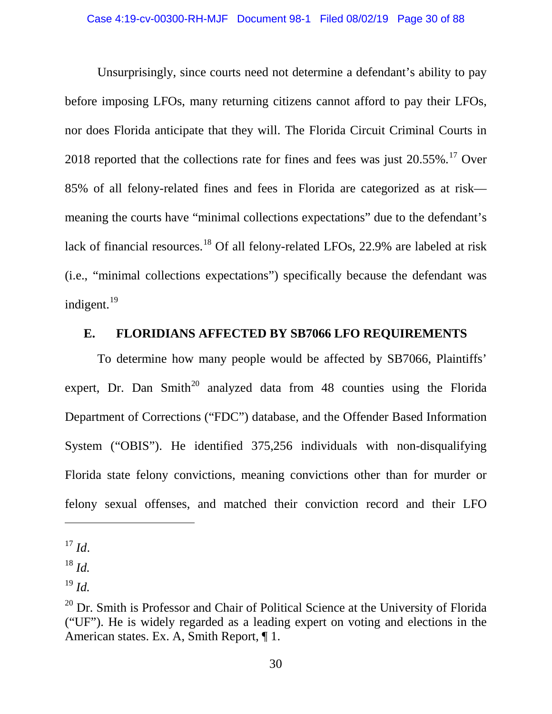Unsurprisingly, since courts need not determine a defendant's ability to pay before imposing LFOs, many returning citizens cannot afford to pay their LFOs, nor does Florida anticipate that they will. The Florida Circuit Criminal Courts in 2018 reported that the collections rate for fines and fees was just  $20.55\%$ .<sup>[17](#page-29-1)</sup> Over 85% of all felony-related fines and fees in Florida are categorized as at risk meaning the courts have "minimal collections expectations" due to the defendant's lack of financial resources.<sup>[18](#page-29-2)</sup> Of all felony-related LFOs, 22.9% are labeled at risk (i.e., "minimal collections expectations") specifically because the defendant was indigent. $^{19}$  $^{19}$  $^{19}$ 

## <span id="page-29-0"></span>**E. FLORIDIANS AFFECTED BY SB7066 LFO REQUIREMENTS**

To determine how many people would be affected by SB7066, Plaintiffs' expert, Dr. Dan Smith<sup>[20](#page-29-4)</sup> analyzed data from 48 counties using the Florida Department of Corrections ("FDC") database, and the Offender Based Information System ("OBIS"). He identified 375,256 individuals with non-disqualifying Florida state felony convictions, meaning convictions other than for murder or felony sexual offenses, and matched their conviction record and their LFO

<span id="page-29-1"></span> $^{17}$  *Id.* 

<span id="page-29-2"></span><sup>18</sup> *Id.*

<span id="page-29-3"></span><sup>19</sup> *Id.*

<span id="page-29-4"></span> $20$  Dr. Smith is Professor and Chair of Political Science at the University of Florida ("UF"). He is widely regarded as a leading expert on voting and elections in the American states. Ex. A, Smith Report, ¶ 1.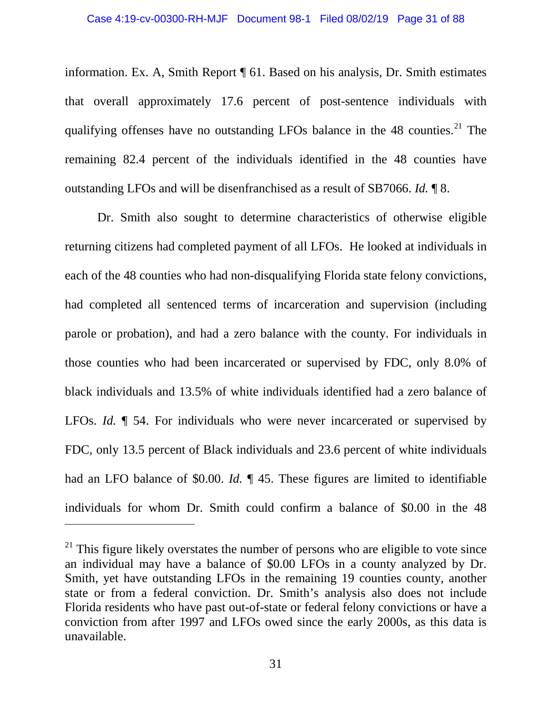information. Ex. A, Smith Report ¶ 61. Based on his analysis, Dr. Smith estimates that overall approximately 17.6 percent of post-sentence individuals with qualifying offenses have no outstanding LFOs balance in the 48 counties.<sup>[21](#page-30-0)</sup> The remaining 82.4 percent of the individuals identified in the 48 counties have outstanding LFOs and will be disenfranchised as a result of SB7066. *Id.* ¶ 8.

Dr. Smith also sought to determine characteristics of otherwise eligible returning citizens had completed payment of all LFOs. He looked at individuals in each of the 48 counties who had non-disqualifying Florida state felony convictions, had completed all sentenced terms of incarceration and supervision (including parole or probation), and had a zero balance with the county. For individuals in those counties who had been incarcerated or supervised by FDC, only 8.0% of black individuals and 13.5% of white individuals identified had a zero balance of LFOs. *Id.* ¶ 54. For individuals who were never incarcerated or supervised by FDC, only 13.5 percent of Black individuals and 23.6 percent of white individuals had an LFO balance of \$0.00. *Id.* ¶ 45. These figures are limited to identifiable individuals for whom Dr. Smith could confirm a balance of \$0.00 in the 48

<span id="page-30-0"></span> $21$  This figure likely overstates the number of persons who are eligible to vote since an individual may have a balance of \$0.00 LFOs in a county analyzed by Dr. Smith, yet have outstanding LFOs in the remaining 19 counties county, another state or from a federal conviction. Dr. Smith's analysis also does not include Florida residents who have past out-of-state or federal felony convictions or have a conviction from after 1997 and LFOs owed since the early 2000s, as this data is unavailable.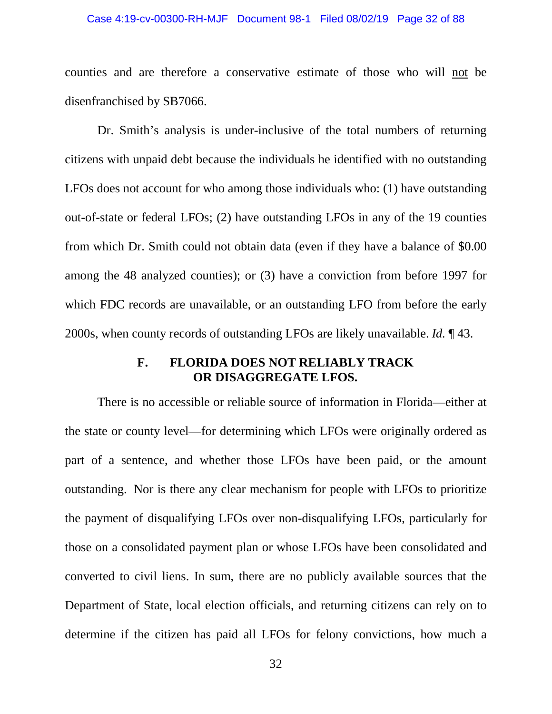#### Case 4:19-cv-00300-RH-MJF Document 98-1 Filed 08/02/19 Page 32 of 88

counties and are therefore a conservative estimate of those who will not be disenfranchised by SB7066.

Dr. Smith's analysis is under-inclusive of the total numbers of returning citizens with unpaid debt because the individuals he identified with no outstanding LFOs does not account for who among those individuals who: (1) have outstanding out-of-state or federal LFOs; (2) have outstanding LFOs in any of the 19 counties from which Dr. Smith could not obtain data (even if they have a balance of \$0.00 among the 48 analyzed counties); or (3) have a conviction from before 1997 for which FDC records are unavailable, or an outstanding LFO from before the early 2000s, when county records of outstanding LFOs are likely unavailable. *Id.* ¶ 43.

### **F. FLORIDA DOES NOT RELIABLY TRACK OR DISAGGREGATE LFOS.**

<span id="page-31-0"></span>There is no accessible or reliable source of information in Florida—either at the state or county level—for determining which LFOs were originally ordered as part of a sentence, and whether those LFOs have been paid, or the amount outstanding. Nor is there any clear mechanism for people with LFOs to prioritize the payment of disqualifying LFOs over non-disqualifying LFOs, particularly for those on a consolidated payment plan or whose LFOs have been consolidated and converted to civil liens. In sum, there are no publicly available sources that the Department of State, local election officials, and returning citizens can rely on to determine if the citizen has paid all LFOs for felony convictions, how much a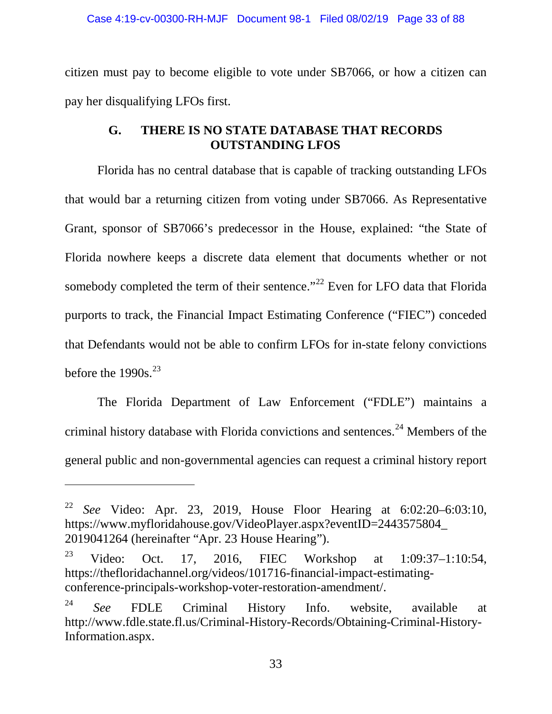citizen must pay to become eligible to vote under SB7066, or how a citizen can pay her disqualifying LFOs first.

## **G. THERE IS NO STATE DATABASE THAT RECORDS OUTSTANDING LFOS**

<span id="page-32-0"></span>Florida has no central database that is capable of tracking outstanding LFOs that would bar a returning citizen from voting under SB7066. As Representative Grant, sponsor of SB7066's predecessor in the House, explained: "the State of Florida nowhere keeps a discrete data element that documents whether or not somebody completed the term of their sentence."<sup>[22](#page-32-1)</sup> Even for LFO data that Florida purports to track, the Financial Impact Estimating Conference ("FIEC") conceded that Defendants would not be able to confirm LFOs for in-state felony convictions before the  $1990s^{23}$  $1990s^{23}$  $1990s^{23}$ 

The Florida Department of Law Enforcement ("FDLE") maintains a criminal history database with Florida convictions and sentences. [24](#page-32-3) Members of the general public and non-governmental agencies can request a criminal history report

<span id="page-32-1"></span><sup>22</sup> *See* Video: Apr. 23, 2019, House Floor Hearing at 6:02:20–6:03:10, https://www.myfloridahouse.gov/VideoPlayer.aspx?eventID=2443575804\_ 2019041264 (hereinafter "Apr. 23 House Hearing").

<span id="page-32-2"></span><sup>&</sup>lt;sup>23</sup> Video: Oct. 17, 2016, FIEC Workshop at 1:09:37–1:10:54, https://thefloridachannel.org/videos/101716-financial-impact-estimatingconference-principals-workshop-voter-restoration-amendment/.

<span id="page-32-3"></span><sup>24</sup> *See* FDLE Criminal History Info. website, available at http://www.fdle.state.fl.us/Criminal-History-Records/Obtaining-Criminal-History-Information.aspx.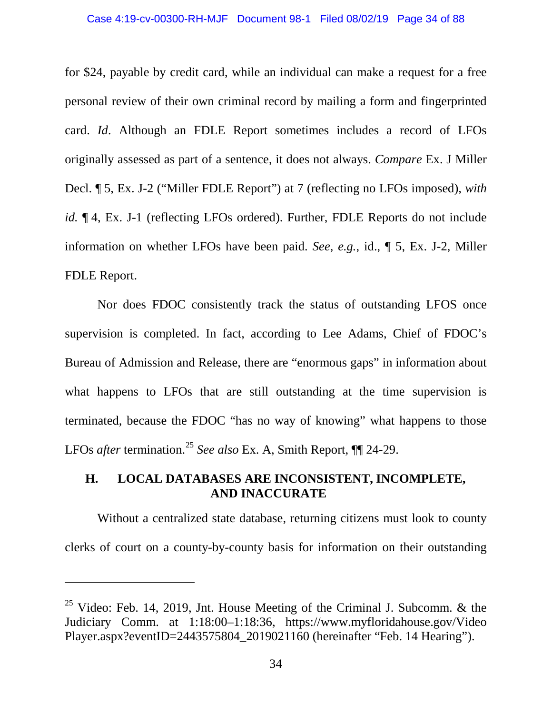for \$24, payable by credit card, while an individual can make a request for a free personal review of their own criminal record by mailing a form and fingerprinted card. *Id*. Although an FDLE Report sometimes includes a record of LFOs originally assessed as part of a sentence, it does not always. *Compare* Ex. J Miller Decl. ¶ 5, Ex. J-2 ("Miller FDLE Report") at 7 (reflecting no LFOs imposed), *with id.*  $\P$  4, Ex. J-1 (reflecting LFOs ordered). Further, FDLE Reports do not include information on whether LFOs have been paid. *See, e.g.*, id., ¶ 5, Ex. J-2, Miller FDLE Report.

Nor does FDOC consistently track the status of outstanding LFOS once supervision is completed. In fact, according to Lee Adams, Chief of FDOC's Bureau of Admission and Release, there are "enormous gaps" in information about what happens to LFOs that are still outstanding at the time supervision is terminated, because the FDOC "has no way of knowing" what happens to those LFOs *after* termination.[25](#page-33-1) *See also* Ex. A, Smith Report, ¶¶ 24-29.

## <span id="page-33-0"></span>**H. LOCAL DATABASES ARE INCONSISTENT, INCOMPLETE, AND INACCURATE**

Without a centralized state database, returning citizens must look to county clerks of court on a county-by-county basis for information on their outstanding

<span id="page-33-1"></span><sup>&</sup>lt;sup>25</sup> Video: Feb. 14, 2019, Jnt. House Meeting of the Criminal J. Subcomm. & the Judiciary Comm. at 1:18:00–1:18:36, https://www.myfloridahouse.gov/Video Player.aspx?eventID=2443575804\_2019021160 (hereinafter "Feb. 14 Hearing").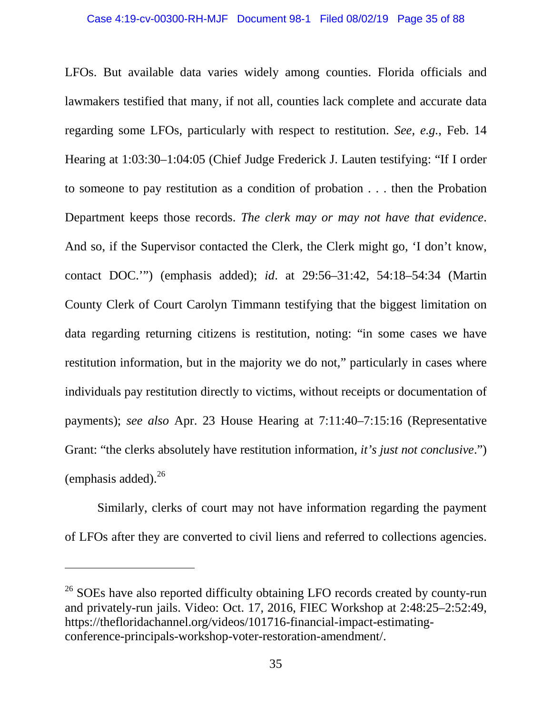LFOs. But available data varies widely among counties. Florida officials and lawmakers testified that many, if not all, counties lack complete and accurate data regarding some LFOs, particularly with respect to restitution. *See, e.g.*, Feb. 14 Hearing at 1:03:30–1:04:05 (Chief Judge Frederick J. Lauten testifying: "If I order to someone to pay restitution as a condition of probation . . . then the Probation Department keeps those records. *The clerk may or may not have that evidence*. And so, if the Supervisor contacted the Clerk, the Clerk might go, 'I don't know, contact DOC.'") (emphasis added); *id*. at 29:56–31:42, 54:18–54:34 (Martin County Clerk of Court Carolyn Timmann testifying that the biggest limitation on data regarding returning citizens is restitution, noting: "in some cases we have restitution information, but in the majority we do not," particularly in cases where individuals pay restitution directly to victims, without receipts or documentation of payments); *see also* Apr. 23 House Hearing at 7:11:40–7:15:16 (Representative Grant: "the clerks absolutely have restitution information, *it's just not conclusive*.") (emphasis added). [26](#page-34-0)

Similarly, clerks of court may not have information regarding the payment of LFOs after they are converted to civil liens and referred to collections agencies.

<span id="page-34-0"></span><sup>&</sup>lt;sup>26</sup> SOEs have also reported difficulty obtaining LFO records created by county-run and privately-run jails. Video: Oct. 17, 2016, FIEC Workshop at 2:48:25–2:52:49, https://thefloridachannel.org/videos/101716-financial-impact-estimatingconference-principals-workshop-voter-restoration-amendment/.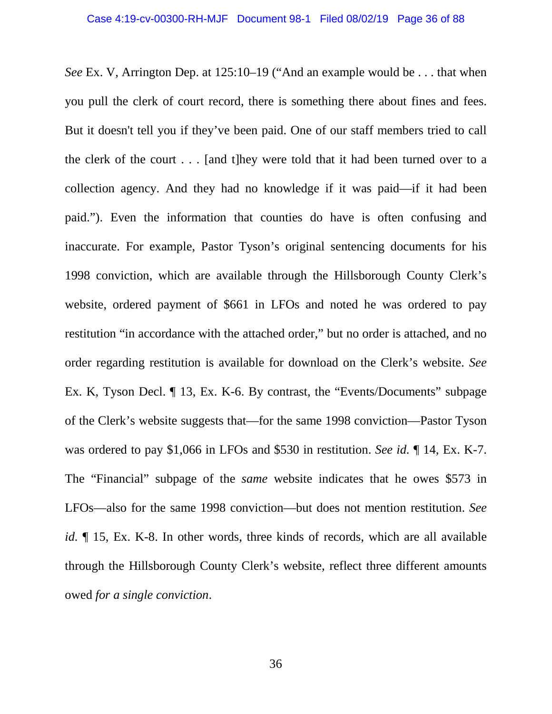*See* Ex. V, Arrington Dep. at 125:10–19 ("And an example would be . . . that when you pull the clerk of court record, there is something there about fines and fees. But it doesn't tell you if they've been paid. One of our staff members tried to call the clerk of the court . . . [and t]hey were told that it had been turned over to a collection agency. And they had no knowledge if it was paid—if it had been paid."). Even the information that counties do have is often confusing and inaccurate. For example, Pastor Tyson's original sentencing documents for his 1998 conviction, which are available through the Hillsborough County Clerk's website, ordered payment of \$661 in LFOs and noted he was ordered to pay restitution "in accordance with the attached order," but no order is attached, and no order regarding restitution is available for download on the Clerk's website. *See* Ex. K, Tyson Decl. ¶ 13, Ex. K-6. By contrast, the "Events/Documents" subpage of the Clerk's website suggests that—for the same 1998 conviction—Pastor Tyson was ordered to pay \$1,066 in LFOs and \$530 in restitution. *See id.* ¶ 14, Ex. K-7. The "Financial" subpage of the *same* website indicates that he owes \$573 in LFOs—also for the same 1998 conviction—but does not mention restitution. *See id.* ¶ 15, Ex. K-8. In other words, three kinds of records, which are all available through the Hillsborough County Clerk's website, reflect three different amounts owed *for a single conviction*.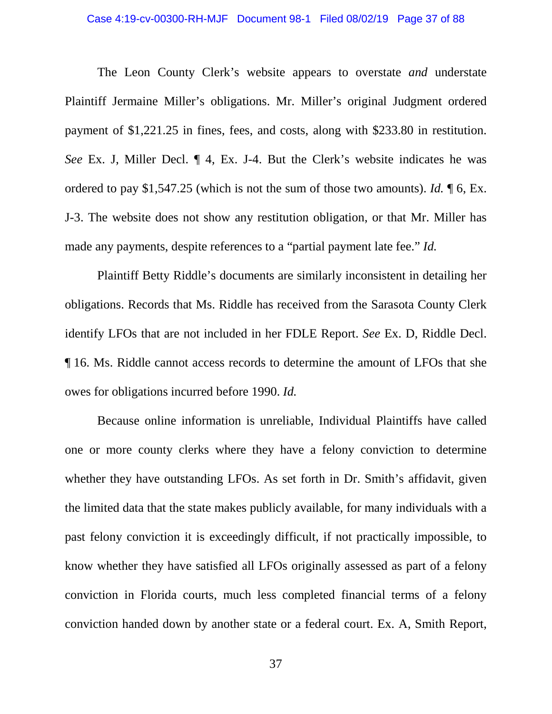#### Case 4:19-cv-00300-RH-MJF Document 98-1 Filed 08/02/19 Page 37 of 88

The Leon County Clerk's website appears to overstate *and* understate Plaintiff Jermaine Miller's obligations. Mr. Miller's original Judgment ordered payment of \$1,221.25 in fines, fees, and costs, along with \$233.80 in restitution. *See* Ex. J, Miller Decl.  $\P$  4, Ex. J-4. But the Clerk's website indicates he was ordered to pay \$1,547.25 (which is not the sum of those two amounts). *Id.* ¶ 6, Ex. J-3. The website does not show any restitution obligation, or that Mr. Miller has made any payments, despite references to a "partial payment late fee." *Id.*

Plaintiff Betty Riddle's documents are similarly inconsistent in detailing her obligations. Records that Ms. Riddle has received from the Sarasota County Clerk identify LFOs that are not included in her FDLE Report. *See* Ex. D, Riddle Decl. ¶ 16. Ms. Riddle cannot access records to determine the amount of LFOs that she owes for obligations incurred before 1990. *Id.*

Because online information is unreliable, Individual Plaintiffs have called one or more county clerks where they have a felony conviction to determine whether they have outstanding LFOs. As set forth in Dr. Smith's affidavit, given the limited data that the state makes publicly available, for many individuals with a past felony conviction it is exceedingly difficult, if not practically impossible, to know whether they have satisfied all LFOs originally assessed as part of a felony conviction in Florida courts, much less completed financial terms of a felony conviction handed down by another state or a federal court. Ex. A, Smith Report,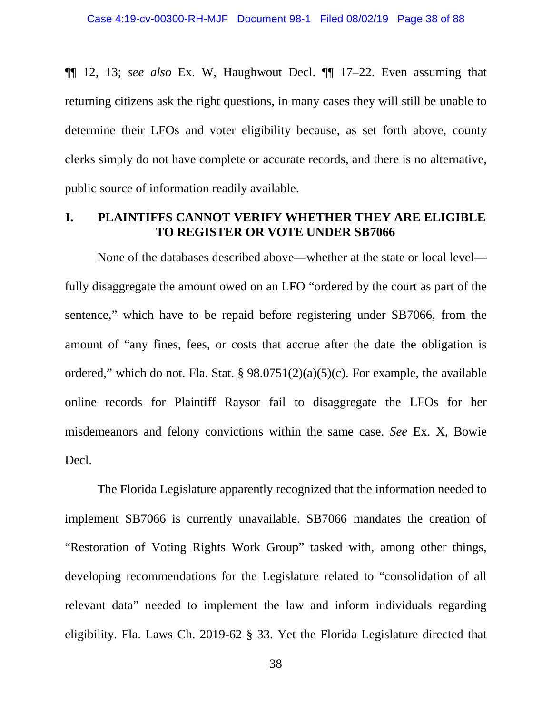¶¶ 12, 13; *see also* Ex. W, Haughwout Decl. ¶¶ 17–22. Even assuming that returning citizens ask the right questions, in many cases they will still be unable to determine their LFOs and voter eligibility because, as set forth above, county clerks simply do not have complete or accurate records, and there is no alternative, public source of information readily available.

## **I. PLAINTIFFS CANNOT VERIFY WHETHER THEY ARE ELIGIBLE TO REGISTER OR VOTE UNDER SB7066**

None of the databases described above—whether at the state or local level fully disaggregate the amount owed on an LFO "ordered by the court as part of the sentence," which have to be repaid before registering under SB7066, from the amount of "any fines, fees, or costs that accrue after the date the obligation is ordered," which do not. Fla. Stat. § 98.0751(2)(a)(5)(c). For example, the available online records for Plaintiff Raysor fail to disaggregate the LFOs for her misdemeanors and felony convictions within the same case. *See* Ex. X, Bowie Decl.

The Florida Legislature apparently recognized that the information needed to implement SB7066 is currently unavailable. SB7066 mandates the creation of "Restoration of Voting Rights Work Group" tasked with, among other things, developing recommendations for the Legislature related to "consolidation of all relevant data" needed to implement the law and inform individuals regarding eligibility. Fla. Laws Ch. 2019-62 § 33. Yet the Florida Legislature directed that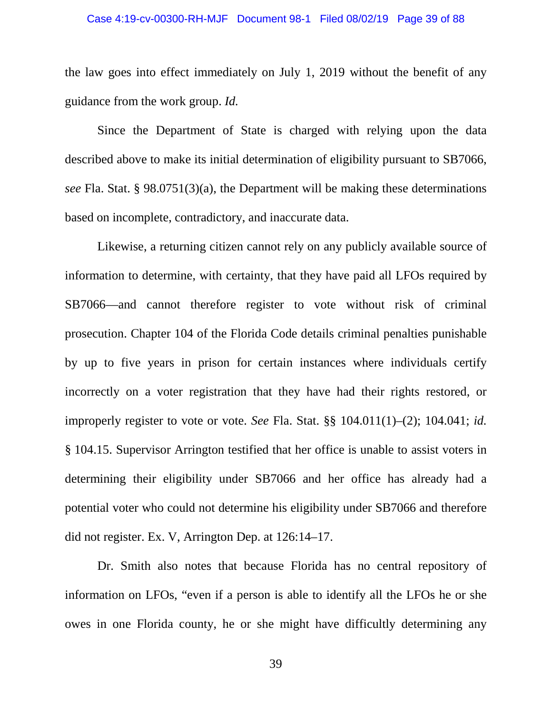#### Case 4:19-cv-00300-RH-MJF Document 98-1 Filed 08/02/19 Page 39 of 88

the law goes into effect immediately on July 1, 2019 without the benefit of any guidance from the work group. *Id.*

Since the Department of State is charged with relying upon the data described above to make its initial determination of eligibility pursuant to SB7066, *see* Fla. Stat. § 98.0751(3)(a), the Department will be making these determinations based on incomplete, contradictory, and inaccurate data.

Likewise, a returning citizen cannot rely on any publicly available source of information to determine, with certainty, that they have paid all LFOs required by SB7066—and cannot therefore register to vote without risk of criminal prosecution. Chapter 104 of the Florida Code details criminal penalties punishable by up to five years in prison for certain instances where individuals certify incorrectly on a voter registration that they have had their rights restored, or improperly register to vote or vote. *See* Fla. Stat. §§ 104.011(1)–(2); 104.041; *id.* § 104.15. Supervisor Arrington testified that her office is unable to assist voters in determining their eligibility under SB7066 and her office has already had a potential voter who could not determine his eligibility under SB7066 and therefore did not register. Ex. V, Arrington Dep. at 126:14–17.

Dr. Smith also notes that because Florida has no central repository of information on LFOs, "even if a person is able to identify all the LFOs he or she owes in one Florida county, he or she might have difficultly determining any

39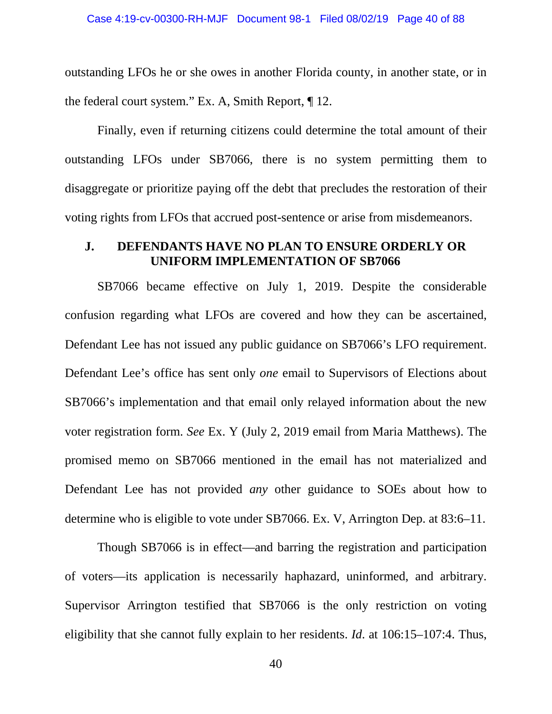outstanding LFOs he or she owes in another Florida county, in another state, or in the federal court system." Ex. A, Smith Report, ¶ 12.

Finally, even if returning citizens could determine the total amount of their outstanding LFOs under SB7066, there is no system permitting them to disaggregate or prioritize paying off the debt that precludes the restoration of their voting rights from LFOs that accrued post-sentence or arise from misdemeanors.

## **J. DEFENDANTS HAVE NO PLAN TO ENSURE ORDERLY OR UNIFORM IMPLEMENTATION OF SB7066**

SB7066 became effective on July 1, 2019. Despite the considerable confusion regarding what LFOs are covered and how they can be ascertained, Defendant Lee has not issued any public guidance on SB7066's LFO requirement. Defendant Lee's office has sent only *one* email to Supervisors of Elections about SB7066's implementation and that email only relayed information about the new voter registration form. *See* Ex. Y (July 2, 2019 email from Maria Matthews). The promised memo on SB7066 mentioned in the email has not materialized and Defendant Lee has not provided *any* other guidance to SOEs about how to determine who is eligible to vote under SB7066. Ex. V, Arrington Dep. at 83:6–11.

Though SB7066 is in effect—and barring the registration and participation of voters—its application is necessarily haphazard, uninformed, and arbitrary. Supervisor Arrington testified that SB7066 is the only restriction on voting eligibility that she cannot fully explain to her residents. *Id*. at 106:15–107:4. Thus,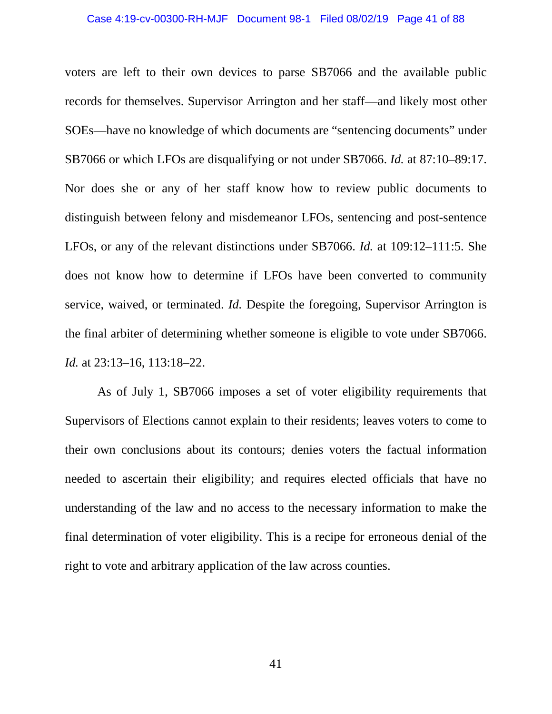#### Case 4:19-cv-00300-RH-MJF Document 98-1 Filed 08/02/19 Page 41 of 88

voters are left to their own devices to parse SB7066 and the available public records for themselves. Supervisor Arrington and her staff—and likely most other SOEs—have no knowledge of which documents are "sentencing documents" under SB7066 or which LFOs are disqualifying or not under SB7066. *Id.* at 87:10–89:17. Nor does she or any of her staff know how to review public documents to distinguish between felony and misdemeanor LFOs, sentencing and post-sentence LFOs, or any of the relevant distinctions under SB7066. *Id.* at 109:12–111:5. She does not know how to determine if LFOs have been converted to community service, waived, or terminated. *Id.* Despite the foregoing, Supervisor Arrington is the final arbiter of determining whether someone is eligible to vote under SB7066. *Id.* at 23:13–16, 113:18–22.

As of July 1, SB7066 imposes a set of voter eligibility requirements that Supervisors of Elections cannot explain to their residents; leaves voters to come to their own conclusions about its contours; denies voters the factual information needed to ascertain their eligibility; and requires elected officials that have no understanding of the law and no access to the necessary information to make the final determination of voter eligibility. This is a recipe for erroneous denial of the right to vote and arbitrary application of the law across counties.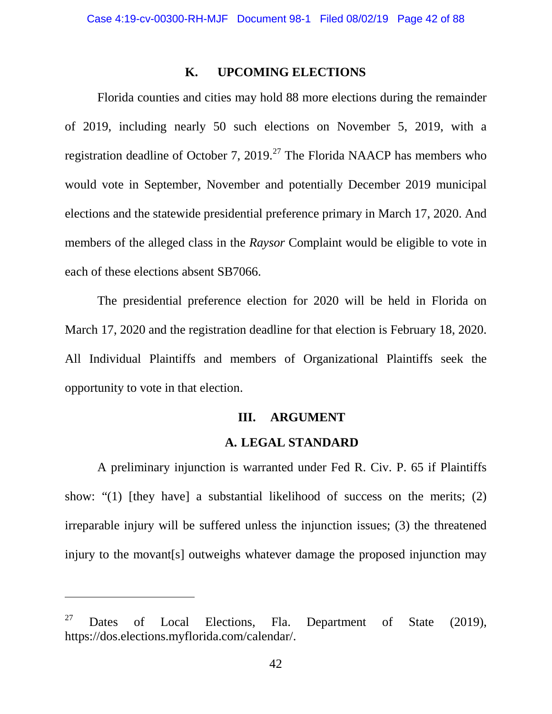### **K. UPCOMING ELECTIONS**

Florida counties and cities may hold 88 more elections during the remainder of 2019, including nearly 50 such elections on November 5, 2019, with a registration deadline of October 7,  $2019<sup>27</sup>$  $2019<sup>27</sup>$  $2019<sup>27</sup>$  The Florida NAACP has members who would vote in September, November and potentially December 2019 municipal elections and the statewide presidential preference primary in March 17, 2020. And members of the alleged class in the *Raysor* Complaint would be eligible to vote in each of these elections absent SB7066.

The presidential preference election for 2020 will be held in Florida on March 17, 2020 and the registration deadline for that election is February 18, 2020. All Individual Plaintiffs and members of Organizational Plaintiffs seek the opportunity to vote in that election.

### **III. ARGUMENT**

### **A. LEGAL STANDARD**

A preliminary injunction is warranted under Fed R. Civ. P. 65 if Plaintiffs show: "(1) [they have] a substantial likelihood of success on the merits; (2) irreparable injury will be suffered unless the injunction issues; (3) the threatened injury to the movant[s] outweighs whatever damage the proposed injunction may

<span id="page-41-0"></span><sup>&</sup>lt;sup>27</sup> Dates of Local Elections, Fla. Department of State  $(2019)$ , https://dos.elections.myflorida.com/calendar/.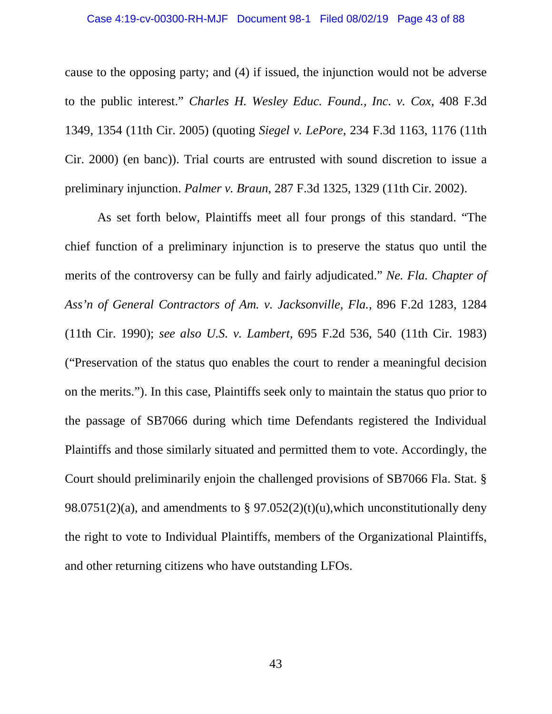cause to the opposing party; and (4) if issued, the injunction would not be adverse to the public interest." *Charles H. Wesley Educ. Found., Inc. v. Cox*, 408 F.3d 1349, 1354 (11th Cir. 2005) (quoting *Siegel v. LePore*, 234 F.3d 1163, 1176 (11th Cir. 2000) (en banc)). Trial courts are entrusted with sound discretion to issue a preliminary injunction. *Palmer v. Braun*, 287 F.3d 1325, 1329 (11th Cir. 2002).

As set forth below, Plaintiffs meet all four prongs of this standard. "The chief function of a preliminary injunction is to preserve the status quo until the merits of the controversy can be fully and fairly adjudicated." *Ne. Fla. Chapter of Ass'n of General Contractors of Am. v. Jacksonville, Fla.,* 896 F.2d 1283, 1284 (11th Cir. 1990); *see also U.S. v. Lambert*, 695 F.2d 536, 540 (11th Cir. 1983) ("Preservation of the status quo enables the court to render a meaningful decision on the merits."). In this case, Plaintiffs seek only to maintain the status quo prior to the passage of SB7066 during which time Defendants registered the Individual Plaintiffs and those similarly situated and permitted them to vote. Accordingly, the Court should preliminarily enjoin the challenged provisions of SB7066 Fla. Stat. § 98.0751(2)(a), and amendments to § 97.052(2)(t)(u), which unconstitutionally deny the right to vote to Individual Plaintiffs, members of the Organizational Plaintiffs, and other returning citizens who have outstanding LFOs.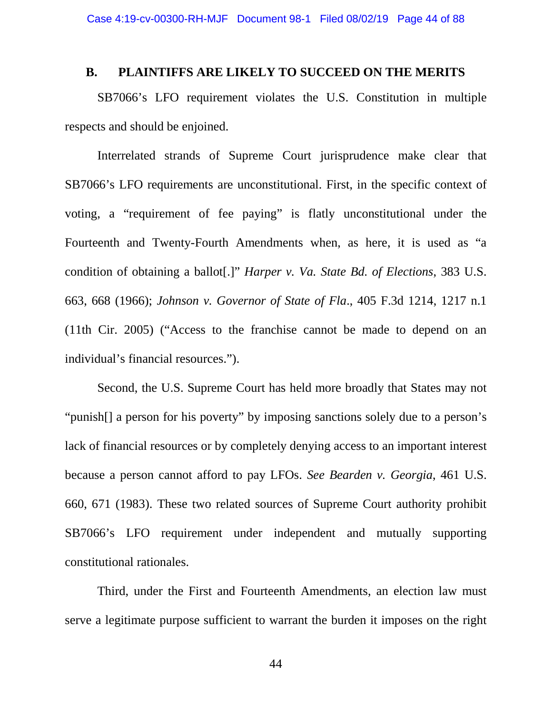## **B. PLAINTIFFS ARE LIKELY TO SUCCEED ON THE MERITS**

SB7066's LFO requirement violates the U.S. Constitution in multiple respects and should be enjoined.

Interrelated strands of Supreme Court jurisprudence make clear that SB7066's LFO requirements are unconstitutional. First, in the specific context of voting, a "requirement of fee paying" is flatly unconstitutional under the Fourteenth and Twenty-Fourth Amendments when, as here, it is used as "a condition of obtaining a ballot[.]" *Harper v. Va. State Bd. of Elections*, 383 U.S. 663, 668 (1966); *Johnson v. Governor of State of Fla*., 405 F.3d 1214, 1217 n.1 (11th Cir. 2005) ("Access to the franchise cannot be made to depend on an individual's financial resources.").

Second, the U.S. Supreme Court has held more broadly that States may not "punish[] a person for his poverty" by imposing sanctions solely due to a person's lack of financial resources or by completely denying access to an important interest because a person cannot afford to pay LFOs. *See Bearden v. Georgia*, 461 U.S. 660, 671 (1983). These two related sources of Supreme Court authority prohibit SB7066's LFO requirement under independent and mutually supporting constitutional rationales.

Third, under the First and Fourteenth Amendments, an election law must serve a legitimate purpose sufficient to warrant the burden it imposes on the right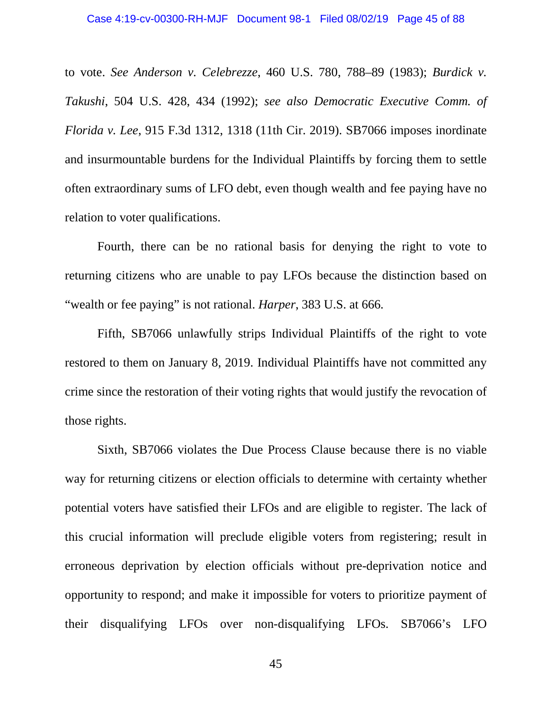to vote. *See Anderson v. Celebrezze*, 460 U.S. 780, 788–89 (1983); *Burdick v. Takushi*, 504 U.S. 428, 434 (1992); *see also Democratic Executive Comm. of Florida v. Lee*, 915 F.3d 1312, 1318 (11th Cir. 2019). SB7066 imposes inordinate and insurmountable burdens for the Individual Plaintiffs by forcing them to settle often extraordinary sums of LFO debt, even though wealth and fee paying have no relation to voter qualifications.

Fourth, there can be no rational basis for denying the right to vote to returning citizens who are unable to pay LFOs because the distinction based on "wealth or fee paying" is not rational. *Harper*, 383 U.S. at 666*.*

Fifth, SB7066 unlawfully strips Individual Plaintiffs of the right to vote restored to them on January 8, 2019. Individual Plaintiffs have not committed any crime since the restoration of their voting rights that would justify the revocation of those rights.

Sixth, SB7066 violates the Due Process Clause because there is no viable way for returning citizens or election officials to determine with certainty whether potential voters have satisfied their LFOs and are eligible to register. The lack of this crucial information will preclude eligible voters from registering; result in erroneous deprivation by election officials without pre-deprivation notice and opportunity to respond; and make it impossible for voters to prioritize payment of their disqualifying LFOs over non-disqualifying LFOs. SB7066's LFO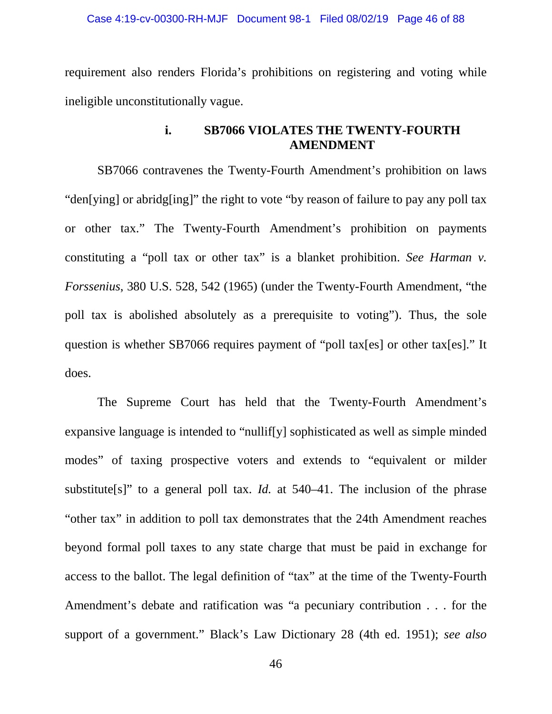requirement also renders Florida's prohibitions on registering and voting while ineligible unconstitutionally vague.

# **i. SB7066 VIOLATES THE TWENTY-FOURTH AMENDMENT**

SB7066 contravenes the Twenty-Fourth Amendment's prohibition on laws "den[ying] or abridg[ing]" the right to vote "by reason of failure to pay any poll tax or other tax." The Twenty-Fourth Amendment's prohibition on payments constituting a "poll tax or other tax" is a blanket prohibition. *See Harman v. Forssenius*, 380 U.S. 528, 542 (1965) (under the Twenty-Fourth Amendment, "the poll tax is abolished absolutely as a prerequisite to voting"). Thus, the sole question is whether SB7066 requires payment of "poll tax[es] or other tax[es]." It does.

The Supreme Court has held that the Twenty-Fourth Amendment's expansive language is intended to "nullif[y] sophisticated as well as simple minded modes" of taxing prospective voters and extends to "equivalent or milder substitute<sup>[s]"</sup> to a general poll tax. *Id.* at 540–41. The inclusion of the phrase "other tax" in addition to poll tax demonstrates that the 24th Amendment reaches beyond formal poll taxes to any state charge that must be paid in exchange for access to the ballot. The legal definition of "tax" at the time of the Twenty-Fourth Amendment's debate and ratification was "a pecuniary contribution . . . for the support of a government." Black's Law Dictionary 28 (4th ed. 1951); *see also*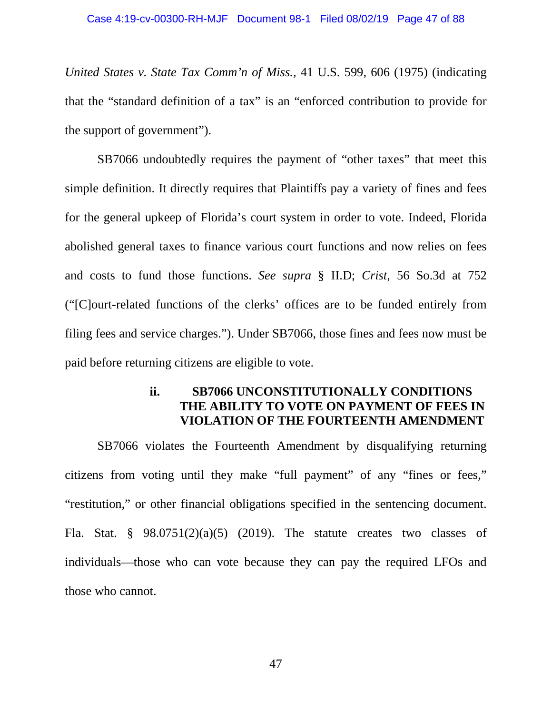*United States v. State Tax Comm'n of Miss.,* 41 U.S. 599, 606 (1975) (indicating that the "standard definition of a tax" is an "enforced contribution to provide for the support of government").

SB7066 undoubtedly requires the payment of "other taxes" that meet this simple definition. It directly requires that Plaintiffs pay a variety of fines and fees for the general upkeep of Florida's court system in order to vote. Indeed, Florida abolished general taxes to finance various court functions and now relies on fees and costs to fund those functions. *See supra* § II.D; *Crist*, 56 So.3d at 752 ("[C]ourt-related functions of the clerks' offices are to be funded entirely from filing fees and service charges."). Under SB7066, those fines and fees now must be paid before returning citizens are eligible to vote.

# **ii. SB7066 UNCONSTITUTIONALLY CONDITIONS THE ABILITY TO VOTE ON PAYMENT OF FEES IN VIOLATION OF THE FOURTEENTH AMENDMENT**

SB7066 violates the Fourteenth Amendment by disqualifying returning citizens from voting until they make "full payment" of any "fines or fees," "restitution," or other financial obligations specified in the sentencing document. Fla. Stat. §  $98.0751(2)(a)(5)$  (2019). The statute creates two classes of individuals—those who can vote because they can pay the required LFOs and those who cannot.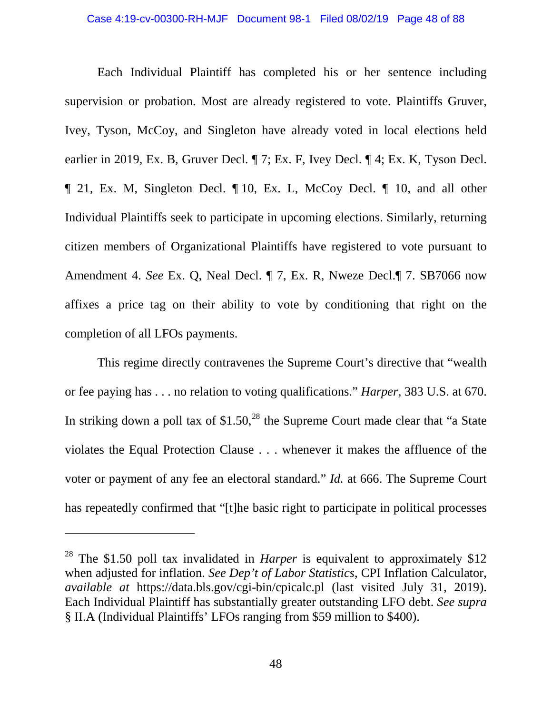#### Case 4:19-cv-00300-RH-MJF Document 98-1 Filed 08/02/19 Page 48 of 88

Each Individual Plaintiff has completed his or her sentence including supervision or probation. Most are already registered to vote. Plaintiffs Gruver, Ivey, Tyson, McCoy, and Singleton have already voted in local elections held earlier in 2019, Ex. B, Gruver Decl. ¶ 7; Ex. F, Ivey Decl. ¶ 4; Ex. K, Tyson Decl. ¶ 21, Ex. M, Singleton Decl. ¶ 10, Ex. L, McCoy Decl. ¶ 10, and all other Individual Plaintiffs seek to participate in upcoming elections. Similarly, returning citizen members of Organizational Plaintiffs have registered to vote pursuant to Amendment 4. *See* Ex. Q, Neal Decl. ¶ 7, Ex. R, Nweze Decl.¶ 7. SB7066 now affixes a price tag on their ability to vote by conditioning that right on the completion of all LFOs payments.

This regime directly contravenes the Supreme Court's directive that "wealth or fee paying has . . . no relation to voting qualifications." *Harper*, 383 U.S. at 670. In striking down a poll tax of  $$1.50<sup>28</sup>$  $$1.50<sup>28</sup>$  $$1.50<sup>28</sup>$  the Supreme Court made clear that "a State" violates the Equal Protection Clause . . . whenever it makes the affluence of the voter or payment of any fee an electoral standard." *Id.* at 666. The Supreme Court has repeatedly confirmed that "[t]he basic right to participate in political processes

<span id="page-47-0"></span><sup>28</sup> The \$1.50 poll tax invalidated in *Harper* is equivalent to approximately \$12 when adjusted for inflation. *See Dep't of Labor Statistics*, CPI Inflation Calculator, *available at* https://data.bls.gov/cgi-bin/cpicalc.pl (last visited July 31, 2019). Each Individual Plaintiff has substantially greater outstanding LFO debt. *See supra*  § II.A (Individual Plaintiffs' LFOs ranging from \$59 million to \$400).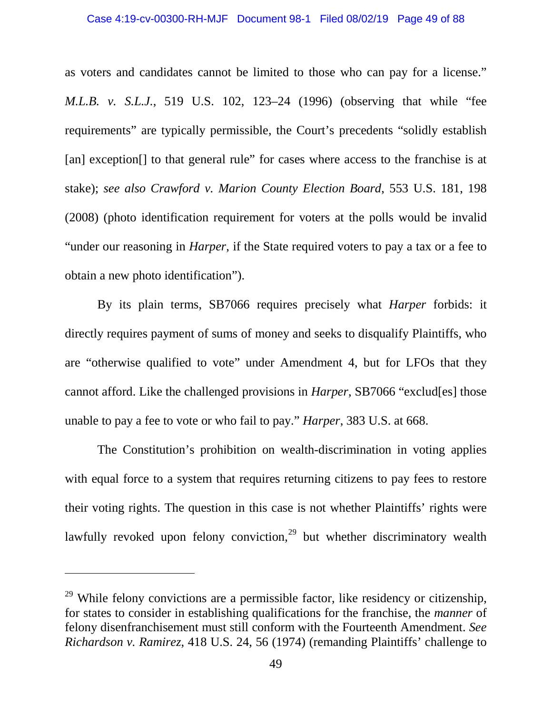as voters and candidates cannot be limited to those who can pay for a license." *M.L.B. v. S.L.J.*, 519 U.S. 102, 123–24 (1996) (observing that while "fee requirements" are typically permissible, the Court's precedents "solidly establish [an] exception<sup>[]</sup> to that general rule" for cases where access to the franchise is at stake); *see also Crawford v. Marion County Election Board*, 553 U.S. 181, 198 (2008) (photo identification requirement for voters at the polls would be invalid "under our reasoning in *Harper*, if the State required voters to pay a tax or a fee to obtain a new photo identification").

By its plain terms, SB7066 requires precisely what *Harper* forbids: it directly requires payment of sums of money and seeks to disqualify Plaintiffs, who are "otherwise qualified to vote" under Amendment 4, but for LFOs that they cannot afford. Like the challenged provisions in *Harper*, SB7066 "exclud[es] those unable to pay a fee to vote or who fail to pay." *Harper*, 383 U.S. at 668.

The Constitution's prohibition on wealth-discrimination in voting applies with equal force to a system that requires returning citizens to pay fees to restore their voting rights. The question in this case is not whether Plaintiffs' rights were lawfully revoked upon felony conviction,<sup>[29](#page-48-0)</sup> but whether discriminatory wealth

<span id="page-48-0"></span> $29$  While felony convictions are a permissible factor, like residency or citizenship, for states to consider in establishing qualifications for the franchise, the *manner* of felony disenfranchisement must still conform with the Fourteenth Amendment. *See Richardson v. Ramirez*, 418 U.S. 24, 56 (1974) (remanding Plaintiffs' challenge to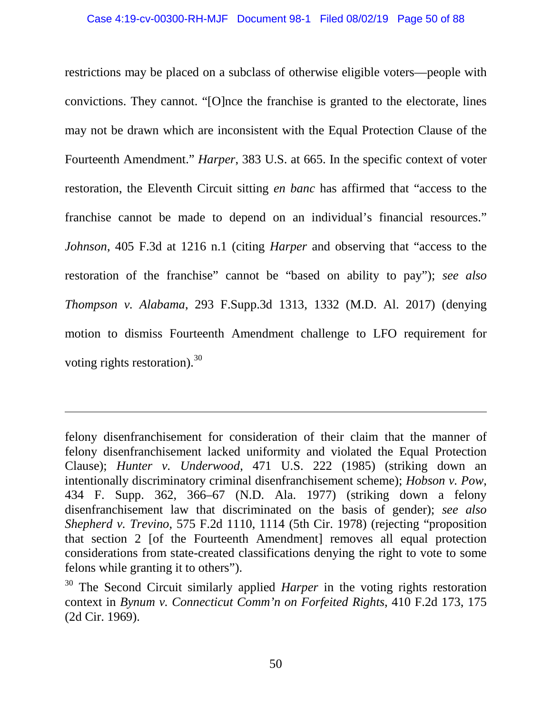restrictions may be placed on a subclass of otherwise eligible voters—people with convictions. They cannot. "[O]nce the franchise is granted to the electorate, lines may not be drawn which are inconsistent with the Equal Protection Clause of the Fourteenth Amendment." *Harper*, 383 U.S. at 665. In the specific context of voter restoration, the Eleventh Circuit sitting *en banc* has affirmed that "access to the franchise cannot be made to depend on an individual's financial resources." *Johnson*, 405 F.3d at 1216 n.1 (citing *Harper* and observing that "access to the restoration of the franchise" cannot be "based on ability to pay"); *see also Thompson v. Alabama*, 293 F.Supp.3d 1313, 1332 (M.D. Al. 2017) (denying motion to dismiss Fourteenth Amendment challenge to LFO requirement for voting rights restoration).<sup>[30](#page-49-0)</sup>

felony disenfranchisement for consideration of their claim that the manner of felony disenfranchisement lacked uniformity and violated the Equal Protection Clause); *Hunter v. Underwood*, 471 U.S. 222 (1985) (striking down an intentionally discriminatory criminal disenfranchisement scheme); *Hobson v. Pow*, 434 F. Supp. 362, 366–67 (N.D. Ala. 1977) (striking down a felony disenfranchisement law that discriminated on the basis of gender); *see also Shepherd v. Trevino*, 575 F.2d 1110, 1114 (5th Cir. 1978) (rejecting "proposition that section 2 [of the Fourteenth Amendment] removes all equal protection considerations from state-created classifications denying the right to vote to some felons while granting it to others").

<span id="page-49-0"></span><sup>&</sup>lt;sup>30</sup> The Second Circuit similarly applied *Harper* in the voting rights restoration context in *Bynum v. Connecticut Comm'n on Forfeited Rights*, 410 F.2d 173, 175 (2d Cir. 1969).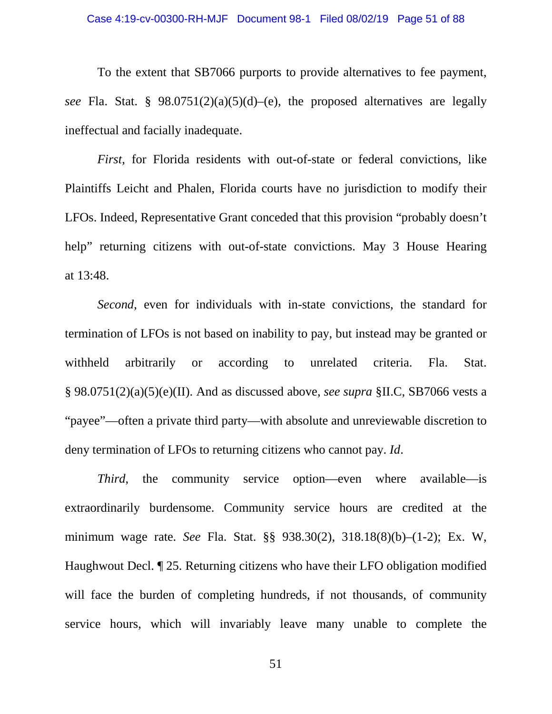To the extent that SB7066 purports to provide alternatives to fee payment, *see* Fla. Stat. § 98.0751(2)(a)(5)(d)–(e), the proposed alternatives are legally ineffectual and facially inadequate.

*First*, for Florida residents with out-of-state or federal convictions, like Plaintiffs Leicht and Phalen, Florida courts have no jurisdiction to modify their LFOs. Indeed, Representative Grant conceded that this provision "probably doesn't help" returning citizens with out-of-state convictions. May 3 House Hearing at 13:48.

*Second*, even for individuals with in-state convictions, the standard for termination of LFOs is not based on inability to pay, but instead may be granted or withheld arbitrarily or according to unrelated criteria. Fla. Stat. § 98.0751(2)(a)(5)(e)(II). And as discussed above, *see supra* §II.C, SB7066 vests a "payee"—often a private third party—with absolute and unreviewable discretion to deny termination of LFOs to returning citizens who cannot pay. *Id*.

*Third*, the community service option—even where available—is extraordinarily burdensome. Community service hours are credited at the minimum wage rate. *See* Fla. Stat. §§ 938.30(2), 318.18(8)(b)–(1-2); Ex. W, Haughwout Decl. ¶ 25. Returning citizens who have their LFO obligation modified will face the burden of completing hundreds, if not thousands, of community service hours, which will invariably leave many unable to complete the

51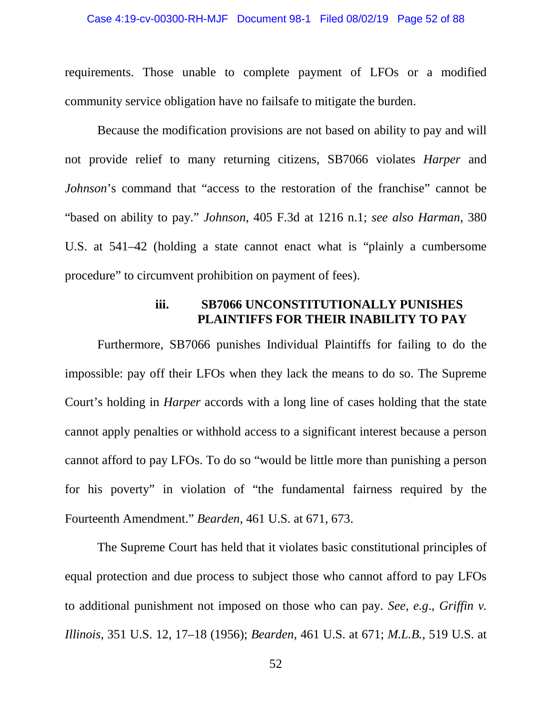#### Case 4:19-cv-00300-RH-MJF Document 98-1 Filed 08/02/19 Page 52 of 88

requirements. Those unable to complete payment of LFOs or a modified community service obligation have no failsafe to mitigate the burden.

Because the modification provisions are not based on ability to pay and will not provide relief to many returning citizens, SB7066 violates *Harper* and *Johnson*'s command that "access to the restoration of the franchise" cannot be "based on ability to pay." *Johnson*, 405 F.3d at 1216 n.1; *see also Harman*, 380 U.S. at 541–42 (holding a state cannot enact what is "plainly a cumbersome procedure" to circumvent prohibition on payment of fees).

## **iii. SB7066 UNCONSTITUTIONALLY PUNISHES PLAINTIFFS FOR THEIR INABILITY TO PAY**

Furthermore, SB7066 punishes Individual Plaintiffs for failing to do the impossible: pay off their LFOs when they lack the means to do so. The Supreme Court's holding in *Harper* accords with a long line of cases holding that the state cannot apply penalties or withhold access to a significant interest because a person cannot afford to pay LFOs. To do so "would be little more than punishing a person for his poverty" in violation of "the fundamental fairness required by the Fourteenth Amendment." *Bearden*, 461 U.S. at 671, 673.

The Supreme Court has held that it violates basic constitutional principles of equal protection and due process to subject those who cannot afford to pay LFOs to additional punishment not imposed on those who can pay. *See, e.g*., *Griffin v. Illinois*, 351 U.S. 12, 17–18 (1956); *Bearden*, 461 U.S. at 671; *M.L.B.*, 519 U.S. at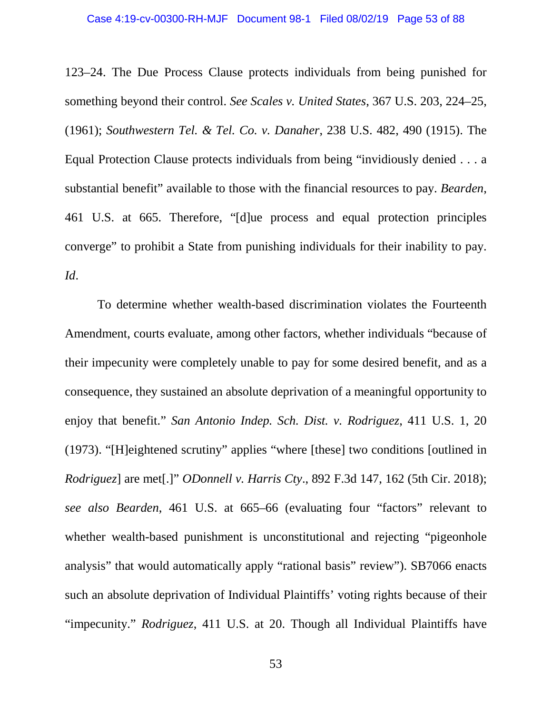123–24. The Due Process Clause protects individuals from being punished for something beyond their control. *See Scales v. United States*, 367 U.S. 203, 224–25, (1961); *Southwestern Tel. & Tel. Co. v. Danaher*, 238 U.S. 482, 490 (1915). The Equal Protection Clause protects individuals from being "invidiously denied . . . a substantial benefit" available to those with the financial resources to pay. *Bearden*, 461 U.S. at 665. Therefore, "[d]ue process and equal protection principles converge" to prohibit a State from punishing individuals for their inability to pay. *Id*.

To determine whether wealth-based discrimination violates the Fourteenth Amendment, courts evaluate, among other factors, whether individuals "because of their impecunity were completely unable to pay for some desired benefit, and as a consequence, they sustained an absolute deprivation of a meaningful opportunity to enjoy that benefit." *San Antonio Indep. Sch. Dist. v. Rodriguez*, 411 U.S. 1, 20 (1973). "[H]eightened scrutiny" applies "where [these] two conditions [outlined in *Rodriguez*] are met[.]" *ODonnell v. Harris Cty*., 892 F.3d 147, 162 (5th Cir. 2018); *see also Bearden*, 461 U.S. at 665–66 (evaluating four "factors" relevant to whether wealth-based punishment is unconstitutional and rejecting "pigeonhole" analysis" that would automatically apply "rational basis" review"). SB7066 enacts such an absolute deprivation of Individual Plaintiffs' voting rights because of their "impecunity." *Rodriguez*, 411 U.S. at 20. Though all Individual Plaintiffs have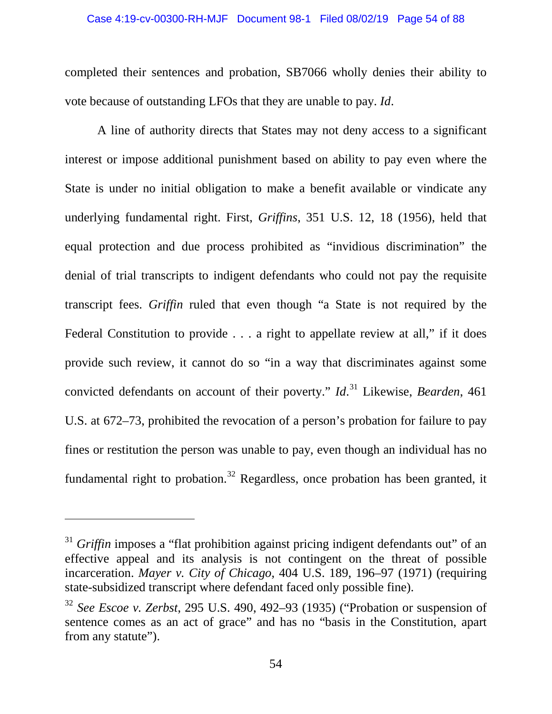completed their sentences and probation, SB7066 wholly denies their ability to vote because of outstanding LFOs that they are unable to pay. *Id*.

A line of authority directs that States may not deny access to a significant interest or impose additional punishment based on ability to pay even where the State is under no initial obligation to make a benefit available or vindicate any underlying fundamental right. First, *Griffins*, 351 U.S. 12, 18 (1956), held that equal protection and due process prohibited as "invidious discrimination" the denial of trial transcripts to indigent defendants who could not pay the requisite transcript fees. *Griffin* ruled that even though "a State is not required by the Federal Constitution to provide . . . a right to appellate review at all," if it does provide such review, it cannot do so "in a way that discriminates against some convicted defendants on account of their poverty." *Id*. [31](#page-53-0) Likewise, *Bearden*, 461 U.S. at 672–73, prohibited the revocation of a person's probation for failure to pay fines or restitution the person was unable to pay, even though an individual has no fundamental right to probation.<sup>[32](#page-53-1)</sup> Regardless, once probation has been granted, it

<span id="page-53-0"></span><sup>&</sup>lt;sup>31</sup> *Griffin* imposes a "flat prohibition against pricing indigent defendants out" of an effective appeal and its analysis is not contingent on the threat of possible incarceration. *Mayer v. City of Chicago*, 404 U.S. 189, 196–97 (1971) (requiring state-subsidized transcript where defendant faced only possible fine).

<span id="page-53-1"></span><sup>32</sup> *See Escoe v. Zerbst*, 295 U.S. 490, 492–93 (1935) ("Probation or suspension of sentence comes as an act of grace" and has no "basis in the Constitution, apart from any statute").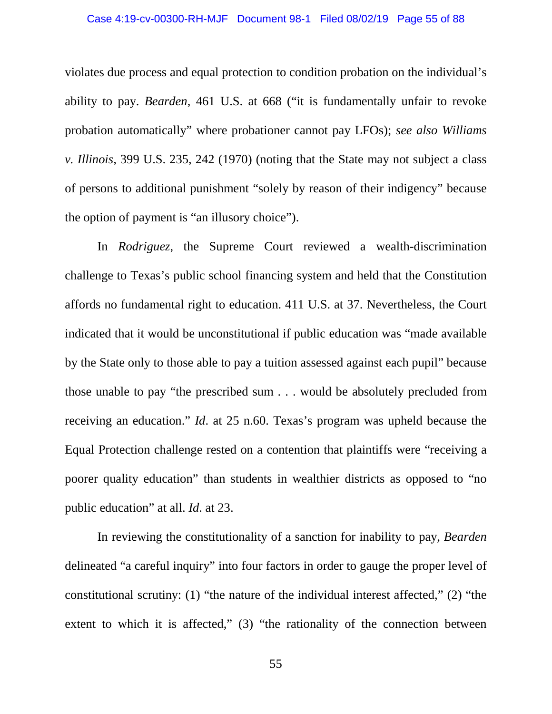#### Case 4:19-cv-00300-RH-MJF Document 98-1 Filed 08/02/19 Page 55 of 88

violates due process and equal protection to condition probation on the individual's ability to pay. *Bearden*, 461 U.S. at 668 ("it is fundamentally unfair to revoke probation automatically" where probationer cannot pay LFOs); *see also Williams v. Illinois*, 399 U.S. 235, 242 (1970) (noting that the State may not subject a class of persons to additional punishment "solely by reason of their indigency" because the option of payment is "an illusory choice").

In *Rodriguez*, the Supreme Court reviewed a wealth-discrimination challenge to Texas's public school financing system and held that the Constitution affords no fundamental right to education. 411 U.S. at 37. Nevertheless, the Court indicated that it would be unconstitutional if public education was "made available by the State only to those able to pay a tuition assessed against each pupil" because those unable to pay "the prescribed sum . . . would be absolutely precluded from receiving an education." *Id*. at 25 n.60. Texas's program was upheld because the Equal Protection challenge rested on a contention that plaintiffs were "receiving a poorer quality education" than students in wealthier districts as opposed to "no public education" at all. *Id*. at 23.

In reviewing the constitutionality of a sanction for inability to pay, *Bearden* delineated "a careful inquiry" into four factors in order to gauge the proper level of constitutional scrutiny: (1) "the nature of the individual interest affected," (2) "the extent to which it is affected," (3) "the rationality of the connection between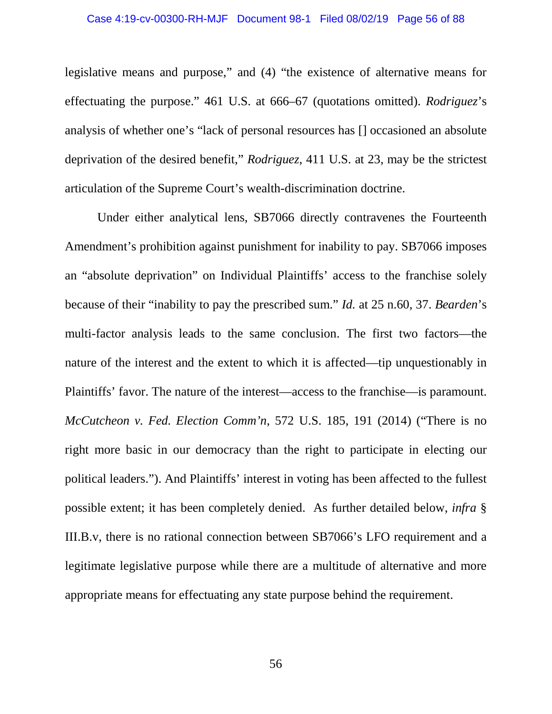legislative means and purpose," and (4) "the existence of alternative means for effectuating the purpose." 461 U.S. at 666–67 (quotations omitted). *Rodriguez*'s analysis of whether one's "lack of personal resources has [] occasioned an absolute deprivation of the desired benefit," *Rodriguez*, 411 U.S. at 23, may be the strictest articulation of the Supreme Court's wealth-discrimination doctrine.

Under either analytical lens, SB7066 directly contravenes the Fourteenth Amendment's prohibition against punishment for inability to pay. SB7066 imposes an "absolute deprivation" on Individual Plaintiffs' access to the franchise solely because of their "inability to pay the prescribed sum." *Id.* at 25 n.60, 37. *Bearden*'s multi-factor analysis leads to the same conclusion. The first two factors—the nature of the interest and the extent to which it is affected—tip unquestionably in Plaintiffs' favor. The nature of the interest—access to the franchise—is paramount. *McCutcheon v. Fed. Election Comm'n*, 572 U.S. 185, 191 (2014) ("There is no right more basic in our democracy than the right to participate in electing our political leaders."). And Plaintiffs' interest in voting has been affected to the fullest possible extent; it has been completely denied. As further detailed below, *infra* § III.B.v, there is no rational connection between SB7066's LFO requirement and a legitimate legislative purpose while there are a multitude of alternative and more appropriate means for effectuating any state purpose behind the requirement.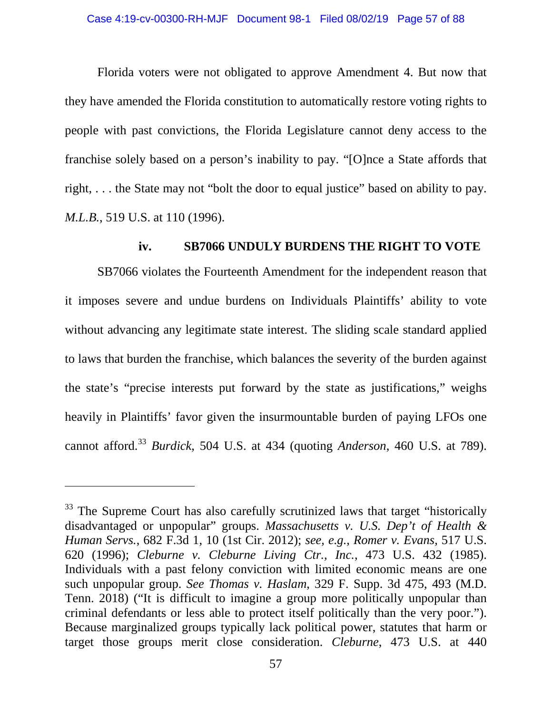Florida voters were not obligated to approve Amendment 4. But now that they have amended the Florida constitution to automatically restore voting rights to people with past convictions, the Florida Legislature cannot deny access to the franchise solely based on a person's inability to pay. "[O]nce a State affords that right, . . . the State may not "bolt the door to equal justice" based on ability to pay. *M.L.B.*, 519 U.S. at 110 (1996).

## **iv. SB7066 UNDULY BURDENS THE RIGHT TO VOTE**

SB7066 violates the Fourteenth Amendment for the independent reason that it imposes severe and undue burdens on Individuals Plaintiffs' ability to vote without advancing any legitimate state interest. The sliding scale standard applied to laws that burden the franchise, which balances the severity of the burden against the state's "precise interests put forward by the state as justifications," weighs heavily in Plaintiffs' favor given the insurmountable burden of paying LFOs one cannot afford.[33](#page-56-0) *Burdick*, 504 U.S. at 434 (quoting *Anderson*, 460 U.S. at 789).

<span id="page-56-0"></span><sup>&</sup>lt;sup>33</sup> The Supreme Court has also carefully scrutinized laws that target "historically disadvantaged or unpopular" groups. *Massachusetts v. U.S. Dep't of Health & Human Servs.*, 682 F.3d 1, 10 (1st Cir. 2012); *see, e.g.*, *Romer v. Evans*, 517 U.S. 620 (1996); *Cleburne v. Cleburne Living Ctr., Inc.*, 473 U.S. 432 (1985). Individuals with a past felony conviction with limited economic means are one such unpopular group. *See Thomas v. Haslam*, 329 F. Supp. 3d 475, 493 (M.D. Tenn. 2018) ("It is difficult to imagine a group more politically unpopular than criminal defendants or less able to protect itself politically than the very poor."). Because marginalized groups typically lack political power, statutes that harm or target those groups merit close consideration. *Cleburne*, 473 U.S. at 440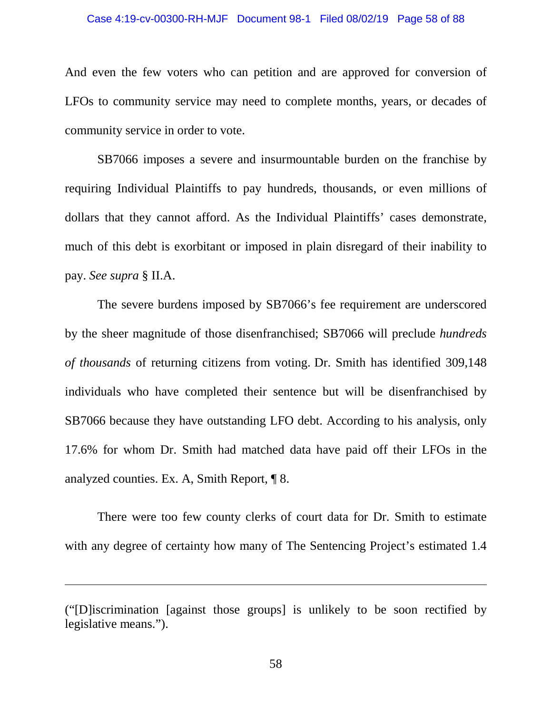### Case 4:19-cv-00300-RH-MJF Document 98-1 Filed 08/02/19 Page 58 of 88

And even the few voters who can petition and are approved for conversion of LFOs to community service may need to complete months, years, or decades of community service in order to vote.

SB7066 imposes a severe and insurmountable burden on the franchise by requiring Individual Plaintiffs to pay hundreds, thousands, or even millions of dollars that they cannot afford. As the Individual Plaintiffs' cases demonstrate, much of this debt is exorbitant or imposed in plain disregard of their inability to pay. *See supra* § II.A.

The severe burdens imposed by SB7066's fee requirement are underscored by the sheer magnitude of those disenfranchised; SB7066 will preclude *hundreds of thousands* of returning citizens from voting. Dr. Smith has identified 309,148 individuals who have completed their sentence but will be disenfranchised by SB7066 because they have outstanding LFO debt. According to his analysis, only 17.6% for whom Dr. Smith had matched data have paid off their LFOs in the analyzed counties. Ex. A, Smith Report, ¶ 8.

There were too few county clerks of court data for Dr. Smith to estimate with any degree of certainty how many of The Sentencing Project's estimated 1.4

<sup>(&</sup>quot;[D]iscrimination [against those groups] is unlikely to be soon rectified by legislative means.").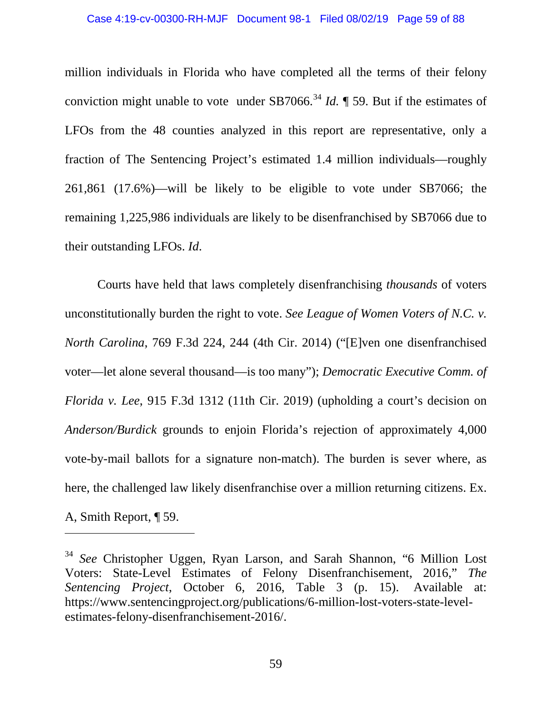million individuals in Florida who have completed all the terms of their felony conviction might unable to vote under SB7066.<sup>[34](#page-58-0)</sup> *Id.*  $\P$  59. But if the estimates of LFOs from the 48 counties analyzed in this report are representative, only a fraction of The Sentencing Project's estimated 1.4 million individuals—roughly 261,861 (17.6%)—will be likely to be eligible to vote under SB7066; the remaining 1,225,986 individuals are likely to be disenfranchised by SB7066 due to their outstanding LFOs. *Id*.

Courts have held that laws completely disenfranchising *thousands* of voters unconstitutionally burden the right to vote. *See League of Women Voters of N.C. v. North Carolina*, 769 F.3d 224, 244 (4th Cir. 2014) ("[E]ven one disenfranchised voter—let alone several thousand—is too many"); *Democratic Executive Comm. of Florida v. Lee*, 915 F.3d 1312 (11th Cir. 2019) (upholding a court's decision on *Anderson/Burdick* grounds to enjoin Florida's rejection of approximately 4,000 vote-by-mail ballots for a signature non-match). The burden is sever where, as here, the challenged law likely disenfranchise over a million returning citizens. Ex. A, Smith Report, ¶ 59.

<span id="page-58-0"></span><sup>34</sup> *See* Christopher Uggen, Ryan Larson, and Sarah Shannon, "6 Million Lost Voters: State-Level Estimates of Felony Disenfranchisement, 2016," *The Sentencing Project*, October 6, 2016, Table 3 (p. 15). Available at: https://www.sentencingproject.org/publications/6-million-lost-voters-state-levelestimates-felony-disenfranchisement-2016/.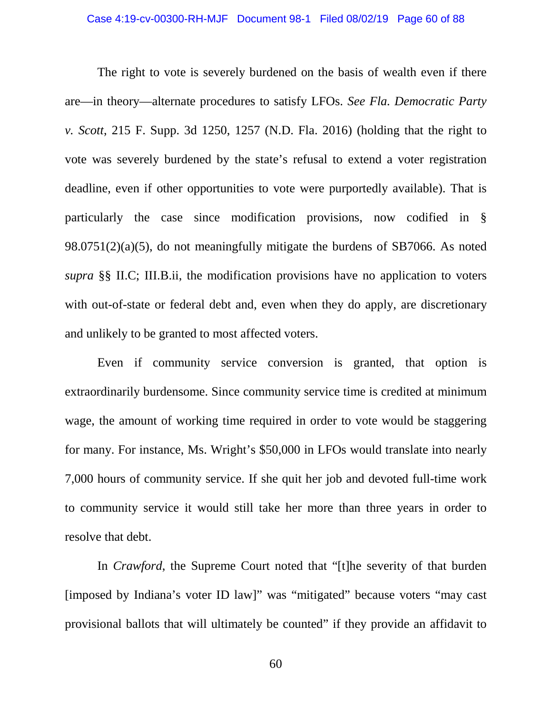The right to vote is severely burdened on the basis of wealth even if there are—in theory—alternate procedures to satisfy LFOs. *See Fla. Democratic Party v. Scott*, 215 F. Supp. 3d 1250, 1257 (N.D. Fla. 2016) (holding that the right to vote was severely burdened by the state's refusal to extend a voter registration deadline, even if other opportunities to vote were purportedly available). That is particularly the case since modification provisions, now codified in § 98.0751(2)(a)(5), do not meaningfully mitigate the burdens of SB7066. As noted *supra* §§ II.C; III.B.ii, the modification provisions have no application to voters with out-of-state or federal debt and, even when they do apply, are discretionary and unlikely to be granted to most affected voters.

Even if community service conversion is granted, that option is extraordinarily burdensome. Since community service time is credited at minimum wage, the amount of working time required in order to vote would be staggering for many. For instance, Ms. Wright's \$50,000 in LFOs would translate into nearly 7,000 hours of community service. If she quit her job and devoted full-time work to community service it would still take her more than three years in order to resolve that debt.

In *Crawford*, the Supreme Court noted that "[t]he severity of that burden [imposed by Indiana's voter ID law]" was "mitigated" because voters "may cast provisional ballots that will ultimately be counted" if they provide an affidavit to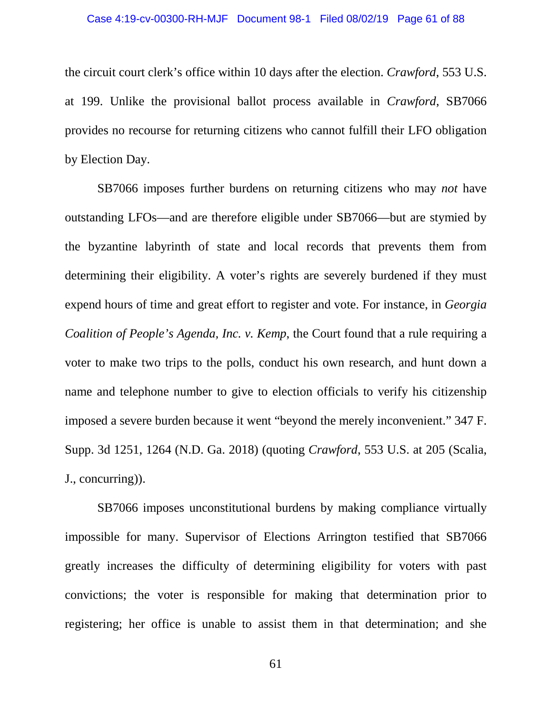#### Case 4:19-cv-00300-RH-MJF Document 98-1 Filed 08/02/19 Page 61 of 88

the circuit court clerk's office within 10 days after the election. *Crawford*, 553 U.S. at 199. Unlike the provisional ballot process available in *Crawford*, SB7066 provides no recourse for returning citizens who cannot fulfill their LFO obligation by Election Day.

SB7066 imposes further burdens on returning citizens who may *not* have outstanding LFOs—and are therefore eligible under SB7066—but are stymied by the byzantine labyrinth of state and local records that prevents them from determining their eligibility. A voter's rights are severely burdened if they must expend hours of time and great effort to register and vote. For instance, in *Georgia Coalition of People's Agenda, Inc. v. Kemp*, the Court found that a rule requiring a voter to make two trips to the polls, conduct his own research, and hunt down a name and telephone number to give to election officials to verify his citizenship imposed a severe burden because it went "beyond the merely inconvenient." 347 F. Supp. 3d 1251, 1264 (N.D. Ga. 2018) (quoting *Crawford*, 553 U.S. at 205 (Scalia, J., concurring)).

SB7066 imposes unconstitutional burdens by making compliance virtually impossible for many. Supervisor of Elections Arrington testified that SB7066 greatly increases the difficulty of determining eligibility for voters with past convictions; the voter is responsible for making that determination prior to registering; her office is unable to assist them in that determination; and she

61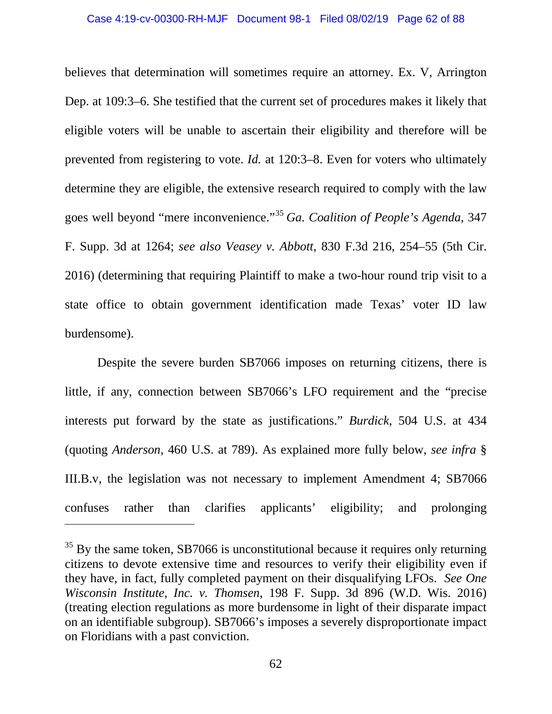believes that determination will sometimes require an attorney. Ex. V, Arrington Dep. at 109:3–6. She testified that the current set of procedures makes it likely that eligible voters will be unable to ascertain their eligibility and therefore will be prevented from registering to vote. *Id.* at 120:3–8. Even for voters who ultimately determine they are eligible, the extensive research required to comply with the law goes well beyond "mere inconvenience."[35](#page-61-0) *Ga. Coalition of People's Agenda*, 347 F. Supp. 3d at 1264; *see also Veasey v. Abbott*, 830 F.3d 216, 254–55 (5th Cir. 2016) (determining that requiring Plaintiff to make a two-hour round trip visit to a state office to obtain government identification made Texas' voter ID law burdensome).

Despite the severe burden SB7066 imposes on returning citizens, there is little, if any, connection between SB7066's LFO requirement and the "precise interests put forward by the state as justifications." *Burdick*, 504 U.S. at 434 (quoting *Anderson*, 460 U.S. at 789). As explained more fully below, *see infra* § III.B.v, the legislation was not necessary to implement Amendment 4; SB7066 confuses rather than clarifies applicants' eligibility; and prolonging

<span id="page-61-0"></span> $35$  By the same token, SB7066 is unconstitutional because it requires only returning citizens to devote extensive time and resources to verify their eligibility even if they have, in fact, fully completed payment on their disqualifying LFOs. *See One Wisconsin Institute, Inc. v. Thomsen*, 198 F. Supp. 3d 896 (W.D. Wis. 2016) (treating election regulations as more burdensome in light of their disparate impact on an identifiable subgroup). SB7066's imposes a severely disproportionate impact on Floridians with a past conviction.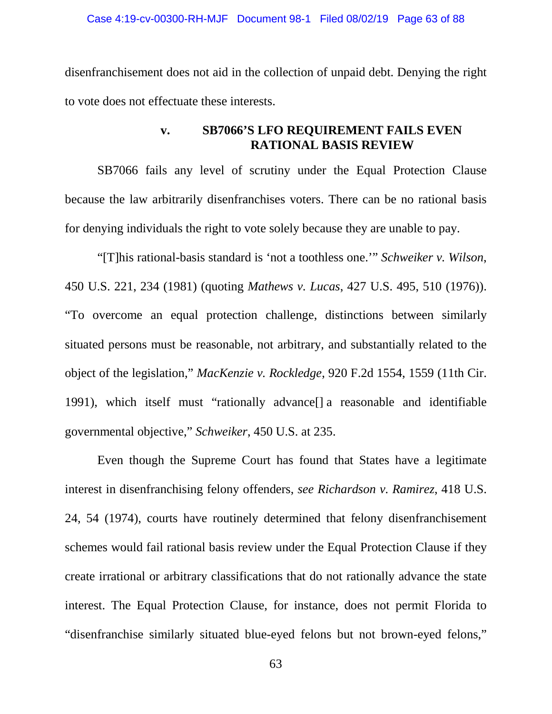disenfranchisement does not aid in the collection of unpaid debt. Denying the right to vote does not effectuate these interests.

# **v. SB7066'S LFO REQUIREMENT FAILS EVEN RATIONAL BASIS REVIEW**

SB7066 fails any level of scrutiny under the Equal Protection Clause because the law arbitrarily disenfranchises voters. There can be no rational basis for denying individuals the right to vote solely because they are unable to pay.

"[T]his rational-basis standard is 'not a toothless one.'" *Schweiker v. Wilson*, 450 U.S. 221, 234 (1981) (quoting *Mathews v. Lucas*, 427 U.S. 495, 510 (1976)). "To overcome an equal protection challenge, distinctions between similarly situated persons must be reasonable, not arbitrary, and substantially related to the object of the legislation," *MacKenzie v. Rockledge*, 920 F.2d 1554, 1559 (11th Cir. 1991), which itself must "rationally advance[] a reasonable and identifiable governmental objective," *Schweiker*, 450 U.S. at 235.

Even though the Supreme Court has found that States have a legitimate interest in disenfranchising felony offenders, *see Richardson v. Ramirez*, 418 U.S. 24, 54 (1974), courts have routinely determined that felony disenfranchisement schemes would fail rational basis review under the Equal Protection Clause if they create irrational or arbitrary classifications that do not rationally advance the state interest. The Equal Protection Clause, for instance, does not permit Florida to "disenfranchise similarly situated blue-eyed felons but not brown-eyed felons,"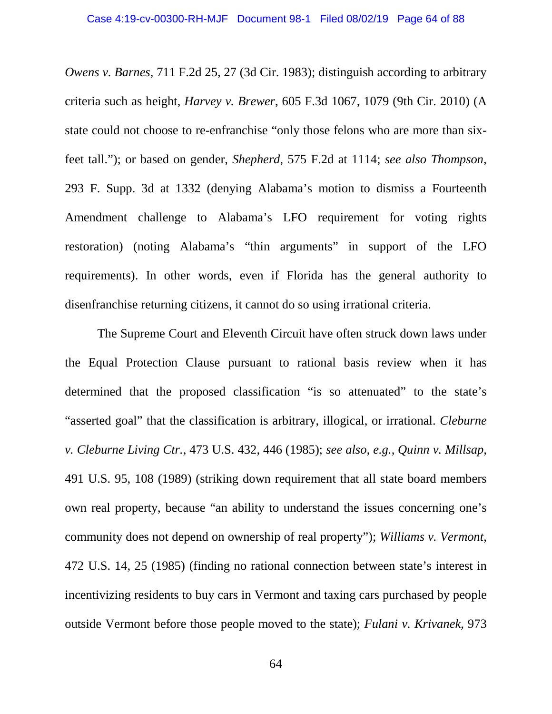*Owens v. Barnes*, 711 F.2d 25, 27 (3d Cir. 1983); distinguish according to arbitrary criteria such as height, *Harvey v. Brewer*, 605 F.3d 1067, 1079 (9th Cir. 2010) (A state could not choose to re-enfranchise "only those felons who are more than sixfeet tall."); or based on gender, *Shepherd*, 575 F.2d at 1114; *see also Thompson*, 293 F. Supp. 3d at 1332 (denying Alabama's motion to dismiss a Fourteenth Amendment challenge to Alabama's LFO requirement for voting rights restoration) (noting Alabama's "thin arguments" in support of the LFO requirements). In other words, even if Florida has the general authority to disenfranchise returning citizens, it cannot do so using irrational criteria.

The Supreme Court and Eleventh Circuit have often struck down laws under the Equal Protection Clause pursuant to rational basis review when it has determined that the proposed classification "is so attenuated" to the state's "asserted goal" that the classification is arbitrary, illogical, or irrational. *Cleburne v. Cleburne Living Ctr.*, 473 U.S. 432, 446 (1985); *see also, e.g.*, *Quinn v. Millsap*, 491 U.S. 95, 108 (1989) (striking down requirement that all state board members own real property, because "an ability to understand the issues concerning one's community does not depend on ownership of real property"); *Williams v. Vermont*, 472 U.S. 14, 25 (1985) (finding no rational connection between state's interest in incentivizing residents to buy cars in Vermont and taxing cars purchased by people outside Vermont before those people moved to the state); *Fulani v. Krivanek*, 973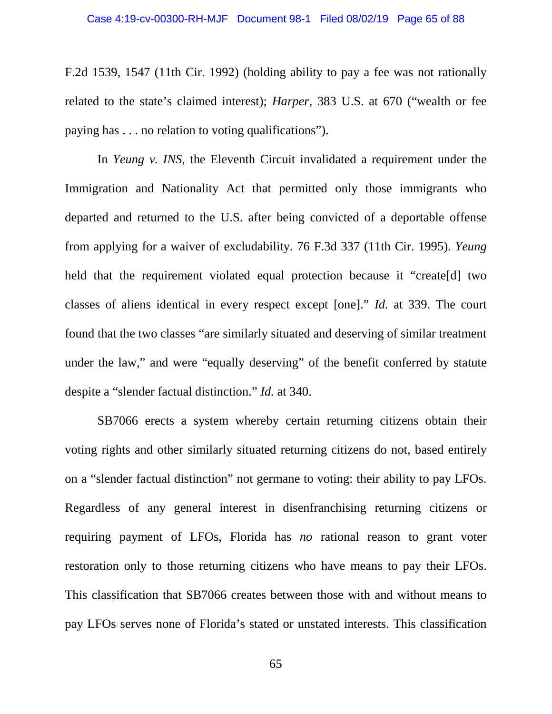F.2d 1539, 1547 (11th Cir. 1992) (holding ability to pay a fee was not rationally related to the state's claimed interest); *Harper*, 383 U.S. at 670 ("wealth or fee paying has . . . no relation to voting qualifications").

In *Yeung v. INS*, the Eleventh Circuit invalidated a requirement under the Immigration and Nationality Act that permitted only those immigrants who departed and returned to the U.S. after being convicted of a deportable offense from applying for a waiver of excludability. 76 F.3d 337 (11th Cir. 1995). *Yeung* held that the requirement violated equal protection because it "create[d] two classes of aliens identical in every respect except [one]." *Id.* at 339. The court found that the two classes "are similarly situated and deserving of similar treatment under the law," and were "equally deserving" of the benefit conferred by statute despite a "slender factual distinction." *Id.* at 340.

SB7066 erects a system whereby certain returning citizens obtain their voting rights and other similarly situated returning citizens do not, based entirely on a "slender factual distinction" not germane to voting: their ability to pay LFOs. Regardless of any general interest in disenfranchising returning citizens or requiring payment of LFOs, Florida has *no* rational reason to grant voter restoration only to those returning citizens who have means to pay their LFOs. This classification that SB7066 creates between those with and without means to pay LFOs serves none of Florida's stated or unstated interests. This classification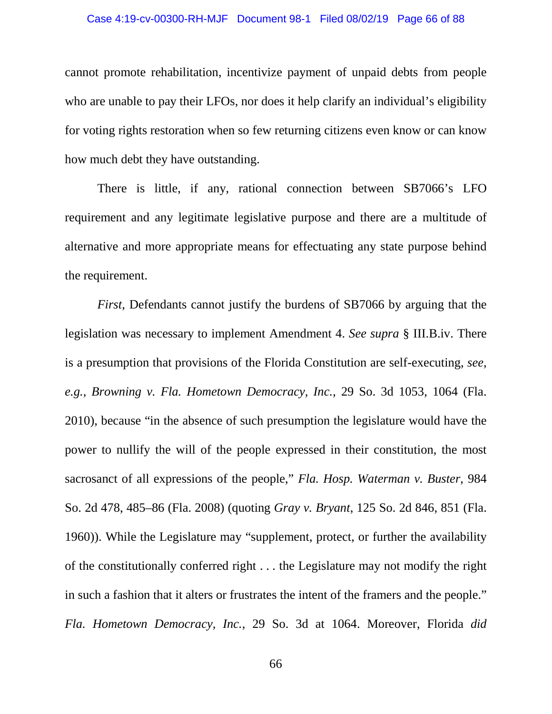#### Case 4:19-cv-00300-RH-MJF Document 98-1 Filed 08/02/19 Page 66 of 88

cannot promote rehabilitation, incentivize payment of unpaid debts from people who are unable to pay their LFOs, nor does it help clarify an individual's eligibility for voting rights restoration when so few returning citizens even know or can know how much debt they have outstanding.

There is little, if any, rational connection between SB7066's LFO requirement and any legitimate legislative purpose and there are a multitude of alternative and more appropriate means for effectuating any state purpose behind the requirement.

*First*, Defendants cannot justify the burdens of SB7066 by arguing that the legislation was necessary to implement Amendment 4. *See supra* § III.B.iv. There is a presumption that provisions of the Florida Constitution are self-executing, *see, e.g.*, *Browning v. Fla. Hometown Democracy, Inc.*, 29 So. 3d 1053, 1064 (Fla. 2010), because "in the absence of such presumption the legislature would have the power to nullify the will of the people expressed in their constitution, the most sacrosanct of all expressions of the people," *Fla. Hosp. Waterman v. Buster*, 984 So. 2d 478, 485–86 (Fla. 2008) (quoting *Gray v. Bryant*, 125 So. 2d 846, 851 (Fla. 1960)). While the Legislature may "supplement, protect, or further the availability of the constitutionally conferred right . . . the Legislature may not modify the right in such a fashion that it alters or frustrates the intent of the framers and the people." *Fla. Hometown Democracy, Inc.*, 29 So. 3d at 1064. Moreover, Florida *did*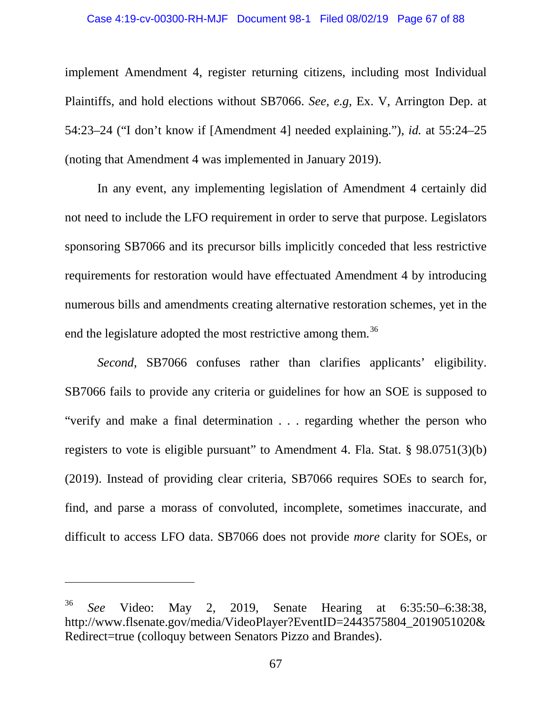implement Amendment 4, register returning citizens, including most Individual Plaintiffs, and hold elections without SB7066. *See, e.g,* Ex. V, Arrington Dep. at 54:23–24 ("I don't know if [Amendment 4] needed explaining."), *id.* at 55:24–25 (noting that Amendment 4 was implemented in January 2019).

In any event, any implementing legislation of Amendment 4 certainly did not need to include the LFO requirement in order to serve that purpose. Legislators sponsoring SB7066 and its precursor bills implicitly conceded that less restrictive requirements for restoration would have effectuated Amendment 4 by introducing numerous bills and amendments creating alternative restoration schemes, yet in the end the legislature adopted the most restrictive among them.<sup>[36](#page-66-0)</sup>

*Second*, SB7066 confuses rather than clarifies applicants' eligibility. SB7066 fails to provide any criteria or guidelines for how an SOE is supposed to "verify and make a final determination . . . regarding whether the person who registers to vote is eligible pursuant" to Amendment 4. Fla. Stat. § 98.0751(3)(b) (2019). Instead of providing clear criteria, SB7066 requires SOEs to search for, find, and parse a morass of convoluted, incomplete, sometimes inaccurate, and difficult to access LFO data. SB7066 does not provide *more* clarity for SOEs, or

<span id="page-66-0"></span><sup>36</sup> *See* Video: May 2, 2019, Senate Hearing at 6:35:50–6:38:38, http://www.flsenate.gov/media/VideoPlayer?EventID=2443575804\_2019051020& Redirect=true (colloquy between Senators Pizzo and Brandes).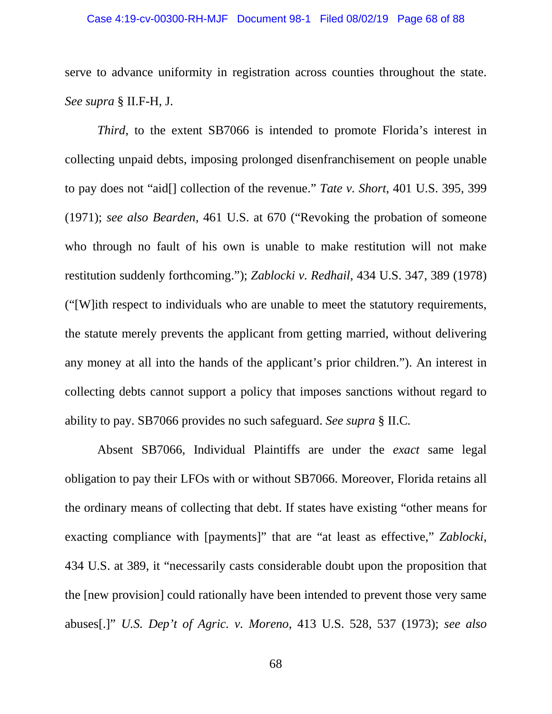serve to advance uniformity in registration across counties throughout the state. *See supra* § II.F-H, J.

*Third*, to the extent SB7066 is intended to promote Florida's interest in collecting unpaid debts, imposing prolonged disenfranchisement on people unable to pay does not "aid[] collection of the revenue." *Tate v. Short*, 401 U.S. 395, 399 (1971); *see also Bearden,* 461 U.S. at 670 ("Revoking the probation of someone who through no fault of his own is unable to make restitution will not make restitution suddenly forthcoming."); *Zablocki v. Redhail*, 434 U.S. 347, 389 (1978) ("[W]ith respect to individuals who are unable to meet the statutory requirements, the statute merely prevents the applicant from getting married, without delivering any money at all into the hands of the applicant's prior children."). An interest in collecting debts cannot support a policy that imposes sanctions without regard to ability to pay. SB7066 provides no such safeguard. *See supra* § II.C*.*

Absent SB7066, Individual Plaintiffs are under the *exact* same legal obligation to pay their LFOs with or without SB7066. Moreover, Florida retains all the ordinary means of collecting that debt. If states have existing "other means for exacting compliance with [payments]" that are "at least as effective," *Zablocki*, 434 U.S. at 389, it "necessarily casts considerable doubt upon the proposition that the [new provision] could rationally have been intended to prevent those very same abuses[.]" *U.S. Dep't of Agric. v. Moreno*, 413 U.S. 528, 537 (1973); *see also*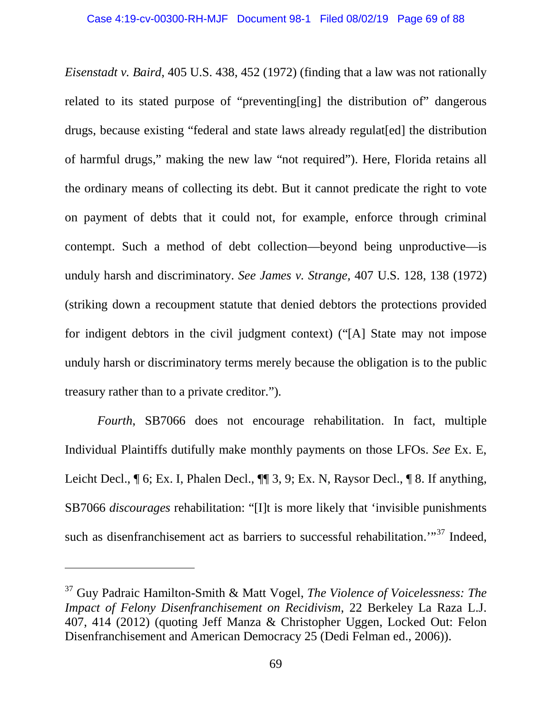*Eisenstadt v. Baird*, 405 U.S. 438, 452 (1972) (finding that a law was not rationally related to its stated purpose of "preventing[ing] the distribution of" dangerous drugs, because existing "federal and state laws already regulat[ed] the distribution of harmful drugs," making the new law "not required"). Here, Florida retains all the ordinary means of collecting its debt. But it cannot predicate the right to vote on payment of debts that it could not, for example, enforce through criminal contempt. Such a method of debt collection—beyond being unproductive—is unduly harsh and discriminatory. *See James v. Strange,* 407 U.S. 128, 138 (1972) (striking down a recoupment statute that denied debtors the protections provided for indigent debtors in the civil judgment context) ("[A] State may not impose unduly harsh or discriminatory terms merely because the obligation is to the public treasury rather than to a private creditor.").

*Fourth*, SB7066 does not encourage rehabilitation. In fact, multiple Individual Plaintiffs dutifully make monthly payments on those LFOs. *See* Ex. E, Leicht Decl.,  $\P$  6; Ex. I, Phalen Decl.,  $\P$  $\P$  3, 9; Ex. N, Raysor Decl.,  $\P$  8. If anything, SB7066 *discourages* rehabilitation: "[I]t is more likely that 'invisible punishments such as disenfranchisement act as barriers to successful rehabilitation."<sup>[37](#page-68-0)</sup> Indeed,

<span id="page-68-0"></span><sup>37</sup> Guy Padraic Hamilton-Smith & Matt Vogel, *The Violence of Voicelessness: The Impact of Felony Disenfranchisement on Recidivism*, 22 Berkeley La Raza L.J. 407, 414 (2012) (quoting Jeff Manza & Christopher Uggen, Locked Out: Felon Disenfranchisement and American Democracy 25 (Dedi Felman ed., 2006)).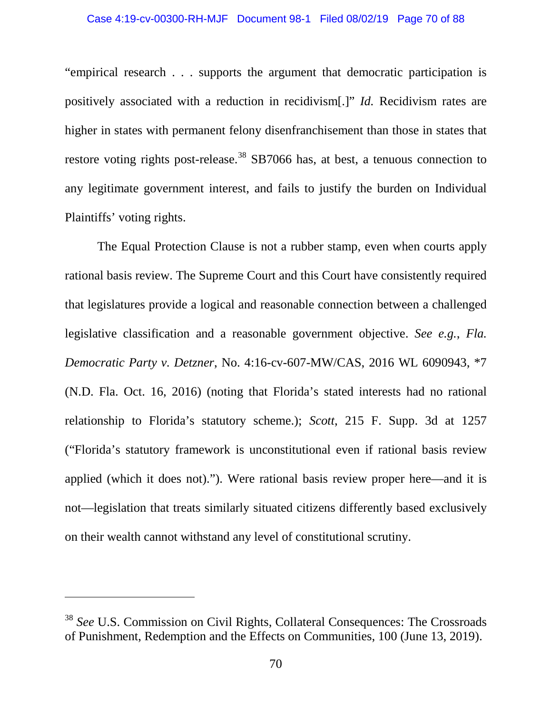#### Case 4:19-cv-00300-RH-MJF Document 98-1 Filed 08/02/19 Page 70 of 88

"empirical research . . . supports the argument that democratic participation is positively associated with a reduction in recidivism[.]" *Id.* Recidivism rates are higher in states with permanent felony disenfranchisement than those in states that restore voting rights post-release.<sup>[38](#page-69-0)</sup> SB7066 has, at best, a tenuous connection to any legitimate government interest, and fails to justify the burden on Individual Plaintiffs' voting rights.

The Equal Protection Clause is not a rubber stamp, even when courts apply rational basis review. The Supreme Court and this Court have consistently required that legislatures provide a logical and reasonable connection between a challenged legislative classification and a reasonable government objective. *See e.g.*, *Fla. Democratic Party v. Detzner*, No. 4:16-cv-607-MW/CAS, 2016 WL 6090943, \*7 (N.D. Fla. Oct. 16, 2016) (noting that Florida's stated interests had no rational relationship to Florida's statutory scheme.); *Scott*, 215 F. Supp. 3d at 1257 ("Florida's statutory framework is unconstitutional even if rational basis review applied (which it does not)."). Were rational basis review proper here—and it is not—legislation that treats similarly situated citizens differently based exclusively on their wealth cannot withstand any level of constitutional scrutiny.

<span id="page-69-0"></span><sup>38</sup> *See* U.S. Commission on Civil Rights, Collateral Consequences: The Crossroads of Punishment, Redemption and the Effects on Communities, 100 (June 13, 2019).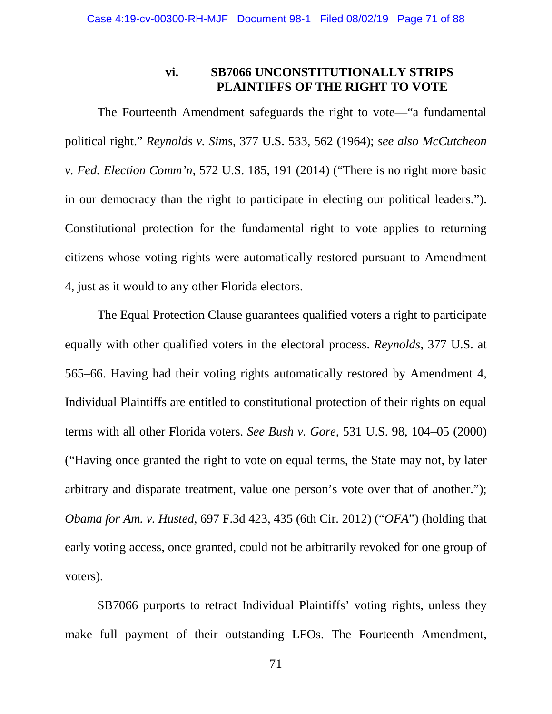## **vi. SB7066 UNCONSTITUTIONALLY STRIPS PLAINTIFFS OF THE RIGHT TO VOTE**

The Fourteenth Amendment safeguards the right to vote—"a fundamental political right." *Reynolds v. Sims*, 377 U.S. 533, 562 (1964); *see also McCutcheon v. Fed. Election Comm'n*, 572 U.S. 185, 191 (2014) ("There is no right more basic in our democracy than the right to participate in electing our political leaders."). Constitutional protection for the fundamental right to vote applies to returning citizens whose voting rights were automatically restored pursuant to Amendment 4, just as it would to any other Florida electors.

The Equal Protection Clause guarantees qualified voters a right to participate equally with other qualified voters in the electoral process. *Reynolds*, 377 U.S. at 565–66. Having had their voting rights automatically restored by Amendment 4, Individual Plaintiffs are entitled to constitutional protection of their rights on equal terms with all other Florida voters. *See Bush v. Gore*, 531 U.S. 98, 104–05 (2000) ("Having once granted the right to vote on equal terms, the State may not, by later arbitrary and disparate treatment, value one person's vote over that of another."); *Obama for Am. v. Husted*, 697 F.3d 423, 435 (6th Cir. 2012) ("*OFA*") (holding that early voting access, once granted, could not be arbitrarily revoked for one group of voters).

SB7066 purports to retract Individual Plaintiffs' voting rights, unless they make full payment of their outstanding LFOs. The Fourteenth Amendment,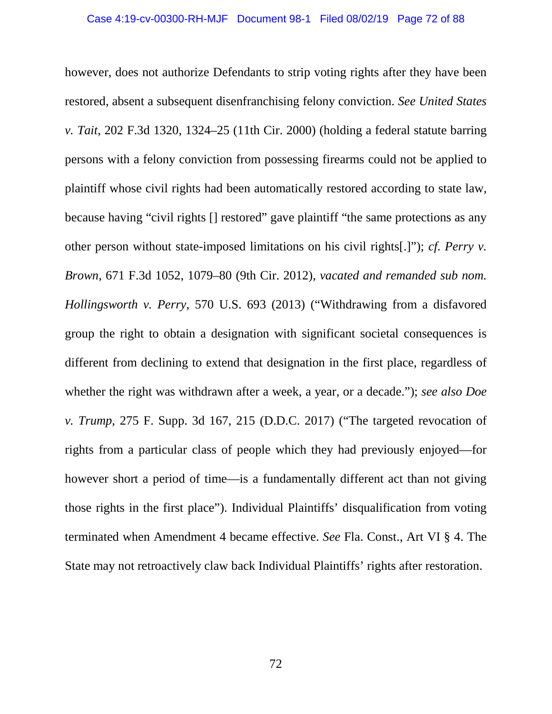however, does not authorize Defendants to strip voting rights after they have been restored, absent a subsequent disenfranchising felony conviction. *See United States v. Tait*, 202 F.3d 1320, 1324–25 (11th Cir. 2000) (holding a federal statute barring persons with a felony conviction from possessing firearms could not be applied to plaintiff whose civil rights had been automatically restored according to state law, because having "civil rights [] restored" gave plaintiff "the same protections as any other person without state-imposed limitations on his civil rights[.]"); *cf. Perry v. Brown*, 671 F.3d 1052, 1079–80 (9th Cir. 2012), *vacated and remanded sub nom. Hollingsworth v. Perry*, 570 U.S. 693 (2013) ("Withdrawing from a disfavored group the right to obtain a designation with significant societal consequences is different from declining to extend that designation in the first place, regardless of whether the right was withdrawn after a week, a year, or a decade."); *see also Doe v. Trump*, 275 F. Supp. 3d 167, 215 (D.D.C. 2017) ("The targeted revocation of rights from a particular class of people which they had previously enjoyed—for however short a period of time—is a fundamentally different act than not giving those rights in the first place"). Individual Plaintiffs' disqualification from voting terminated when Amendment 4 became effective. *See* Fla. Const., Art VI § 4. The State may not retroactively claw back Individual Plaintiffs' rights after restoration.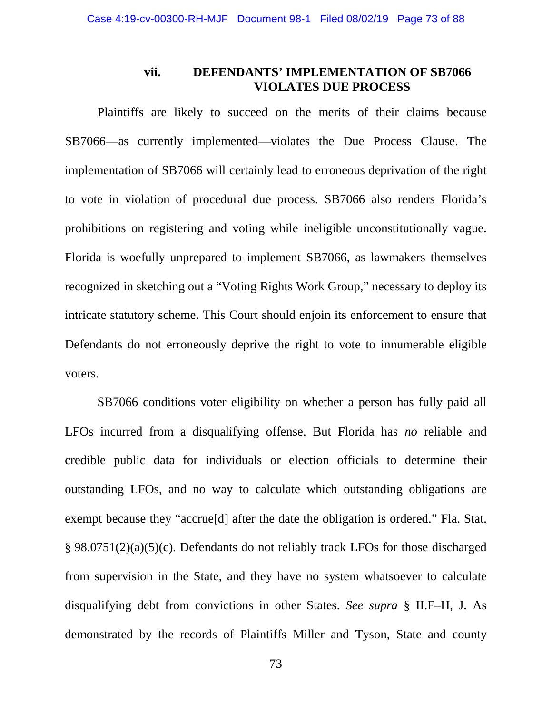## **vii. DEFENDANTS' IMPLEMENTATION OF SB7066 VIOLATES DUE PROCESS**

Plaintiffs are likely to succeed on the merits of their claims because SB7066—as currently implemented—violates the Due Process Clause. The implementation of SB7066 will certainly lead to erroneous deprivation of the right to vote in violation of procedural due process. SB7066 also renders Florida's prohibitions on registering and voting while ineligible unconstitutionally vague. Florida is woefully unprepared to implement SB7066, as lawmakers themselves recognized in sketching out a "Voting Rights Work Group," necessary to deploy its intricate statutory scheme. This Court should enjoin its enforcement to ensure that Defendants do not erroneously deprive the right to vote to innumerable eligible voters.

SB7066 conditions voter eligibility on whether a person has fully paid all LFOs incurred from a disqualifying offense. But Florida has *no* reliable and credible public data for individuals or election officials to determine their outstanding LFOs, and no way to calculate which outstanding obligations are exempt because they "accrue[d] after the date the obligation is ordered." Fla. Stat. § 98.0751(2)(a)(5)(c). Defendants do not reliably track LFOs for those discharged from supervision in the State, and they have no system whatsoever to calculate disqualifying debt from convictions in other States. *See supra* § II.F–H, J. As demonstrated by the records of Plaintiffs Miller and Tyson, State and county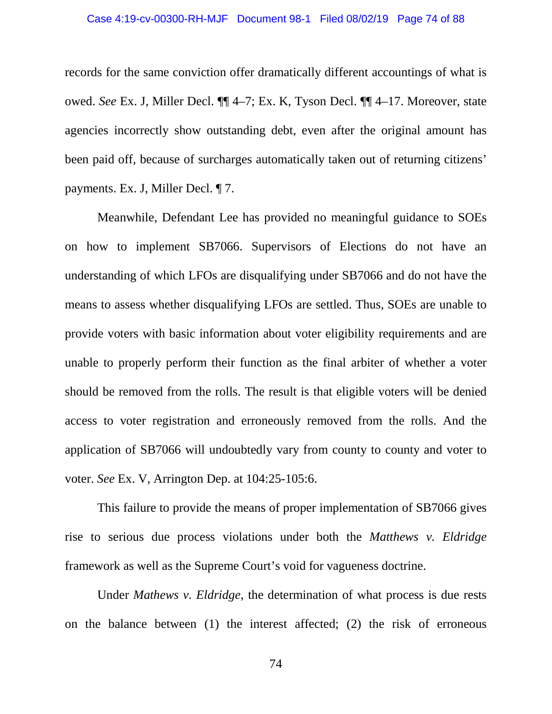records for the same conviction offer dramatically different accountings of what is owed. *See* Ex. J, Miller Decl. ¶¶ 4–7; Ex. K, Tyson Decl. ¶¶ 4–17. Moreover, state agencies incorrectly show outstanding debt, even after the original amount has been paid off, because of surcharges automatically taken out of returning citizens' payments. Ex. J, Miller Decl. ¶ 7.

Meanwhile, Defendant Lee has provided no meaningful guidance to SOEs on how to implement SB7066. Supervisors of Elections do not have an understanding of which LFOs are disqualifying under SB7066 and do not have the means to assess whether disqualifying LFOs are settled. Thus, SOEs are unable to provide voters with basic information about voter eligibility requirements and are unable to properly perform their function as the final arbiter of whether a voter should be removed from the rolls. The result is that eligible voters will be denied access to voter registration and erroneously removed from the rolls. And the application of SB7066 will undoubtedly vary from county to county and voter to voter. *See* Ex. V, Arrington Dep. at 104:25-105:6.

This failure to provide the means of proper implementation of SB7066 gives rise to serious due process violations under both the *Matthews v. Eldridge*  framework as well as the Supreme Court's void for vagueness doctrine.

Under *Mathews v. Eldridge*, the determination of what process is due rests on the balance between (1) the interest affected; (2) the risk of erroneous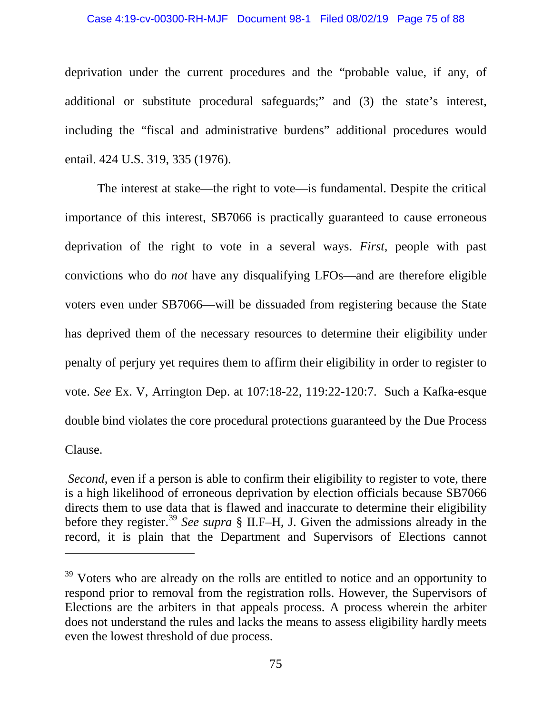#### Case 4:19-cv-00300-RH-MJF Document 98-1 Filed 08/02/19 Page 75 of 88

deprivation under the current procedures and the "probable value, if any, of additional or substitute procedural safeguards;" and (3) the state's interest, including the "fiscal and administrative burdens" additional procedures would entail. 424 U.S. 319, 335 (1976).

The interest at stake—the right to vote—is fundamental. Despite the critical importance of this interest, SB7066 is practically guaranteed to cause erroneous deprivation of the right to vote in a several ways. *First,* people with past convictions who do *not* have any disqualifying LFOs—and are therefore eligible voters even under SB7066—will be dissuaded from registering because the State has deprived them of the necessary resources to determine their eligibility under penalty of perjury yet requires them to affirm their eligibility in order to register to vote. *See* Ex. V, Arrington Dep. at 107:18-22, 119:22-120:7. Such a Kafka-esque double bind violates the core procedural protections guaranteed by the Due Process Clause.

*Second*, even if a person is able to confirm their eligibility to register to vote, there is a high likelihood of erroneous deprivation by election officials because SB7066 directs them to use data that is flawed and inaccurate to determine their eligibility before they register. [39](#page-74-0) *See supra* § II.F–H, J. Given the admissions already in the record, it is plain that the Department and Supervisors of Elections cannot

 $\overline{a}$ 

<span id="page-74-0"></span><sup>&</sup>lt;sup>39</sup> Voters who are already on the rolls are entitled to notice and an opportunity to respond prior to removal from the registration rolls. However, the Supervisors of Elections are the arbiters in that appeals process. A process wherein the arbiter does not understand the rules and lacks the means to assess eligibility hardly meets even the lowest threshold of due process.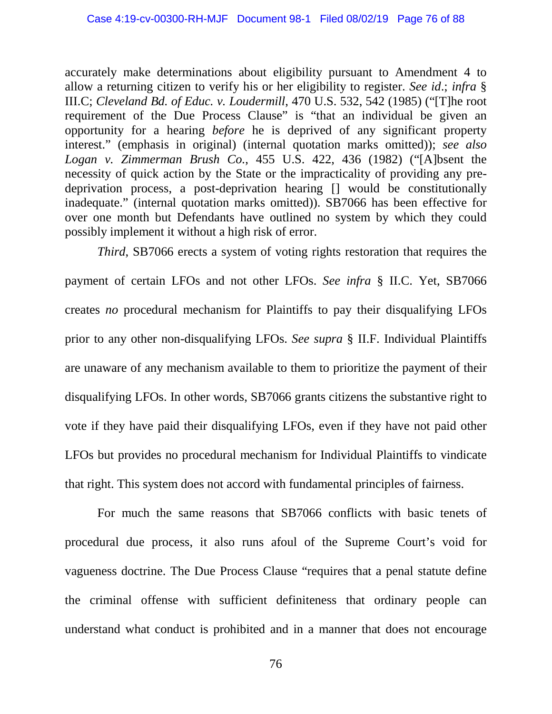accurately make determinations about eligibility pursuant to Amendment 4 to allow a returning citizen to verify his or her eligibility to register. *See id*.; *infra* § III.C; *Cleveland Bd. of Educ. v. Loudermill*, 470 U.S. 532, 542 (1985) ("[T]he root requirement of the Due Process Clause" is "that an individual be given an opportunity for a hearing *before* he is deprived of any significant property interest." (emphasis in original) (internal quotation marks omitted)); *see also Logan v. Zimmerman Brush Co.*, 455 U.S. 422, 436 (1982) ("[A]bsent the necessity of quick action by the State or the impracticality of providing any predeprivation process, a post-deprivation hearing [] would be constitutionally inadequate." (internal quotation marks omitted)). SB7066 has been effective for over one month but Defendants have outlined no system by which they could possibly implement it without a high risk of error.

*Third*, SB7066 erects a system of voting rights restoration that requires the payment of certain LFOs and not other LFOs. *See infra* § II.C. Yet, SB7066 creates *no* procedural mechanism for Plaintiffs to pay their disqualifying LFOs prior to any other non-disqualifying LFOs. *See supra* § II.F. Individual Plaintiffs are unaware of any mechanism available to them to prioritize the payment of their disqualifying LFOs. In other words, SB7066 grants citizens the substantive right to vote if they have paid their disqualifying LFOs, even if they have not paid other LFOs but provides no procedural mechanism for Individual Plaintiffs to vindicate that right. This system does not accord with fundamental principles of fairness.

For much the same reasons that SB7066 conflicts with basic tenets of procedural due process, it also runs afoul of the Supreme Court's void for vagueness doctrine. The Due Process Clause "requires that a penal statute define the criminal offense with sufficient definiteness that ordinary people can understand what conduct is prohibited and in a manner that does not encourage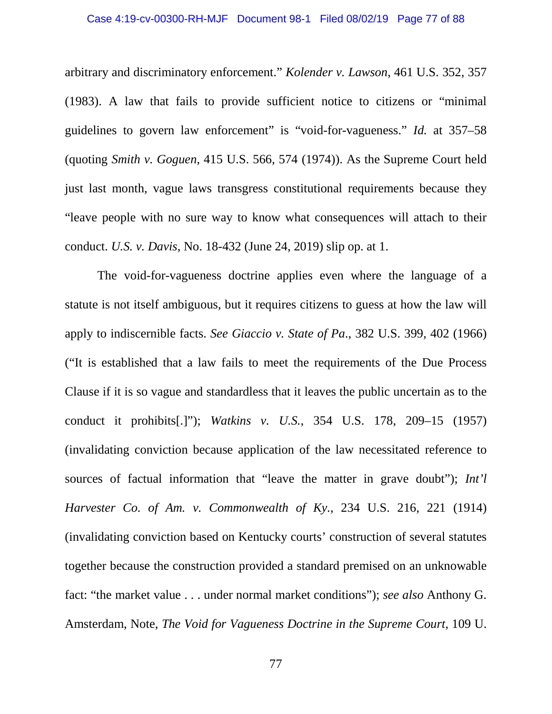arbitrary and discriminatory enforcement." *Kolender v. Lawson*, 461 U.S. 352, 357 (1983). A law that fails to provide sufficient notice to citizens or "minimal guidelines to govern law enforcement" is "void-for-vagueness." *Id.* at 357–58 (quoting *Smith v. Goguen*, 415 U.S. 566, 574 (1974)). As the Supreme Court held just last month, vague laws transgress constitutional requirements because they "leave people with no sure way to know what consequences will attach to their conduct. *U.S. v. Davis*, No. 18-432 (June 24, 2019) slip op. at 1.

The void-for-vagueness doctrine applies even where the language of a statute is not itself ambiguous, but it requires citizens to guess at how the law will apply to indiscernible facts. *See Giaccio v. State of Pa*., 382 U.S. 399, 402 (1966) ("It is established that a law fails to meet the requirements of the Due Process Clause if it is so vague and standardless that it leaves the public uncertain as to the conduct it prohibits[.]"); *Watkins v. U.S.*, 354 U.S. 178, 209–15 (1957) (invalidating conviction because application of the law necessitated reference to sources of factual information that "leave the matter in grave doubt"); *Int'l Harvester Co. of Am. v. Commonwealth of Ky.*, 234 U.S. 216, 221 (1914) (invalidating conviction based on Kentucky courts' construction of several statutes together because the construction provided a standard premised on an unknowable fact: "the market value . . . under normal market conditions"); *see also* Anthony G. Amsterdam, Note, *The Void for Vagueness Doctrine in the Supreme Court*, 109 U.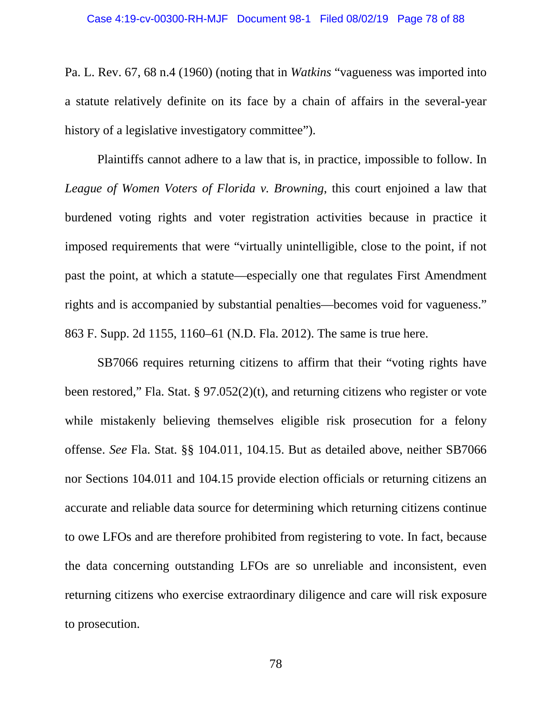Pa. L. Rev. 67, 68 n.4 (1960) (noting that in *Watkins* "vagueness was imported into a statute relatively definite on its face by a chain of affairs in the several-year history of a legislative investigatory committee").

Plaintiffs cannot adhere to a law that is, in practice, impossible to follow. In *League of Women Voters of Florida v. Browning*, this court enjoined a law that burdened voting rights and voter registration activities because in practice it imposed requirements that were "virtually unintelligible, close to the point, if not past the point, at which a statute—especially one that regulates First Amendment rights and is accompanied by substantial penalties—becomes void for vagueness." 863 F. Supp. 2d 1155, 1160–61 (N.D. Fla. 2012). The same is true here.

SB7066 requires returning citizens to affirm that their "voting rights have been restored," Fla. Stat. § 97.052(2)(t), and returning citizens who register or vote while mistakenly believing themselves eligible risk prosecution for a felony offense. *See* Fla. Stat. §§ 104.011, 104.15. But as detailed above, neither SB7066 nor Sections 104.011 and 104.15 provide election officials or returning citizens an accurate and reliable data source for determining which returning citizens continue to owe LFOs and are therefore prohibited from registering to vote. In fact, because the data concerning outstanding LFOs are so unreliable and inconsistent, even returning citizens who exercise extraordinary diligence and care will risk exposure to prosecution.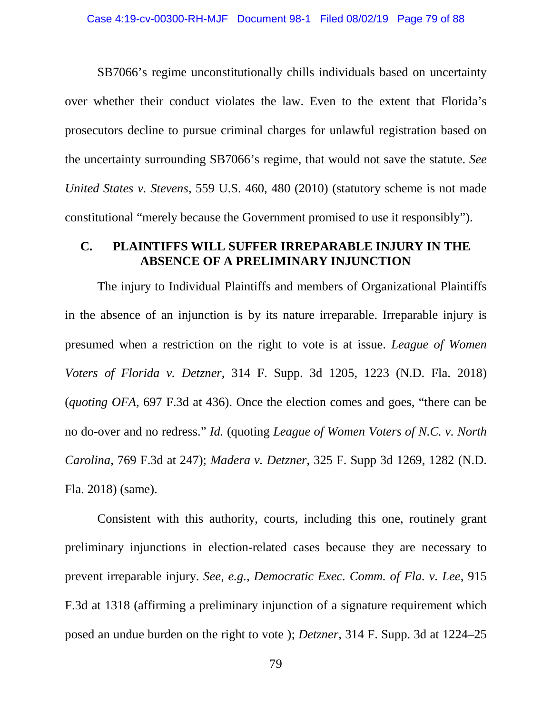SB7066's regime unconstitutionally chills individuals based on uncertainty over whether their conduct violates the law. Even to the extent that Florida's prosecutors decline to pursue criminal charges for unlawful registration based on the uncertainty surrounding SB7066's regime, that would not save the statute. *See United States v. Stevens*, 559 U.S. 460, 480 (2010) (statutory scheme is not made constitutional "merely because the Government promised to use it responsibly").

### **C. PLAINTIFFS WILL SUFFER IRREPARABLE INJURY IN THE ABSENCE OF A PRELIMINARY INJUNCTION**

The injury to Individual Plaintiffs and members of Organizational Plaintiffs in the absence of an injunction is by its nature irreparable. Irreparable injury is presumed when a restriction on the right to vote is at issue. *League of Women Voters of Florida v. Detzner*, 314 F. Supp. 3d 1205, 1223 (N.D. Fla. 2018) (*quoting OFA*, 697 F.3d at 436). Once the election comes and goes, "there can be no do-over and no redress." *Id.* (quoting *League of Women Voters of N.C. v. North Carolina*, 769 F.3d at 247); *Madera v. Detzner*, 325 F. Supp 3d 1269, 1282 (N.D. Fla. 2018) (same).

Consistent with this authority, courts, including this one, routinely grant preliminary injunctions in election-related cases because they are necessary to prevent irreparable injury. *See, e.g.*, *Democratic Exec. Comm. of Fla. v. Lee*, 915 F.3d at 1318 (affirming a preliminary injunction of a signature requirement which posed an undue burden on the right to vote ); *Detzner*, 314 F. Supp. 3d at 1224–25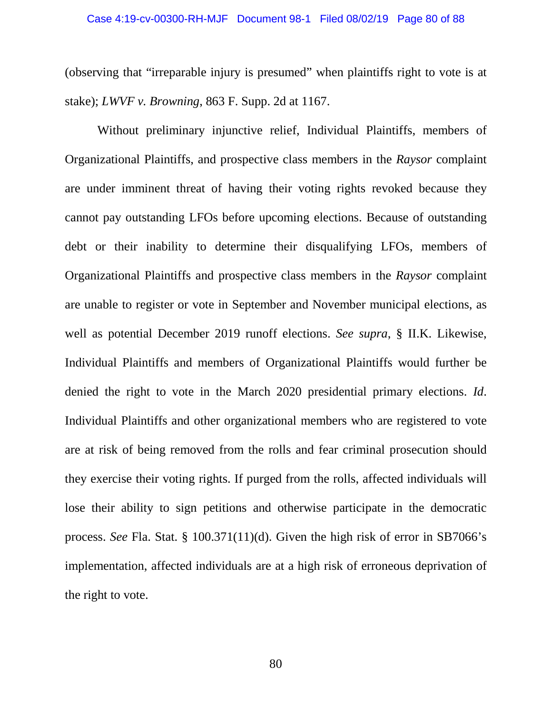(observing that "irreparable injury is presumed" when plaintiffs right to vote is at stake); *LWVF v. Browning*, 863 F. Supp. 2d at 1167.

Without preliminary injunctive relief, Individual Plaintiffs, members of Organizational Plaintiffs, and prospective class members in the *Raysor* complaint are under imminent threat of having their voting rights revoked because they cannot pay outstanding LFOs before upcoming elections. Because of outstanding debt or their inability to determine their disqualifying LFOs, members of Organizational Plaintiffs and prospective class members in the *Raysor* complaint are unable to register or vote in September and November municipal elections, as well as potential December 2019 runoff elections. *See supra*, § II.K. Likewise, Individual Plaintiffs and members of Organizational Plaintiffs would further be denied the right to vote in the March 2020 presidential primary elections. *Id*. Individual Plaintiffs and other organizational members who are registered to vote are at risk of being removed from the rolls and fear criminal prosecution should they exercise their voting rights. If purged from the rolls, affected individuals will lose their ability to sign petitions and otherwise participate in the democratic process. *See* Fla. Stat. § 100.371(11)(d). Given the high risk of error in SB7066's implementation, affected individuals are at a high risk of erroneous deprivation of the right to vote.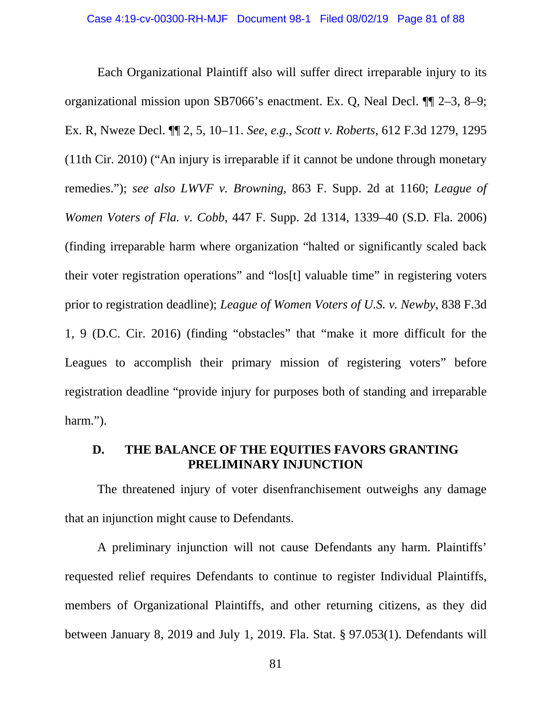Each Organizational Plaintiff also will suffer direct irreparable injury to its organizational mission upon SB7066's enactment. Ex. Q, Neal Decl. ¶¶ 2–3, 8–9; Ex. R, Nweze Decl. ¶¶ 2, 5, 10–11. *See, e.g.*, *Scott v. Roberts*, 612 F.3d 1279, 1295 (11th Cir. 2010) ("An injury is irreparable if it cannot be undone through monetary remedies."); *see also LWVF v. Browning*, 863 F. Supp. 2d at 1160; *League of Women Voters of Fla. v. Cobb*, 447 F. Supp. 2d 1314, 1339–40 (S.D. Fla. 2006) (finding irreparable harm where organization "halted or significantly scaled back their voter registration operations" and "los[t] valuable time" in registering voters prior to registration deadline); *League of Women Voters of U.S. v. Newby*, 838 F.3d 1, 9 (D.C. Cir. 2016) (finding "obstacles" that "make it more difficult for the Leagues to accomplish their primary mission of registering voters" before registration deadline "provide injury for purposes both of standing and irreparable harm.").

## **D. THE BALANCE OF THE EQUITIES FAVORS GRANTING PRELIMINARY INJUNCTION**

The threatened injury of voter disenfranchisement outweighs any damage that an injunction might cause to Defendants.

A preliminary injunction will not cause Defendants any harm. Plaintiffs' requested relief requires Defendants to continue to register Individual Plaintiffs, members of Organizational Plaintiffs, and other returning citizens, as they did between January 8, 2019 and July 1, 2019. Fla. Stat. § 97.053(1). Defendants will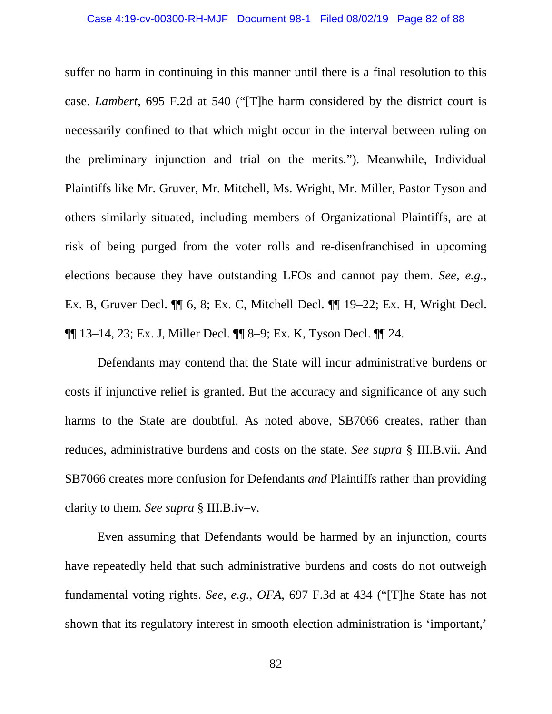suffer no harm in continuing in this manner until there is a final resolution to this case. *Lambert*, 695 F.2d at 540 ("[T]he harm considered by the district court is necessarily confined to that which might occur in the interval between ruling on the preliminary injunction and trial on the merits."). Meanwhile, Individual Plaintiffs like Mr. Gruver, Mr. Mitchell, Ms. Wright, Mr. Miller, Pastor Tyson and others similarly situated, including members of Organizational Plaintiffs, are at risk of being purged from the voter rolls and re-disenfranchised in upcoming elections because they have outstanding LFOs and cannot pay them. *See, e.g.*, Ex. B, Gruver Decl. ¶¶ 6, 8; Ex. C, Mitchell Decl. ¶¶ 19–22; Ex. H, Wright Decl. ¶¶ 13–14, 23; Ex. J, Miller Decl. ¶¶ 8–9; Ex. K, Tyson Decl. ¶¶ 24.

Defendants may contend that the State will incur administrative burdens or costs if injunctive relief is granted. But the accuracy and significance of any such harms to the State are doubtful. As noted above, SB7066 creates, rather than reduces, administrative burdens and costs on the state. *See supra* § III.B.vii*.* And SB7066 creates more confusion for Defendants *and* Plaintiffs rather than providing clarity to them. *See supra* § III.B.iv–v*.* 

Even assuming that Defendants would be harmed by an injunction, courts have repeatedly held that such administrative burdens and costs do not outweigh fundamental voting rights. *See, e.g.*, *OFA*, 697 F.3d at 434 ("[T]he State has not shown that its regulatory interest in smooth election administration is 'important,'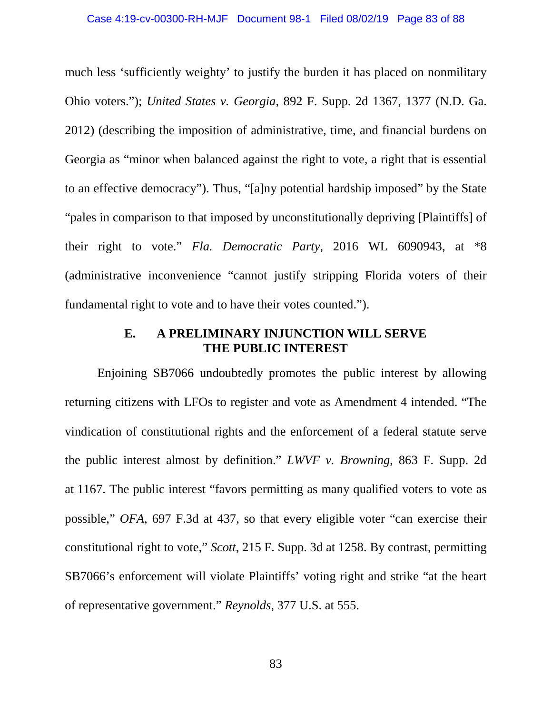much less 'sufficiently weighty' to justify the burden it has placed on nonmilitary Ohio voters."); *United States v. Georgia*, 892 F. Supp. 2d 1367, 1377 (N.D. Ga. 2012) (describing the imposition of administrative, time, and financial burdens on Georgia as "minor when balanced against the right to vote, a right that is essential to an effective democracy"). Thus, "[a]ny potential hardship imposed" by the State "pales in comparison to that imposed by unconstitutionally depriving [Plaintiffs] of their right to vote." *Fla. Democratic Party*, 2016 WL 6090943, at \*8 (administrative inconvenience "cannot justify stripping Florida voters of their fundamental right to vote and to have their votes counted.").

## **E. A PRELIMINARY INJUNCTION WILL SERVE THE PUBLIC INTEREST**

Enjoining SB7066 undoubtedly promotes the public interest by allowing returning citizens with LFOs to register and vote as Amendment 4 intended. "The vindication of constitutional rights and the enforcement of a federal statute serve the public interest almost by definition." *LWVF v. Browning*, 863 F. Supp. 2d at 1167. The public interest "favors permitting as many qualified voters to vote as possible," *OFA*, 697 F.3d at 437, so that every eligible voter "can exercise their constitutional right to vote," *Scott*, 215 F. Supp. 3d at 1258. By contrast, permitting SB7066's enforcement will violate Plaintiffs' voting right and strike "at the heart of representative government." *Reynolds*, 377 U.S. at 555.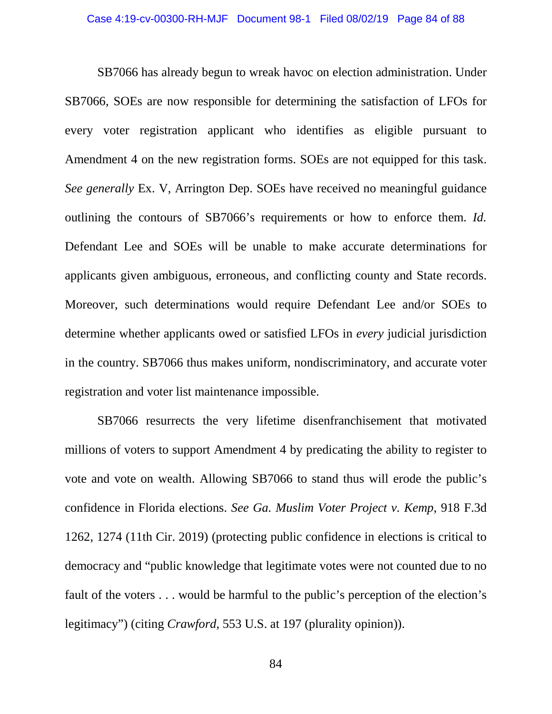SB7066 has already begun to wreak havoc on election administration. Under SB7066, SOEs are now responsible for determining the satisfaction of LFOs for every voter registration applicant who identifies as eligible pursuant to Amendment 4 on the new registration forms. SOEs are not equipped for this task. *See generally* Ex. V, Arrington Dep. SOEs have received no meaningful guidance outlining the contours of SB7066's requirements or how to enforce them. *Id.*  Defendant Lee and SOEs will be unable to make accurate determinations for applicants given ambiguous, erroneous, and conflicting county and State records. Moreover, such determinations would require Defendant Lee and/or SOEs to determine whether applicants owed or satisfied LFOs in *every* judicial jurisdiction in the country. SB7066 thus makes uniform, nondiscriminatory, and accurate voter registration and voter list maintenance impossible.

SB7066 resurrects the very lifetime disenfranchisement that motivated millions of voters to support Amendment 4 by predicating the ability to register to vote and vote on wealth. Allowing SB7066 to stand thus will erode the public's confidence in Florida elections. *See Ga. Muslim Voter Project v. Kemp*, 918 F.3d 1262, 1274 (11th Cir. 2019) (protecting public confidence in elections is critical to democracy and "public knowledge that legitimate votes were not counted due to no fault of the voters . . . would be harmful to the public's perception of the election's legitimacy") (citing *Crawford*, 553 U.S. at 197 (plurality opinion)).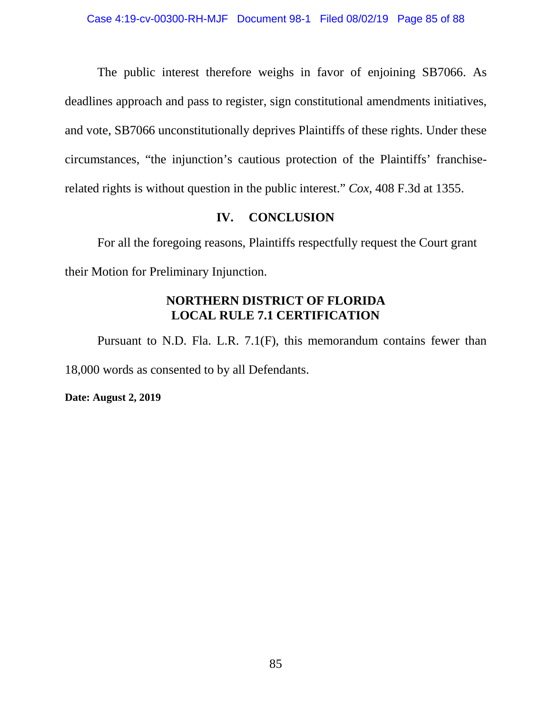The public interest therefore weighs in favor of enjoining SB7066. As deadlines approach and pass to register, sign constitutional amendments initiatives, and vote, SB7066 unconstitutionally deprives Plaintiffs of these rights. Under these circumstances, "the injunction's cautious protection of the Plaintiffs' franchiserelated rights is without question in the public interest." *Cox*, 408 F.3d at 1355.

# **IV. CONCLUSION**

For all the foregoing reasons, Plaintiffs respectfully request the Court grant their Motion for Preliminary Injunction.

# **NORTHERN DISTRICT OF FLORIDA LOCAL RULE 7.1 CERTIFICATION**

Pursuant to N.D. Fla. L.R. 7.1(F), this memorandum contains fewer than 18,000 words as consented to by all Defendants.

**Date: August 2, 2019**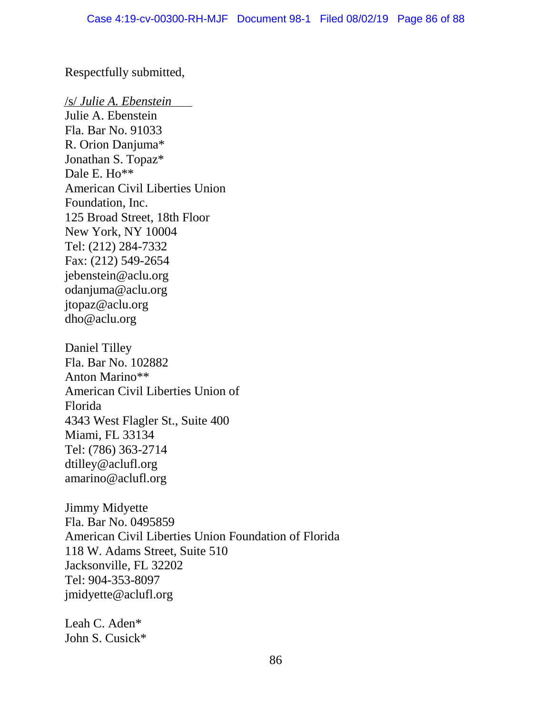Respectfully submitted,

/s/ *Julie A. Ebenstein*

Julie A. Ebenstein Fla. Bar No. 91033 R. Orion Danjuma\* Jonathan S. Topaz\* Dale E. Ho\*\* American Civil Liberties Union Foundation, Inc. 125 Broad Street, 18th Floor New York, NY 10004 Tel: (212) 284-7332 Fax: (212) 549-2654 jebenstein@aclu.org odanjuma@aclu.org jtopaz@aclu.org dho@aclu.org Daniel Tilley Fla. Bar No. 102882 Anton Marino\*\*

American Civil Liberties Union of Florida 4343 West Flagler St., Suite 400 Miami, FL 33134 Tel: (786) 363-2714 dtilley@aclufl.org amarino@aclufl.org

Jimmy Midyette Fla. Bar No. 0495859 American Civil Liberties Union Foundation of Florida 118 W. Adams Street, Suite 510 Jacksonville, FL 32202 Tel: 904-353-8097 jmidyette@aclufl.org

Leah C. Aden\* John S. Cusick\*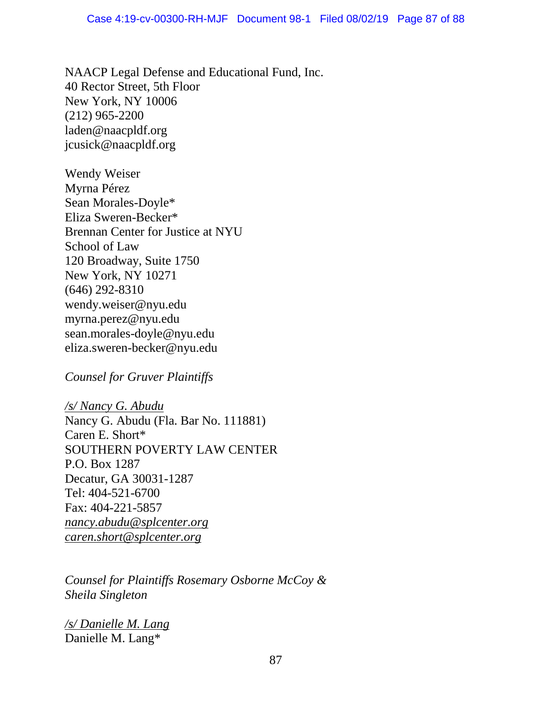NAACP Legal Defense and Educational Fund, Inc. 40 Rector Street, 5th Floor New York, NY 10006 (212) 965-2200 laden@naacpldf.org jcusick@naacpldf.org

Wendy Weiser Myrna Pérez Sean Morales-Doyle\* Eliza Sweren-Becker\* Brennan Center for Justice at NYU School of Law 120 Broadway, Suite 1750 New York, NY 10271 (646) 292-8310 wendy.weiser@nyu.edu myrna.perez@nyu.edu sean.morales-doyle@nyu.edu eliza.sweren-becker@nyu.edu

*Counsel for Gruver Plaintiffs* 

*/s/ Nancy G. Abudu* Nancy G. Abudu (Fla. Bar No. 111881) Caren E. Short\* SOUTHERN POVERTY LAW CENTER P.O. Box 1287 Decatur, GA 30031-1287 Tel: 404-521-6700 Fax: 404-221-5857 *nancy.abudu@splcenter.org caren.short@splcenter.org*

*Counsel for Plaintiffs Rosemary Osborne McCoy & Sheila Singleton*

*/s/ Danielle M. Lang* Danielle M. Lang\*